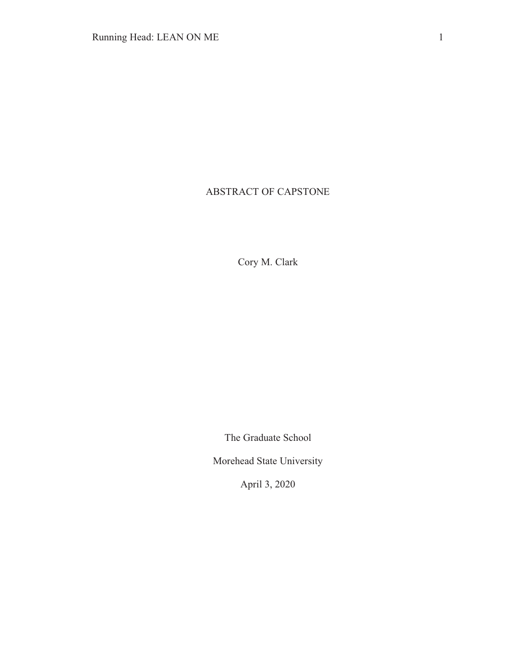# ABSTRACT OF CAPSTONE

Cory M. Clark

The Graduate School

Morehead State University

April 3, 2020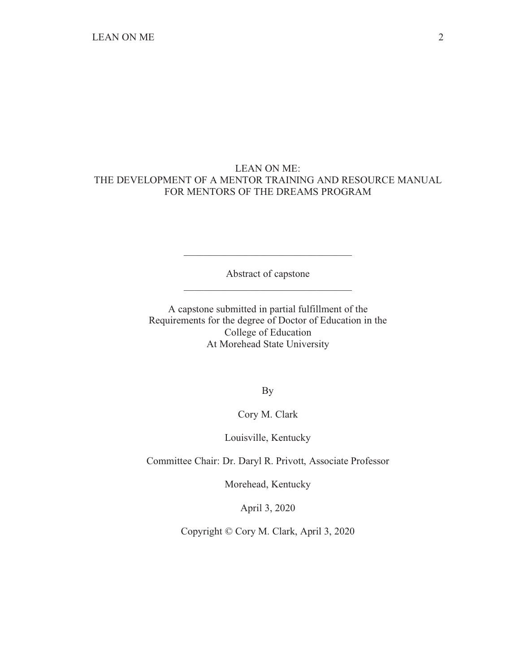# LEAN ON ME: THE DEVELOPMENT OF A MENTOR TRAINING AND RESOURCE MANUAL FOR MENTORS OF THE DREAMS PROGRAM

Abstract of capstone \_\_\_\_\_\_\_\_\_\_\_\_\_\_\_\_\_\_\_\_\_\_\_\_\_\_\_\_\_\_\_\_\_

\_\_\_\_\_\_\_\_\_\_\_\_\_\_\_\_\_\_\_\_\_\_\_\_\_\_\_\_\_\_\_\_\_

A capstone submitted in partial fulfillment of the Requirements for the degree of Doctor of Education in the College of Education At Morehead State University

By

Cory M. Clark

Louisville, Kentucky

Committee Chair: Dr. Daryl R. Privott, Associate Professor

Morehead, Kentucky

April 3, 2020

Copyright © Cory M. Clark, April 3, 2020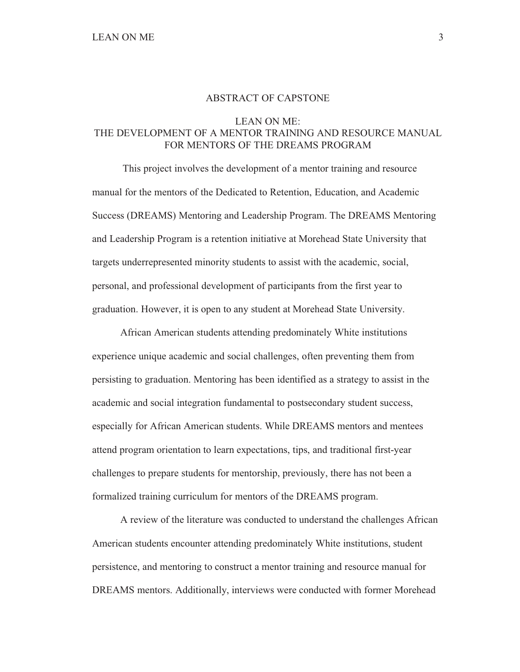### ABSTRACT OF CAPSTONE

#### LEAN ON ME:

# THE DEVELOPMENT OF A MENTOR TRAINING AND RESOURCE MANUAL FOR MENTORS OF THE DREAMS PROGRAM

 This project involves the development of a mentor training and resource manual for the mentors of the Dedicated to Retention, Education, and Academic Success (DREAMS) Mentoring and Leadership Program. The DREAMS Mentoring and Leadership Program is a retention initiative at Morehead State University that targets underrepresented minority students to assist with the academic, social, personal, and professional development of participants from the first year to graduation. However, it is open to any student at Morehead State University.

 African American students attending predominately White institutions experience unique academic and social challenges, often preventing them from persisting to graduation. Mentoring has been identified as a strategy to assist in the academic and social integration fundamental to postsecondary student success, especially for African American students. While DREAMS mentors and mentees attend program orientation to learn expectations, tips, and traditional first-year challenges to prepare students for mentorship, previously, there has not been a formalized training curriculum for mentors of the DREAMS program.

 A review of the literature was conducted to understand the challenges African American students encounter attending predominately White institutions, student persistence, and mentoring to construct a mentor training and resource manual for DREAMS mentors. Additionally, interviews were conducted with former Morehead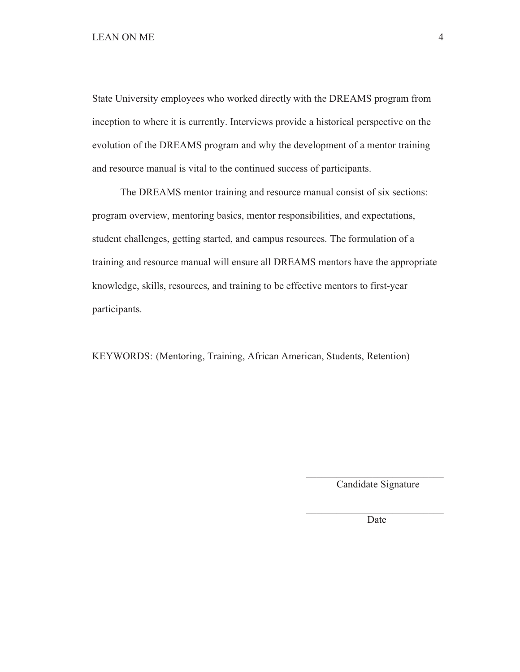State University employees who worked directly with the DREAMS program from inception to where it is currently. Interviews provide a historical perspective on the evolution of the DREAMS program and why the development of a mentor training and resource manual is vital to the continued success of participants.

 The DREAMS mentor training and resource manual consist of six sections: program overview, mentoring basics, mentor responsibilities, and expectations, student challenges, getting started, and campus resources. The formulation of a training and resource manual will ensure all DREAMS mentors have the appropriate knowledge, skills, resources, and training to be effective mentors to first-year participants.

KEYWORDS: (Mentoring, Training, African American, Students, Retention)

 $\mathcal{L}_\text{max}$  and  $\mathcal{L}_\text{max}$  and  $\mathcal{L}_\text{max}$  and  $\mathcal{L}_\text{max}$  and  $\mathcal{L}_\text{max}$  and  $\mathcal{L}_\text{max}$ 

 $\mathcal{L}_\text{max}$  and  $\mathcal{L}_\text{max}$  and  $\mathcal{L}_\text{max}$  and  $\mathcal{L}_\text{max}$  and  $\mathcal{L}_\text{max}$  and  $\mathcal{L}_\text{max}$ 

Candidate Signature

Date **Date**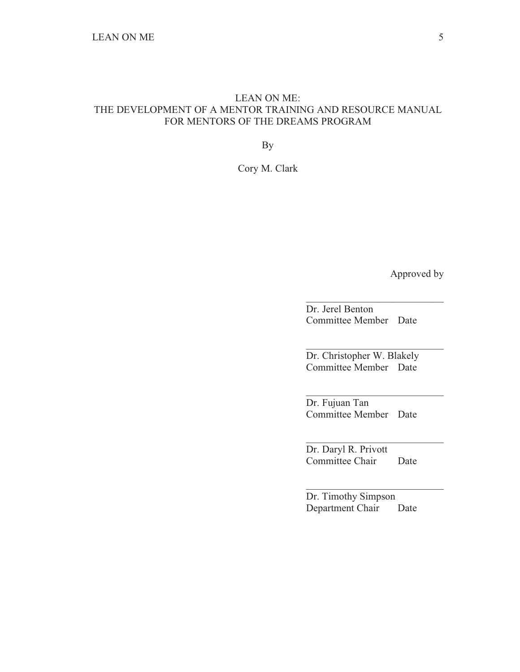# LEAN ON ME: THE DEVELOPMENT OF A MENTOR TRAINING AND RESOURCE MANUAL FOR MENTORS OF THE DREAMS PROGRAM

By

Cory M. Clark

Approved by

Dr. Jerel Benton Committee Member Date

 $\overline{\phantom{a}}$  , and the set of the set of the set of the set of the set of the set of the set of the set of the set of the set of the set of the set of the set of the set of the set of the set of the set of the set of the s

 $\overline{\phantom{a}}$  , and the set of the set of the set of the set of the set of the set of the set of the set of the set of the set of the set of the set of the set of the set of the set of the set of the set of the set of the s

 $\overline{\phantom{a}}$  , and the set of the set of the set of the set of the set of the set of the set of the set of the set of the set of the set of the set of the set of the set of the set of the set of the set of the set of the s

 $\overline{\phantom{a}}$  , and the set of the set of the set of the set of the set of the set of the set of the set of the set of the set of the set of the set of the set of the set of the set of the set of the set of the set of the s

 $\overline{\phantom{a}}$  , and the set of the set of the set of the set of the set of the set of the set of the set of the set of the set of the set of the set of the set of the set of the set of the set of the set of the set of the s

Dr. Christopher W. Blakely Committee Member Date

Dr. Fujuan Tan Committee Member Date

Dr. Daryl R. Privott Committee Chair Date

Dr. Timothy Simpson Department Chair Date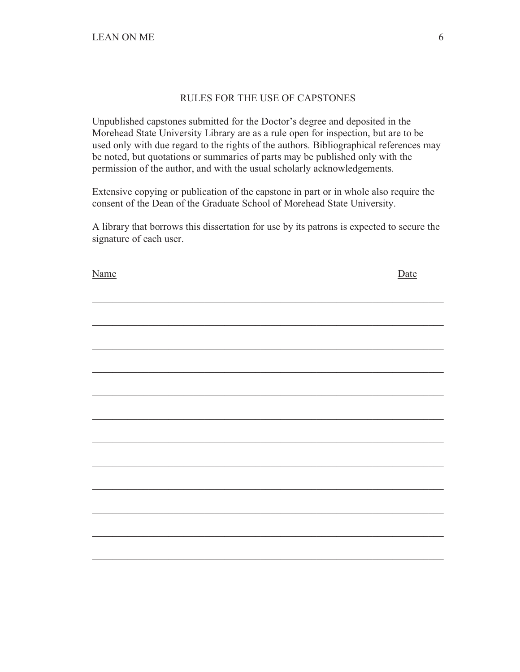# RULES FOR THE USE OF CAPSTONES

Unpublished capstones submitted for the Doctor's degree and deposited in the Morehead State University Library are as a rule open for inspection, but are to be used only with due regard to the rights of the authors. Bibliographical references may be noted, but quotations or summaries of parts may be published only with the permission of the author, and with the usual scholarly acknowledgements.

Extensive copying or publication of the capstone in part or in whole also require the consent of the Dean of the Graduate School of Morehead State University.

A library that borrows this dissertation for use by its patrons is expected to secure the signature of each user.

| Name | Date |
|------|------|
|      |      |
|      |      |
|      |      |
|      |      |
|      |      |
|      |      |
|      |      |
|      |      |
|      |      |
|      |      |
|      |      |
|      |      |
|      |      |
|      |      |
|      |      |
|      |      |
|      |      |
|      |      |
|      |      |
|      |      |
|      |      |
|      |      |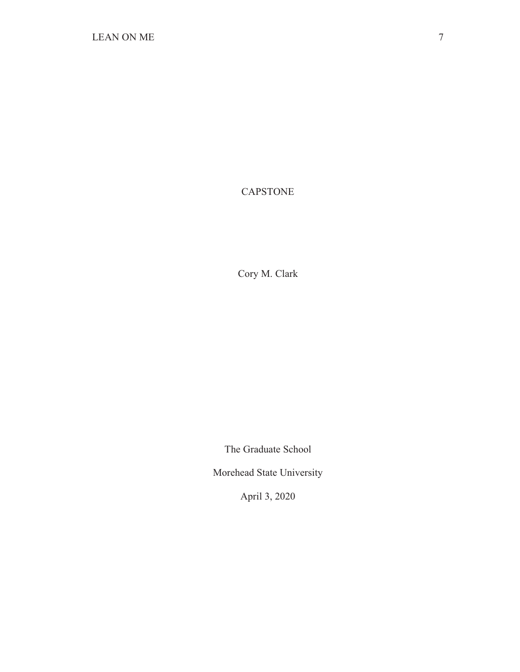CAPSTONE

Cory M. Clark

The Graduate School

Morehead State University

April 3, 2020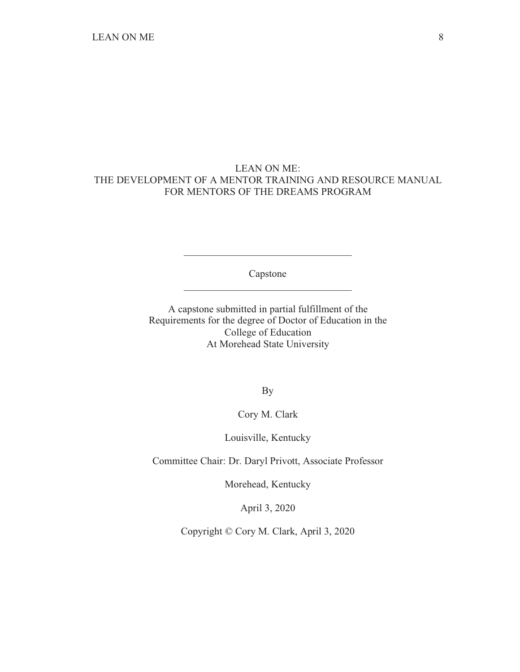# LEAN ON ME: THE DEVELOPMENT OF A MENTOR TRAINING AND RESOURCE MANUAL FOR MENTORS OF THE DREAMS PROGRAM

Capstone \_\_\_\_\_\_\_\_\_\_\_\_\_\_\_\_\_\_\_\_\_\_\_\_\_\_\_\_\_\_\_\_\_

\_\_\_\_\_\_\_\_\_\_\_\_\_\_\_\_\_\_\_\_\_\_\_\_\_\_\_\_\_\_\_\_\_

A capstone submitted in partial fulfillment of the Requirements for the degree of Doctor of Education in the College of Education At Morehead State University

By

Cory M. Clark

Louisville, Kentucky

Committee Chair: Dr. Daryl Privott, Associate Professor

Morehead, Kentucky

April 3, 2020

Copyright © Cory M. Clark, April 3, 2020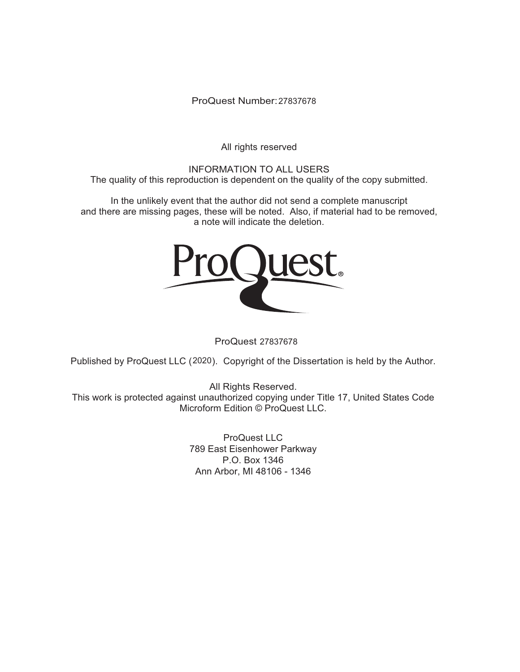ProQuest Number: 27837678

All rights reserved

INFORMATION TO ALL USERS The quality of this reproduction is dependent on the quality of the copy submitted.

In the unlikely event that the author did not send a complete manuscript and there are missing pages, these will be noted. Also, if material had to be removed, a note will indicate the deletion.



ProQuest 27837678

Published by ProQuest LLC (2020). Copyright of the Dissertation is held by the Author.

All Rights Reserved. This work is protected against unauthorized copying under Title 17, United States Code Microform Edition © ProQuest LLC.

> ProQuest LLC 789 East Eisenhower Parkway P.O. Box 1346 Ann Arbor, MI 48106 - 1346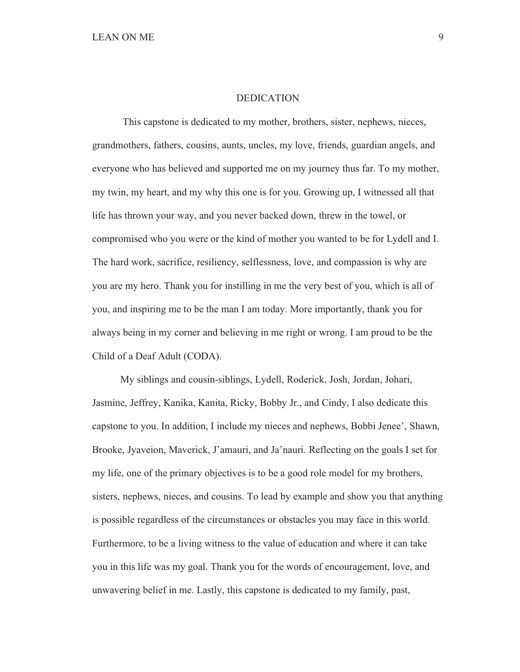#### DEDICATION

 This capstone is dedicated to my mother, brothers, sister, nephews, nieces, grandmothers, fathers, cousins, aunts, uncles, my love, friends, guardian angels, and everyone who has believed and supported me on my journey thus far. To my mother, my twin, my heart, and my why this one is for you. Growing up, I witnessed all that life has thrown your way, and you never backed down, threw in the towel, or compromised who you were or the kind of mother you wanted to be for Lydell and I. The hard work, sacrifice, resiliency, selflessness, love, and compassion is why are you are my hero. Thank you for instilling in me the very best of you, which is all of you, and inspiring me to be the man I am today. More importantly, thank you for always being in my corner and believing in me right or wrong. I am proud to be the Child of a Deaf Adult (CODA).

 My siblings and cousin-siblings, Lydell, Roderick, Josh, Jordan, Johari, Jasmine, Jeffrey, Kanika, Kanita, Ricky, Bobby Jr., and Cindy, I also dedicate this capstone to you. In addition, I include my nieces and nephews, Bobbi Jenee', Shawn, Brooke, Jyaveion, Maverick, J'amauri, and Ja'nauri. Reflecting on the goals I set for my life, one of the primary objectives is to be a good role model for my brothers, sisters, nephews, nieces, and cousins. To lead by example and show you that anything is possible regardless of the circumstances or obstacles you may face in this world. Furthermore, to be a living witness to the value of education and where it can take you in this life was my goal. Thank you for the words of encouragement, love, and unwavering belief in me. Lastly, this capstone is dedicated to my family, past,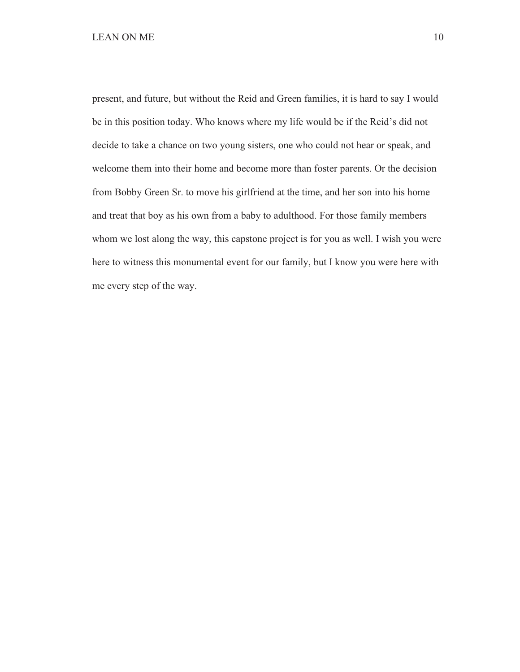present, and future, but without the Reid and Green families, it is hard to say I would be in this position today. Who knows where my life would be if the Reid's did not decide to take a chance on two young sisters, one who could not hear or speak, and welcome them into their home and become more than foster parents. Or the decision from Bobby Green Sr. to move his girlfriend at the time, and her son into his home and treat that boy as his own from a baby to adulthood. For those family members whom we lost along the way, this capstone project is for you as well. I wish you were here to witness this monumental event for our family, but I know you were here with me every step of the way.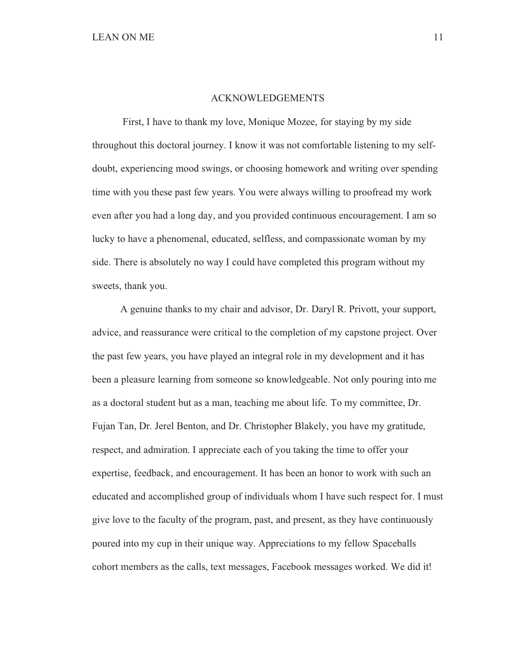#### ACKNOWLEDGEMENTS

 First, I have to thank my love, Monique Mozee, for staying by my side throughout this doctoral journey. I know it was not comfortable listening to my selfdoubt, experiencing mood swings, or choosing homework and writing over spending time with you these past few years. You were always willing to proofread my work even after you had a long day, and you provided continuous encouragement. I am so lucky to have a phenomenal, educated, selfless, and compassionate woman by my side. There is absolutely no way I could have completed this program without my sweets, thank you.

 A genuine thanks to my chair and advisor, Dr. Daryl R. Privott, your support, advice, and reassurance were critical to the completion of my capstone project. Over the past few years, you have played an integral role in my development and it has been a pleasure learning from someone so knowledgeable. Not only pouring into me as a doctoral student but as a man, teaching me about life. To my committee, Dr. Fujan Tan, Dr. Jerel Benton, and Dr. Christopher Blakely, you have my gratitude, respect, and admiration. I appreciate each of you taking the time to offer your expertise, feedback, and encouragement. It has been an honor to work with such an educated and accomplished group of individuals whom I have such respect for. I must give love to the faculty of the program, past, and present, as they have continuously poured into my cup in their unique way. Appreciations to my fellow Spaceballs cohort members as the calls, text messages, Facebook messages worked. We did it!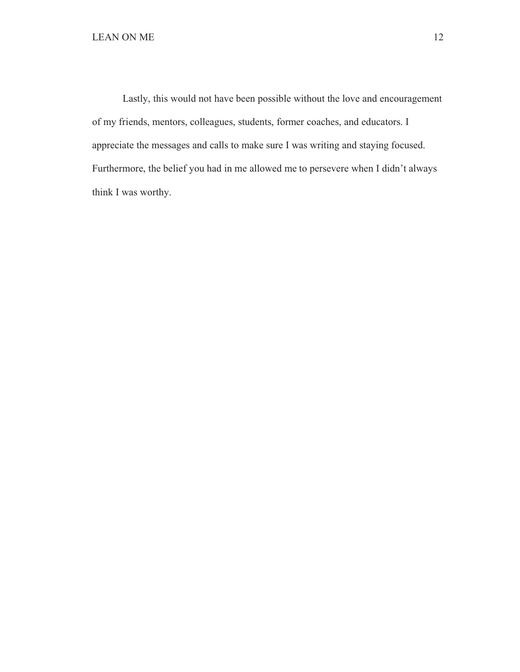Lastly, this would not have been possible without the love and encouragement of my friends, mentors, colleagues, students, former coaches, and educators. I appreciate the messages and calls to make sure I was writing and staying focused. Furthermore, the belief you had in me allowed me to persevere when I didn't always think I was worthy.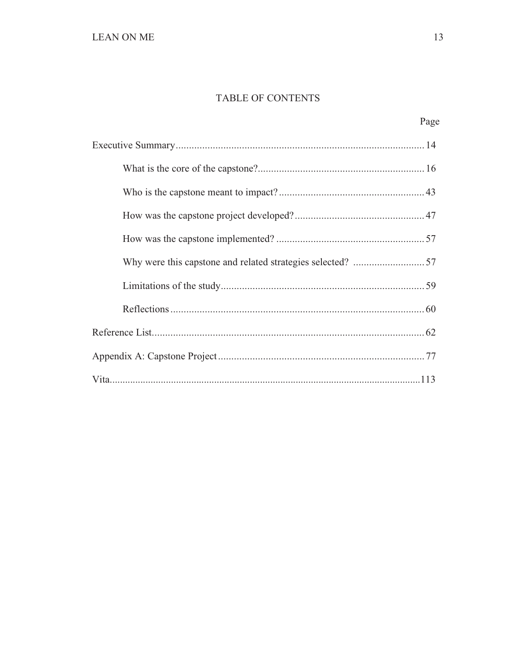# TABLE OF CONTENTS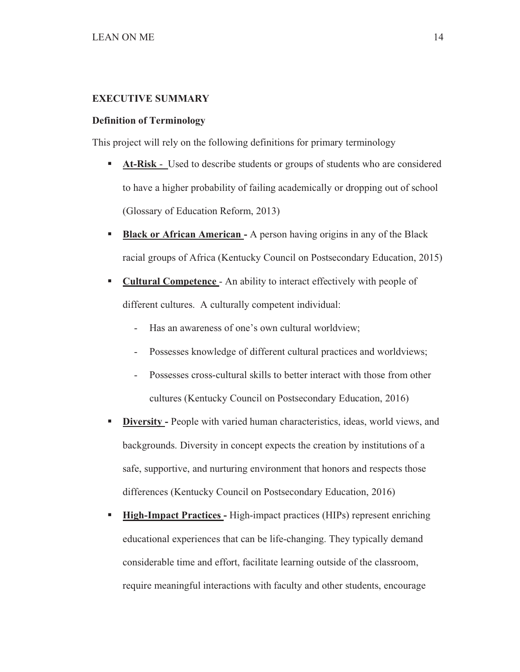## **EXECUTIVE SUMMARY**

#### **Definition of Terminology**

This project will rely on the following definitions for primary terminology

- - **At-Risk** - Used to describe students or groups of students who are considered to have a higher probability of failing academically or dropping out of school (Glossary of Education Reform, 2013)
- - **Black or African American -** A person having origins in any of the Black racial groups of Africa (Kentucky Council on Postsecondary Education, 2015)
- - **Cultural Competence** - An ability to interact effectively with people of different cultures. A culturally competent individual:
	- Has an awareness of one's own cultural worldview;
	- Possesses knowledge of different cultural practices and worldviews;
	- Possesses cross-cultural skills to better interact with those from other cultures (Kentucky Council on Postsecondary Education, 2016)
- - **Diversity -** People with varied human characteristics, ideas, world views, and backgrounds. Diversity in concept expects the creation by institutions of a safe, supportive, and nurturing environment that honors and respects those differences (Kentucky Council on Postsecondary Education, 2016)
- - **High-Impact Practices -** High-impact practices (HIPs) represent enriching educational experiences that can be life-changing. They typically demand considerable time and effort, facilitate learning outside of the classroom, require meaningful interactions with faculty and other students, encourage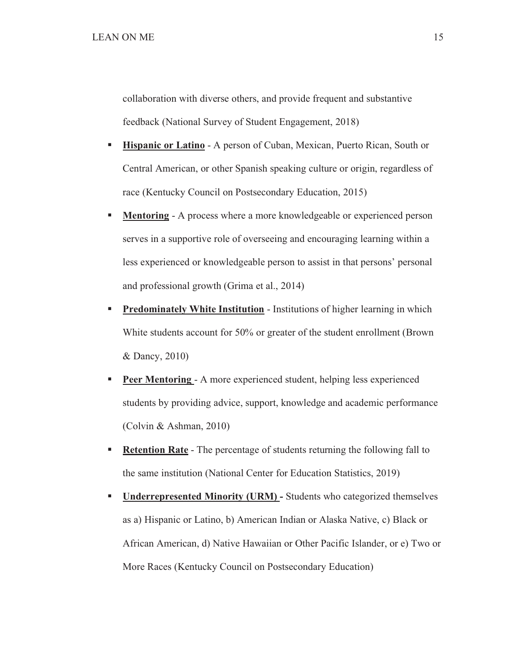collaboration with diverse others, and provide frequent and substantive feedback (National Survey of Student Engagement, 2018)

- - **Hispanic or Latino** - A person of Cuban, Mexican, Puerto Rican, South or Central American, or other Spanish speaking culture or origin, regardless of race (Kentucky Council on Postsecondary Education, 2015)
- - **Mentoring** - A process where a more knowledgeable or experienced person serves in a supportive role of overseeing and encouraging learning within a less experienced or knowledgeable person to assist in that persons' personal and professional growth (Grima et al., 2014)
- - **Predominately White Institution** - Institutions of higher learning in which White students account for 50% or greater of the student enrollment (Brown & Dancy, 2010)
- - **Peer Mentoring** - A more experienced student, helping less experienced students by providing advice, support, knowledge and academic performance (Colvin & Ashman, 2010)
- - **Retention Rate** - The percentage of students returning the following fall to the same institution (National Center for Education Statistics, 2019)
- - **Underrepresented Minority (URM) -** Students who categorized themselves as a) Hispanic or Latino, b) American Indian or Alaska Native, c) Black or African American, d) Native Hawaiian or Other Pacific Islander, or e) Two or More Races (Kentucky Council on Postsecondary Education)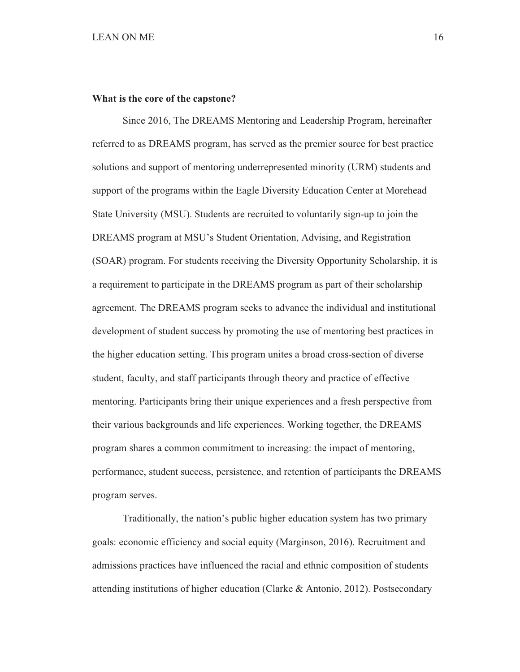#### **What is the core of the capstone?**

Since 2016, The DREAMS Mentoring and Leadership Program, hereinafter referred to as DREAMS program, has served as the premier source for best practice solutions and support of mentoring underrepresented minority (URM) students and support of the programs within the Eagle Diversity Education Center at Morehead State University (MSU). Students are recruited to voluntarily sign-up to join the DREAMS program at MSU's Student Orientation, Advising, and Registration (SOAR) program. For students receiving the Diversity Opportunity Scholarship, it is a requirement to participate in the DREAMS program as part of their scholarship agreement. The DREAMS program seeks to advance the individual and institutional development of student success by promoting the use of mentoring best practices in the higher education setting. This program unites a broad cross-section of diverse student, faculty, and staff participants through theory and practice of effective mentoring. Participants bring their unique experiences and a fresh perspective from their various backgrounds and life experiences. Working together, the DREAMS program shares a common commitment to increasing: the impact of mentoring, performance, student success, persistence, and retention of participants the DREAMS program serves.

 Traditionally, the nation's public higher education system has two primary goals: economic efficiency and social equity (Marginson, 2016). Recruitment and admissions practices have influenced the racial and ethnic composition of students attending institutions of higher education (Clarke & Antonio, 2012). Postsecondary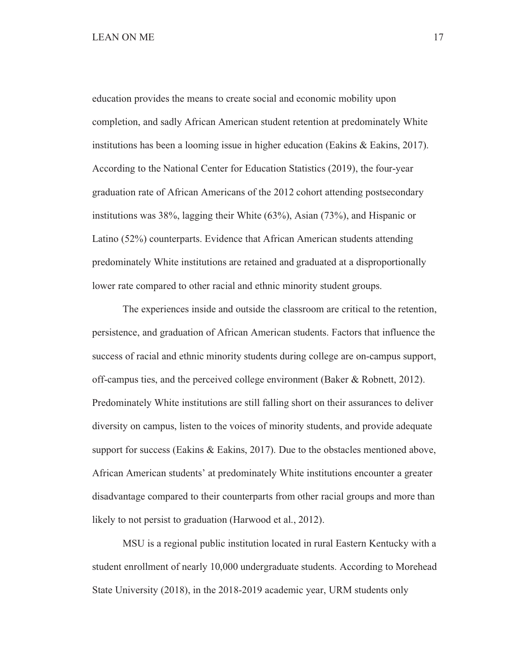education provides the means to create social and economic mobility upon completion, and sadly African American student retention at predominately White institutions has been a looming issue in higher education (Eakins & Eakins, 2017). According to the National Center for Education Statistics (2019), the four-year graduation rate of African Americans of the 2012 cohort attending postsecondary institutions was 38%, lagging their White (63%), Asian (73%), and Hispanic or Latino (52%) counterparts. Evidence that African American students attending predominately White institutions are retained and graduated at a disproportionally lower rate compared to other racial and ethnic minority student groups.

 The experiences inside and outside the classroom are critical to the retention, persistence, and graduation of African American students. Factors that influence the success of racial and ethnic minority students during college are on-campus support, off-campus ties, and the perceived college environment (Baker & Robnett, 2012). Predominately White institutions are still falling short on their assurances to deliver diversity on campus, listen to the voices of minority students, and provide adequate support for success (Eakins & Eakins, 2017). Due to the obstacles mentioned above, African American students' at predominately White institutions encounter a greater disadvantage compared to their counterparts from other racial groups and more than likely to not persist to graduation (Harwood et al., 2012).

 MSU is a regional public institution located in rural Eastern Kentucky with a student enrollment of nearly 10,000 undergraduate students. According to Morehead State University (2018), in the 2018-2019 academic year, URM students only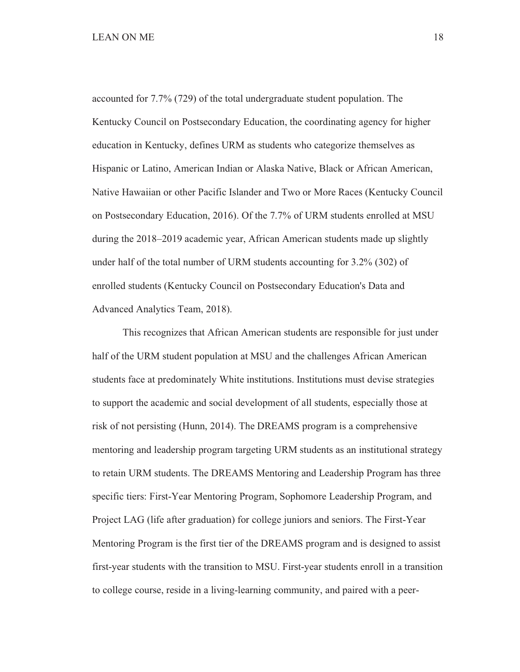## LEAN ON ME 18

accounted for 7.7% (729) of the total undergraduate student population. The Kentucky Council on Postsecondary Education, the coordinating agency for higher education in Kentucky, defines URM as students who categorize themselves as Hispanic or Latino, American Indian or Alaska Native, Black or African American, Native Hawaiian or other Pacific Islander and Two or More Races (Kentucky Council on Postsecondary Education, 2016). Of the 7.7% of URM students enrolled at MSU during the 2018–2019 academic year, African American students made up slightly under half of the total number of URM students accounting for 3.2% (302) of enrolled students (Kentucky Council on Postsecondary Education's Data and Advanced Analytics Team, 2018).

 This recognizes that African American students are responsible for just under half of the URM student population at MSU and the challenges African American students face at predominately White institutions. Institutions must devise strategies to support the academic and social development of all students, especially those at risk of not persisting (Hunn, 2014). The DREAMS program is a comprehensive mentoring and leadership program targeting URM students as an institutional strategy to retain URM students. The DREAMS Mentoring and Leadership Program has three specific tiers: First-Year Mentoring Program, Sophomore Leadership Program, and Project LAG (life after graduation) for college juniors and seniors. The First-Year Mentoring Program is the first tier of the DREAMS program and is designed to assist first-year students with the transition to MSU. First-year students enroll in a transition to college course, reside in a living-learning community, and paired with a peer-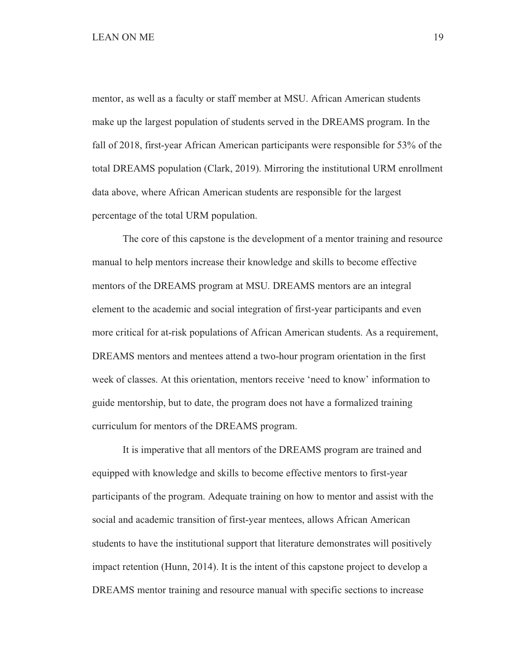mentor, as well as a faculty or staff member at MSU. African American students make up the largest population of students served in the DREAMS program. In the fall of 2018, first-year African American participants were responsible for 53% of the total DREAMS population (Clark, 2019). Mirroring the institutional URM enrollment data above, where African American students are responsible for the largest percentage of the total URM population.

 The core of this capstone is the development of a mentor training and resource manual to help mentors increase their knowledge and skills to become effective mentors of the DREAMS program at MSU. DREAMS mentors are an integral element to the academic and social integration of first-year participants and even more critical for at-risk populations of African American students. As a requirement, DREAMS mentors and mentees attend a two-hour program orientation in the first week of classes. At this orientation, mentors receive 'need to know' information to guide mentorship, but to date, the program does not have a formalized training curriculum for mentors of the DREAMS program.

 It is imperative that all mentors of the DREAMS program are trained and equipped with knowledge and skills to become effective mentors to first-year participants of the program. Adequate training on how to mentor and assist with the social and academic transition of first-year mentees, allows African American students to have the institutional support that literature demonstrates will positively impact retention (Hunn, 2014). It is the intent of this capstone project to develop a DREAMS mentor training and resource manual with specific sections to increase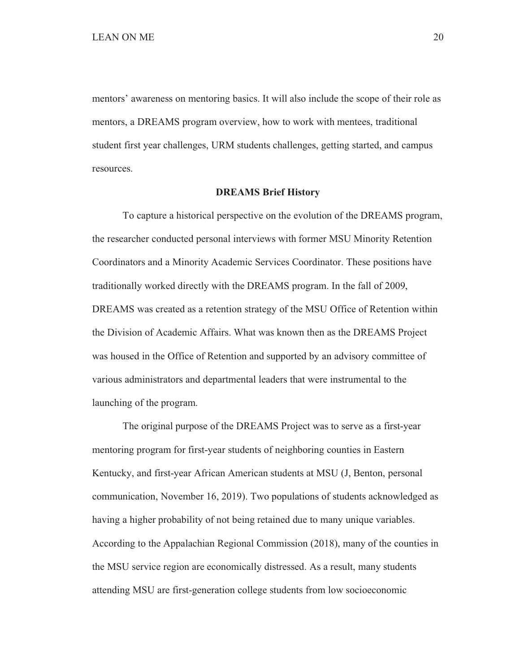mentors' awareness on mentoring basics. It will also include the scope of their role as mentors, a DREAMS program overview, how to work with mentees, traditional student first year challenges, URM students challenges, getting started, and campus resources.

#### **DREAMS Brief History**

 To capture a historical perspective on the evolution of the DREAMS program, the researcher conducted personal interviews with former MSU Minority Retention Coordinators and a Minority Academic Services Coordinator. These positions have traditionally worked directly with the DREAMS program. In the fall of 2009, DREAMS was created as a retention strategy of the MSU Office of Retention within the Division of Academic Affairs. What was known then as the DREAMS Project was housed in the Office of Retention and supported by an advisory committee of various administrators and departmental leaders that were instrumental to the launching of the program.

 The original purpose of the DREAMS Project was to serve as a first-year mentoring program for first-year students of neighboring counties in Eastern Kentucky, and first-year African American students at MSU (J, Benton, personal communication, November 16, 2019). Two populations of students acknowledged as having a higher probability of not being retained due to many unique variables. According to the Appalachian Regional Commission (2018), many of the counties in the MSU service region are economically distressed. As a result, many students attending MSU are first-generation college students from low socioeconomic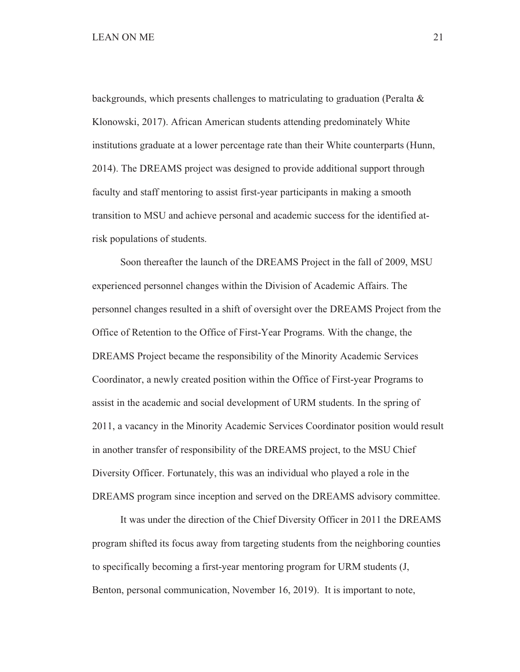backgrounds, which presents challenges to matriculating to graduation (Peralta  $\&$ Klonowski, 2017). African American students attending predominately White institutions graduate at a lower percentage rate than their White counterparts (Hunn, 2014). The DREAMS project was designed to provide additional support through faculty and staff mentoring to assist first-year participants in making a smooth transition to MSU and achieve personal and academic success for the identified atrisk populations of students.

 Soon thereafter the launch of the DREAMS Project in the fall of 2009, MSU experienced personnel changes within the Division of Academic Affairs. The personnel changes resulted in a shift of oversight over the DREAMS Project from the Office of Retention to the Office of First-Year Programs. With the change, the DREAMS Project became the responsibility of the Minority Academic Services Coordinator, a newly created position within the Office of First-year Programs to assist in the academic and social development of URM students. In the spring of 2011, a vacancy in the Minority Academic Services Coordinator position would result in another transfer of responsibility of the DREAMS project, to the MSU Chief Diversity Officer. Fortunately, this was an individual who played a role in the DREAMS program since inception and served on the DREAMS advisory committee.

 It was under the direction of the Chief Diversity Officer in 2011 the DREAMS program shifted its focus away from targeting students from the neighboring counties to specifically becoming a first-year mentoring program for URM students (J, Benton, personal communication, November 16, 2019). It is important to note,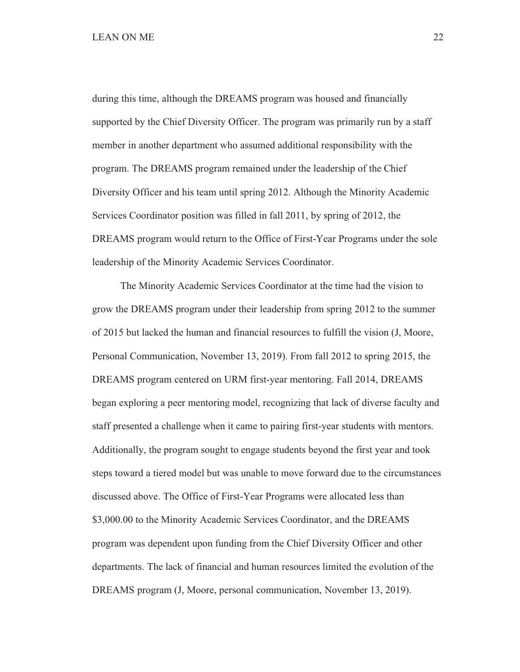during this time, although the DREAMS program was housed and financially supported by the Chief Diversity Officer. The program was primarily run by a staff member in another department who assumed additional responsibility with the program. The DREAMS program remained under the leadership of the Chief Diversity Officer and his team until spring 2012. Although the Minority Academic Services Coordinator position was filled in fall 2011, by spring of 2012, the DREAMS program would return to the Office of First-Year Programs under the sole leadership of the Minority Academic Services Coordinator.

 The Minority Academic Services Coordinator at the time had the vision to grow the DREAMS program under their leadership from spring 2012 to the summer of 2015 but lacked the human and financial resources to fulfill the vision (J, Moore, Personal Communication, November 13, 2019). From fall 2012 to spring 2015, the DREAMS program centered on URM first-year mentoring. Fall 2014, DREAMS began exploring a peer mentoring model, recognizing that lack of diverse faculty and staff presented a challenge when it came to pairing first-year students with mentors. Additionally, the program sought to engage students beyond the first year and took steps toward a tiered model but was unable to move forward due to the circumstances discussed above. The Office of First-Year Programs were allocated less than \$3,000.00 to the Minority Academic Services Coordinator, and the DREAMS program was dependent upon funding from the Chief Diversity Officer and other departments. The lack of financial and human resources limited the evolution of the DREAMS program (J, Moore, personal communication, November 13, 2019).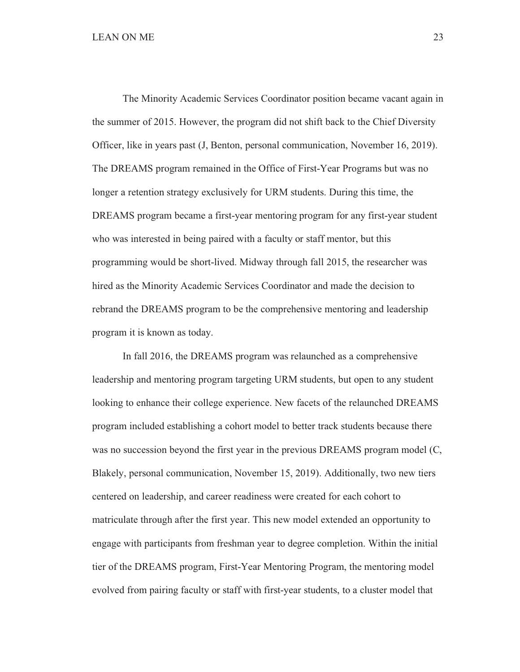The Minority Academic Services Coordinator position became vacant again in the summer of 2015. However, the program did not shift back to the Chief Diversity Officer, like in years past (J, Benton, personal communication, November 16, 2019). The DREAMS program remained in the Office of First-Year Programs but was no longer a retention strategy exclusively for URM students. During this time, the DREAMS program became a first-year mentoring program for any first-year student who was interested in being paired with a faculty or staff mentor, but this programming would be short-lived. Midway through fall 2015, the researcher was hired as the Minority Academic Services Coordinator and made the decision to rebrand the DREAMS program to be the comprehensive mentoring and leadership program it is known as today.

 In fall 2016, the DREAMS program was relaunched as a comprehensive leadership and mentoring program targeting URM students, but open to any student looking to enhance their college experience. New facets of the relaunched DREAMS program included establishing a cohort model to better track students because there was no succession beyond the first year in the previous DREAMS program model (C, Blakely, personal communication, November 15, 2019). Additionally, two new tiers centered on leadership, and career readiness were created for each cohort to matriculate through after the first year. This new model extended an opportunity to engage with participants from freshman year to degree completion. Within the initial tier of the DREAMS program, First-Year Mentoring Program, the mentoring model evolved from pairing faculty or staff with first-year students, to a cluster model that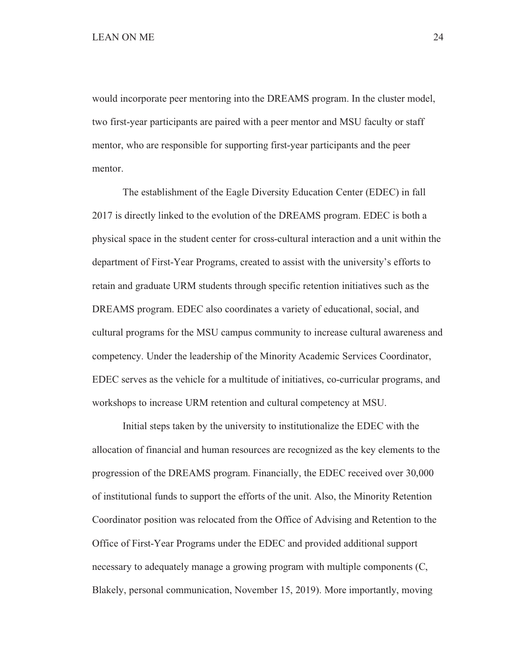would incorporate peer mentoring into the DREAMS program. In the cluster model, two first-year participants are paired with a peer mentor and MSU faculty or staff mentor, who are responsible for supporting first-year participants and the peer mentor.

 The establishment of the Eagle Diversity Education Center (EDEC) in fall 2017 is directly linked to the evolution of the DREAMS program. EDEC is both a physical space in the student center for cross-cultural interaction and a unit within the department of First-Year Programs, created to assist with the university's efforts to retain and graduate URM students through specific retention initiatives such as the DREAMS program. EDEC also coordinates a variety of educational, social, and cultural programs for the MSU campus community to increase cultural awareness and competency. Under the leadership of the Minority Academic Services Coordinator, EDEC serves as the vehicle for a multitude of initiatives, co-curricular programs, and workshops to increase URM retention and cultural competency at MSU.

Initial steps taken by the university to institutionalize the EDEC with the allocation of financial and human resources are recognized as the key elements to the progression of the DREAMS program. Financially, the EDEC received over 30,000 of institutional funds to support the efforts of the unit. Also, the Minority Retention Coordinator position was relocated from the Office of Advising and Retention to the Office of First-Year Programs under the EDEC and provided additional support necessary to adequately manage a growing program with multiple components (C, Blakely, personal communication, November 15, 2019). More importantly, moving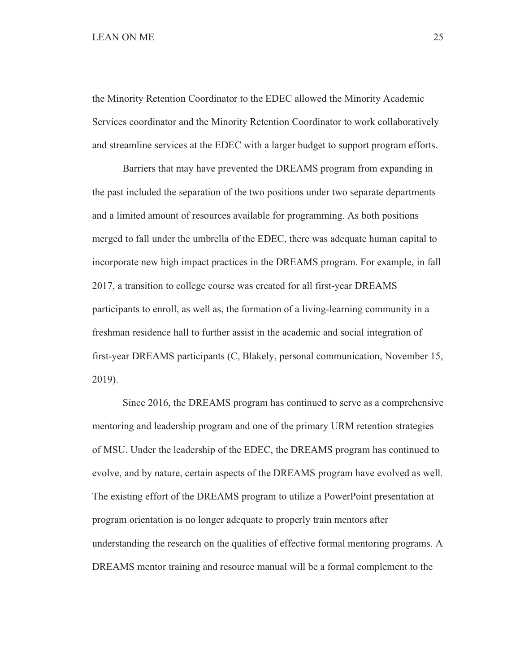## LEAN ON ME 25

the Minority Retention Coordinator to the EDEC allowed the Minority Academic Services coordinator and the Minority Retention Coordinator to work collaboratively and streamline services at the EDEC with a larger budget to support program efforts.

Barriers that may have prevented the DREAMS program from expanding in the past included the separation of the two positions under two separate departments and a limited amount of resources available for programming. As both positions merged to fall under the umbrella of the EDEC, there was adequate human capital to incorporate new high impact practices in the DREAMS program. For example, in fall 2017, a transition to college course was created for all first-year DREAMS participants to enroll, as well as, the formation of a living-learning community in a freshman residence hall to further assist in the academic and social integration of first-year DREAMS participants (C, Blakely, personal communication, November 15, 2019).

 Since 2016, the DREAMS program has continued to serve as a comprehensive mentoring and leadership program and one of the primary URM retention strategies of MSU. Under the leadership of the EDEC, the DREAMS program has continued to evolve, and by nature, certain aspects of the DREAMS program have evolved as well. The existing effort of the DREAMS program to utilize a PowerPoint presentation at program orientation is no longer adequate to properly train mentors after understanding the research on the qualities of effective formal mentoring programs. A DREAMS mentor training and resource manual will be a formal complement to the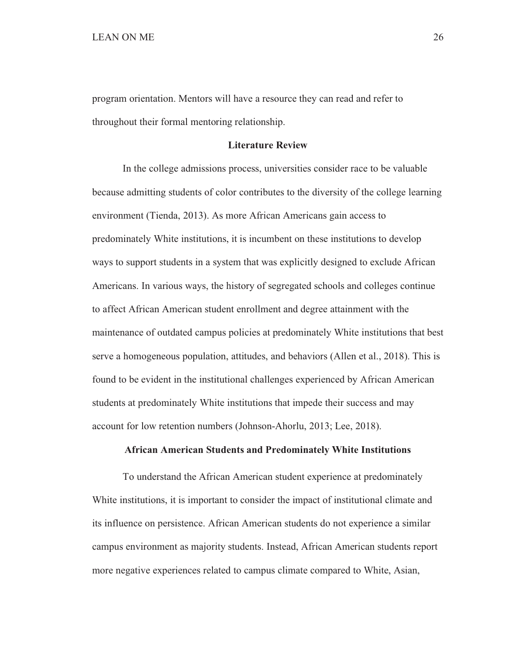program orientation. Mentors will have a resource they can read and refer to throughout their formal mentoring relationship.

### **Literature Review**

 In the college admissions process, universities consider race to be valuable because admitting students of color contributes to the diversity of the college learning environment (Tienda, 2013). As more African Americans gain access to predominately White institutions, it is incumbent on these institutions to develop ways to support students in a system that was explicitly designed to exclude African Americans. In various ways, the history of segregated schools and colleges continue to affect African American student enrollment and degree attainment with the maintenance of outdated campus policies at predominately White institutions that best serve a homogeneous population, attitudes, and behaviors (Allen et al., 2018). This is found to be evident in the institutional challenges experienced by African American students at predominately White institutions that impede their success and may account for low retention numbers (Johnson-Ahorlu, 2013; Lee, 2018).

### **African American Students and Predominately White Institutions**

 To understand the African American student experience at predominately White institutions, it is important to consider the impact of institutional climate and its influence on persistence. African American students do not experience a similar campus environment as majority students. Instead, African American students report more negative experiences related to campus climate compared to White, Asian,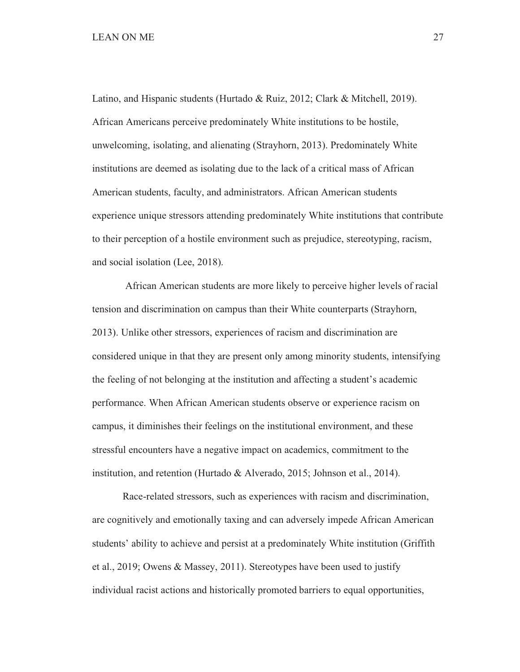Latino, and Hispanic students (Hurtado & Ruiz, 2012; Clark & Mitchell, 2019). African Americans perceive predominately White institutions to be hostile, unwelcoming, isolating, and alienating (Strayhorn, 2013). Predominately White institutions are deemed as isolating due to the lack of a critical mass of African American students, faculty, and administrators. African American students experience unique stressors attending predominately White institutions that contribute to their perception of a hostile environment such as prejudice, stereotyping, racism, and social isolation (Lee, 2018).

 African American students are more likely to perceive higher levels of racial tension and discrimination on campus than their White counterparts (Strayhorn, 2013). Unlike other stressors, experiences of racism and discrimination are considered unique in that they are present only among minority students, intensifying the feeling of not belonging at the institution and affecting a student's academic performance. When African American students observe or experience racism on campus, it diminishes their feelings on the institutional environment, and these stressful encounters have a negative impact on academics, commitment to the institution, and retention (Hurtado & Alverado, 2015; Johnson et al., 2014).

 Race-related stressors, such as experiences with racism and discrimination, are cognitively and emotionally taxing and can adversely impede African American students' ability to achieve and persist at a predominately White institution (Griffith et al., 2019; Owens & Massey, 2011). Stereotypes have been used to justify individual racist actions and historically promoted barriers to equal opportunities,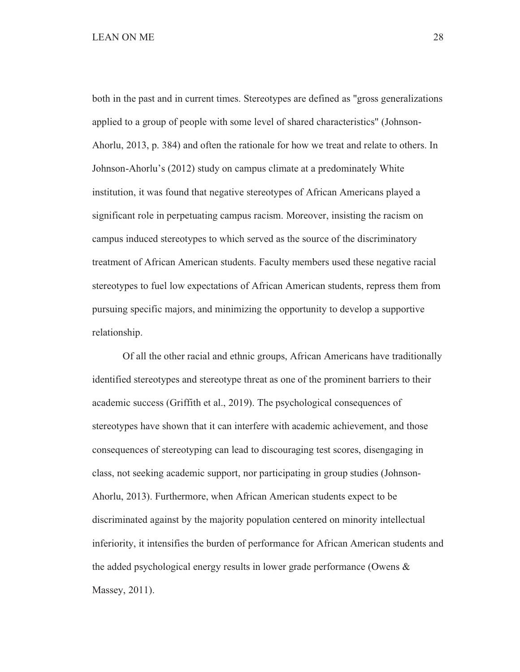both in the past and in current times. Stereotypes are defined as "gross generalizations applied to a group of people with some level of shared characteristics" (Johnson-Ahorlu, 2013, p. 384) and often the rationale for how we treat and relate to others. In Johnson-Ahorlu's (2012) study on campus climate at a predominately White institution, it was found that negative stereotypes of African Americans played a significant role in perpetuating campus racism. Moreover, insisting the racism on campus induced stereotypes to which served as the source of the discriminatory treatment of African American students. Faculty members used these negative racial stereotypes to fuel low expectations of African American students, repress them from pursuing specific majors, and minimizing the opportunity to develop a supportive relationship.

 Of all the other racial and ethnic groups, African Americans have traditionally identified stereotypes and stereotype threat as one of the prominent barriers to their academic success (Griffith et al., 2019). The psychological consequences of stereotypes have shown that it can interfere with academic achievement, and those consequences of stereotyping can lead to discouraging test scores, disengaging in class, not seeking academic support, nor participating in group studies (Johnson-Ahorlu, 2013). Furthermore, when African American students expect to be discriminated against by the majority population centered on minority intellectual inferiority, it intensifies the burden of performance for African American students and the added psychological energy results in lower grade performance (Owens & Massey, 2011).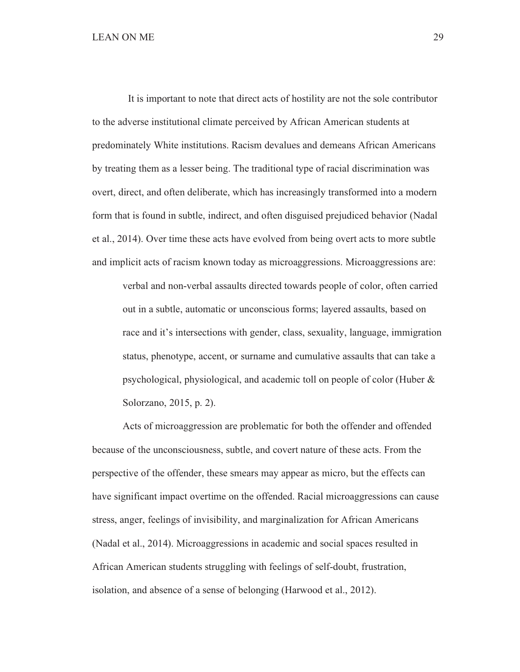It is important to note that direct acts of hostility are not the sole contributor to the adverse institutional climate perceived by African American students at predominately White institutions. Racism devalues and demeans African Americans by treating them as a lesser being. The traditional type of racial discrimination was overt, direct, and often deliberate, which has increasingly transformed into a modern form that is found in subtle, indirect, and often disguised prejudiced behavior (Nadal et al., 2014). Over time these acts have evolved from being overt acts to more subtle and implicit acts of racism known today as microaggressions. Microaggressions are:

verbal and non-verbal assaults directed towards people of color, often carried out in a subtle, automatic or unconscious forms; layered assaults, based on race and it's intersections with gender, class, sexuality, language, immigration status, phenotype, accent, or surname and cumulative assaults that can take a psychological, physiological, and academic toll on people of color (Huber & Solorzano, 2015, p. 2).

 Acts of microaggression are problematic for both the offender and offended because of the unconsciousness, subtle, and covert nature of these acts. From the perspective of the offender, these smears may appear as micro, but the effects can have significant impact overtime on the offended. Racial microaggressions can cause stress, anger, feelings of invisibility, and marginalization for African Americans (Nadal et al., 2014). Microaggressions in academic and social spaces resulted in African American students struggling with feelings of self-doubt, frustration, isolation, and absence of a sense of belonging (Harwood et al., 2012).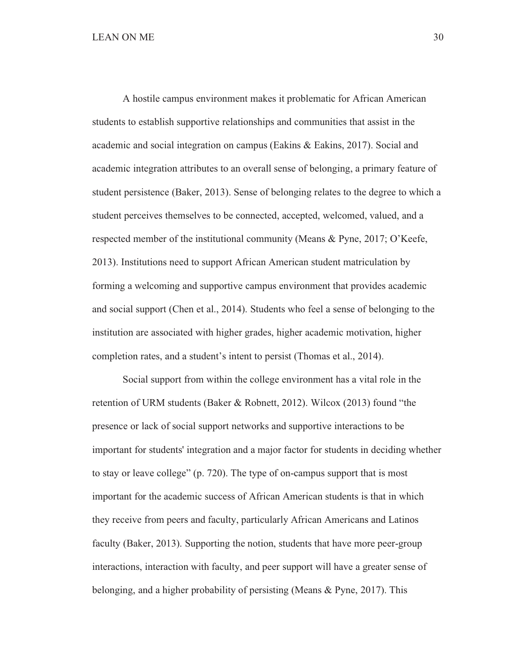A hostile campus environment makes it problematic for African American students to establish supportive relationships and communities that assist in the academic and social integration on campus (Eakins & Eakins, 2017). Social and academic integration attributes to an overall sense of belonging, a primary feature of student persistence (Baker, 2013). Sense of belonging relates to the degree to which a student perceives themselves to be connected, accepted, welcomed, valued, and a respected member of the institutional community (Means & Pyne, 2017; O'Keefe, 2013). Institutions need to support African American student matriculation by forming a welcoming and supportive campus environment that provides academic and social support (Chen et al., 2014). Students who feel a sense of belonging to the institution are associated with higher grades, higher academic motivation, higher completion rates, and a student's intent to persist (Thomas et al., 2014).

 Social support from within the college environment has a vital role in the retention of URM students (Baker & Robnett, 2012). Wilcox (2013) found "the presence or lack of social support networks and supportive interactions to be important for students' integration and a major factor for students in deciding whether to stay or leave college" (p. 720). The type of on-campus support that is most important for the academic success of African American students is that in which they receive from peers and faculty, particularly African Americans and Latinos faculty (Baker, 2013). Supporting the notion, students that have more peer-group interactions, interaction with faculty, and peer support will have a greater sense of belonging, and a higher probability of persisting (Means & Pyne, 2017). This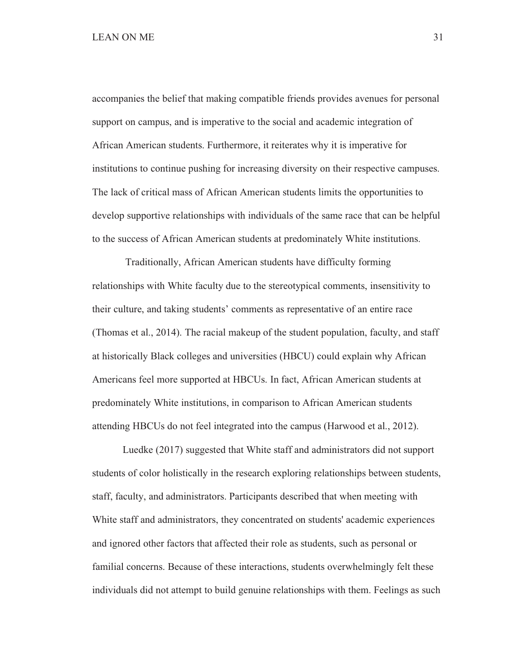accompanies the belief that making compatible friends provides avenues for personal support on campus, and is imperative to the social and academic integration of African American students. Furthermore, it reiterates why it is imperative for institutions to continue pushing for increasing diversity on their respective campuses. The lack of critical mass of African American students limits the opportunities to develop supportive relationships with individuals of the same race that can be helpful to the success of African American students at predominately White institutions.

 Traditionally, African American students have difficulty forming relationships with White faculty due to the stereotypical comments, insensitivity to their culture, and taking students' comments as representative of an entire race (Thomas et al., 2014). The racial makeup of the student population, faculty, and staff at historically Black colleges and universities (HBCU) could explain why African Americans feel more supported at HBCUs. In fact, African American students at predominately White institutions, in comparison to African American students attending HBCUs do not feel integrated into the campus (Harwood et al., 2012).

 Luedke (2017) suggested that White staff and administrators did not support students of color holistically in the research exploring relationships between students, staff, faculty, and administrators. Participants described that when meeting with White staff and administrators, they concentrated on students' academic experiences and ignored other factors that affected their role as students, such as personal or familial concerns. Because of these interactions, students overwhelmingly felt these individuals did not attempt to build genuine relationships with them. Feelings as such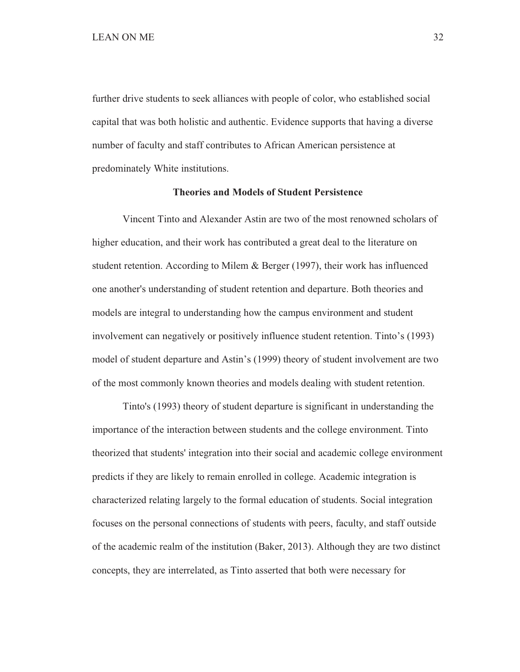further drive students to seek alliances with people of color, who established social capital that was both holistic and authentic. Evidence supports that having a diverse number of faculty and staff contributes to African American persistence at predominately White institutions.

#### **Theories and Models of Student Persistence**

 Vincent Tinto and Alexander Astin are two of the most renowned scholars of higher education, and their work has contributed a great deal to the literature on student retention. According to Milem & Berger (1997), their work has influenced one another's understanding of student retention and departure. Both theories and models are integral to understanding how the campus environment and student involvement can negatively or positively influence student retention. Tinto's (1993) model of student departure and Astin's (1999) theory of student involvement are two of the most commonly known theories and models dealing with student retention.

Tinto's (1993) theory of student departure is significant in understanding the importance of the interaction between students and the college environment. Tinto theorized that students' integration into their social and academic college environment predicts if they are likely to remain enrolled in college. Academic integration is characterized relating largely to the formal education of students. Social integration focuses on the personal connections of students with peers, faculty, and staff outside of the academic realm of the institution (Baker, 2013). Although they are two distinct concepts, they are interrelated, as Tinto asserted that both were necessary for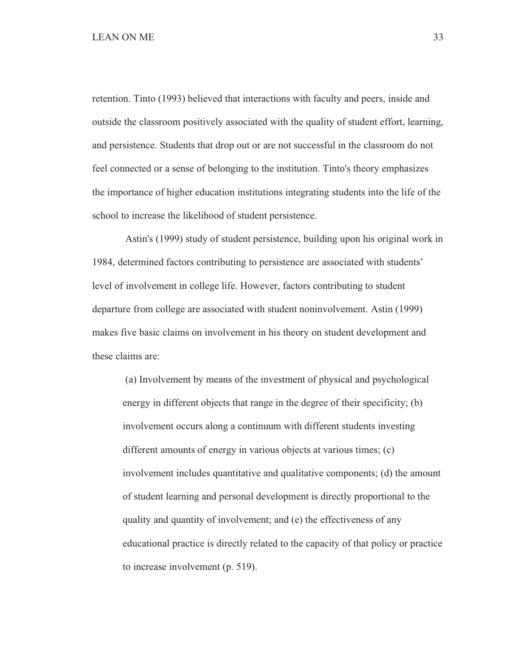## LEAN ON ME 33

retention. Tinto (1993) believed that interactions with faculty and peers, inside and outside the classroom positively associated with the quality of student effort, learning, and persistence. Students that drop out or are not successful in the classroom do not feel connected or a sense of belonging to the institution. Tinto's theory emphasizes the importance of higher education institutions integrating students into the life of the school to increase the likelihood of student persistence.

 Astin's (1999) study of student persistence, building upon his original work in 1984, determined factors contributing to persistence are associated with students' level of involvement in college life. However, factors contributing to student departure from college are associated with student noninvolvement. Astin (1999) makes five basic claims on involvement in his theory on student development and these claims are:

 (a) Involvement by means of the investment of physical and psychological energy in different objects that range in the degree of their specificity; (b) involvement occurs along a continuum with different students investing different amounts of energy in various objects at various times; (c) involvement includes quantitative and qualitative components; (d) the amount of student learning and personal development is directly proportional to the quality and quantity of involvement; and (e) the effectiveness of any educational practice is directly related to the capacity of that policy or practice to increase involvement (p. 519).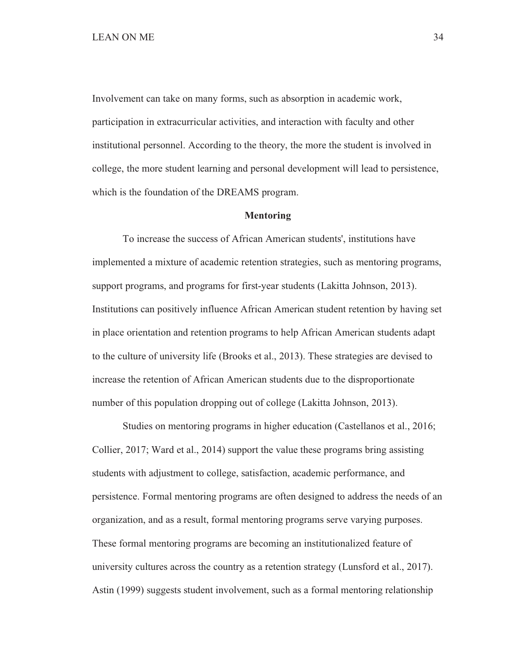Involvement can take on many forms, such as absorption in academic work, participation in extracurricular activities, and interaction with faculty and other institutional personnel. According to the theory, the more the student is involved in college, the more student learning and personal development will lead to persistence, which is the foundation of the DREAMS program.

#### **Mentoring**

 To increase the success of African American students', institutions have implemented a mixture of academic retention strategies, such as mentoring programs, support programs, and programs for first-year students (Lakitta Johnson, 2013). Institutions can positively influence African American student retention by having set in place orientation and retention programs to help African American students adapt to the culture of university life (Brooks et al., 2013). These strategies are devised to increase the retention of African American students due to the disproportionate number of this population dropping out of college (Lakitta Johnson, 2013).

 Studies on mentoring programs in higher education (Castellanos et al., 2016; Collier, 2017; Ward et al., 2014) support the value these programs bring assisting students with adjustment to college, satisfaction, academic performance, and persistence. Formal mentoring programs are often designed to address the needs of an organization, and as a result, formal mentoring programs serve varying purposes. These formal mentoring programs are becoming an institutionalized feature of university cultures across the country as a retention strategy (Lunsford et al., 2017). Astin (1999) suggests student involvement, such as a formal mentoring relationship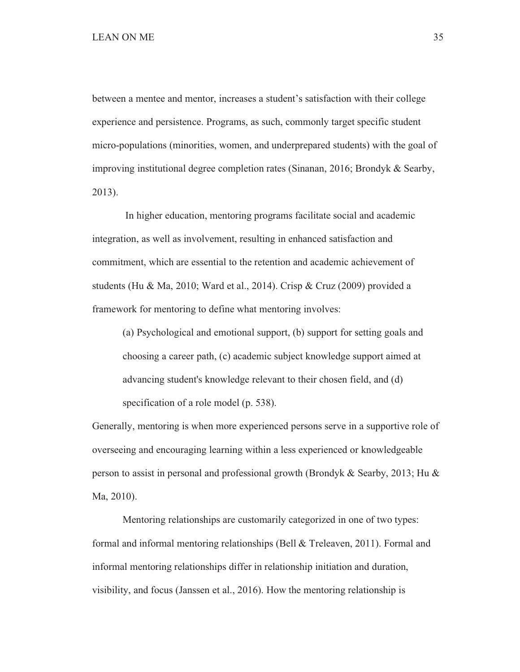between a mentee and mentor, increases a student's satisfaction with their college experience and persistence. Programs, as such, commonly target specific student micro-populations (minorities, women, and underprepared students) with the goal of improving institutional degree completion rates (Sinanan, 2016; Brondyk & Searby, 2013).

 In higher education, mentoring programs facilitate social and academic integration, as well as involvement, resulting in enhanced satisfaction and commitment, which are essential to the retention and academic achievement of students (Hu & Ma, 2010; Ward et al., 2014). Crisp & Cruz (2009) provided a framework for mentoring to define what mentoring involves:

 (a) Psychological and emotional support, (b) support for setting goals and choosing a career path, (c) academic subject knowledge support aimed at advancing student's knowledge relevant to their chosen field, and (d) specification of a role model (p. 538).

Generally, mentoring is when more experienced persons serve in a supportive role of overseeing and encouraging learning within a less experienced or knowledgeable person to assist in personal and professional growth (Brondyk & Searby, 2013; Hu & Ma, 2010).

 Mentoring relationships are customarily categorized in one of two types: formal and informal mentoring relationships (Bell & Treleaven, 2011). Formal and informal mentoring relationships differ in relationship initiation and duration, visibility, and focus (Janssen et al., 2016). How the mentoring relationship is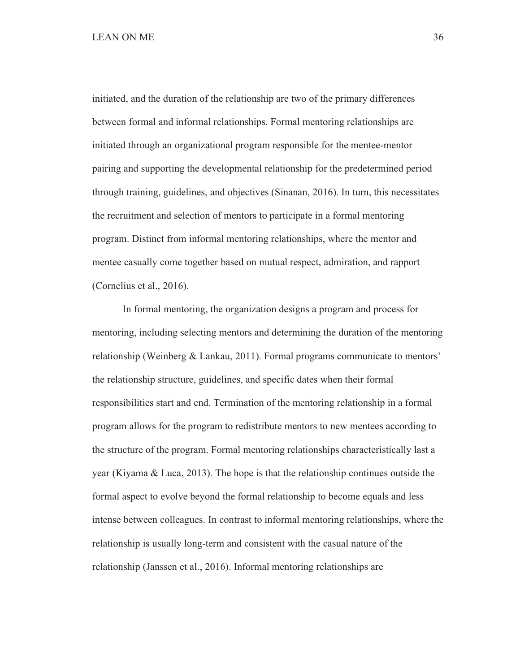initiated, and the duration of the relationship are two of the primary differences between formal and informal relationships. Formal mentoring relationships are initiated through an organizational program responsible for the mentee-mentor pairing and supporting the developmental relationship for the predetermined period through training, guidelines, and objectives (Sinanan, 2016). In turn, this necessitates the recruitment and selection of mentors to participate in a formal mentoring program. Distinct from informal mentoring relationships, where the mentor and mentee casually come together based on mutual respect, admiration, and rapport (Cornelius et al., 2016).

 In formal mentoring, the organization designs a program and process for mentoring, including selecting mentors and determining the duration of the mentoring relationship (Weinberg & Lankau, 2011). Formal programs communicate to mentors' the relationship structure, guidelines, and specific dates when their formal responsibilities start and end. Termination of the mentoring relationship in a formal program allows for the program to redistribute mentors to new mentees according to the structure of the program. Formal mentoring relationships characteristically last a year (Kiyama & Luca, 2013). The hope is that the relationship continues outside the formal aspect to evolve beyond the formal relationship to become equals and less intense between colleagues. In contrast to informal mentoring relationships, where the relationship is usually long-term and consistent with the casual nature of the relationship (Janssen et al., 2016). Informal mentoring relationships are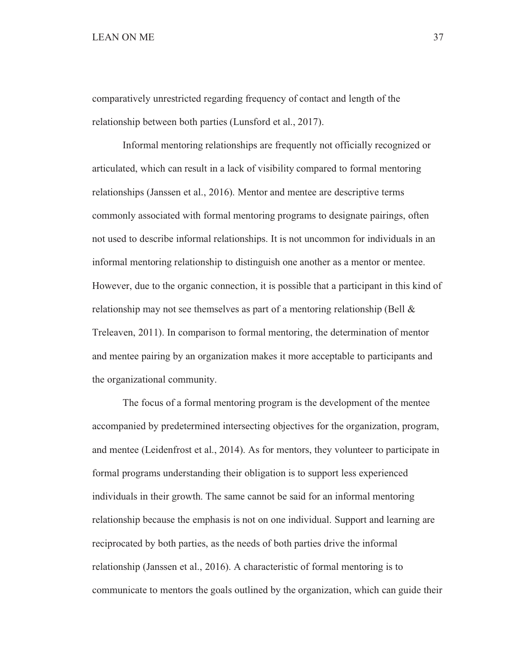comparatively unrestricted regarding frequency of contact and length of the relationship between both parties (Lunsford et al., 2017).

 Informal mentoring relationships are frequently not officially recognized or articulated, which can result in a lack of visibility compared to formal mentoring relationships (Janssen et al., 2016). Mentor and mentee are descriptive terms commonly associated with formal mentoring programs to designate pairings, often not used to describe informal relationships. It is not uncommon for individuals in an informal mentoring relationship to distinguish one another as a mentor or mentee. However, due to the organic connection, it is possible that a participant in this kind of relationship may not see themselves as part of a mentoring relationship (Bell & Treleaven, 2011). In comparison to formal mentoring, the determination of mentor and mentee pairing by an organization makes it more acceptable to participants and the organizational community.

 The focus of a formal mentoring program is the development of the mentee accompanied by predetermined intersecting objectives for the organization, program, and mentee (Leidenfrost et al., 2014). As for mentors, they volunteer to participate in formal programs understanding their obligation is to support less experienced individuals in their growth. The same cannot be said for an informal mentoring relationship because the emphasis is not on one individual. Support and learning are reciprocated by both parties, as the needs of both parties drive the informal relationship (Janssen et al., 2016). A characteristic of formal mentoring is to communicate to mentors the goals outlined by the organization, which can guide their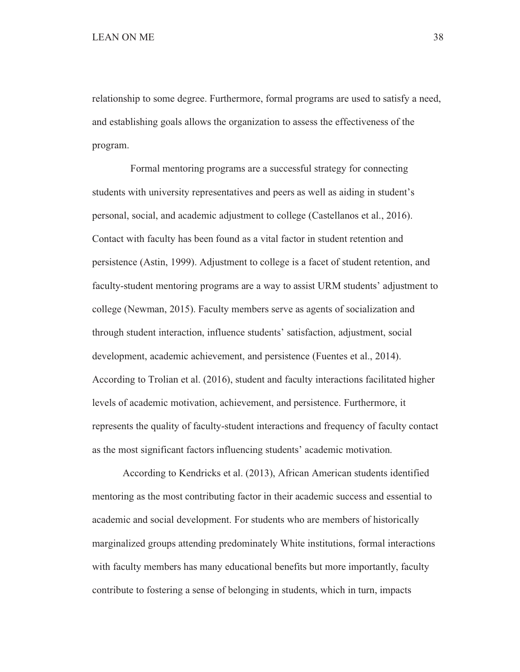relationship to some degree. Furthermore, formal programs are used to satisfy a need, and establishing goals allows the organization to assess the effectiveness of the program.

 Formal mentoring programs are a successful strategy for connecting students with university representatives and peers as well as aiding in student's personal, social, and academic adjustment to college (Castellanos et al., 2016). Contact with faculty has been found as a vital factor in student retention and persistence (Astin, 1999). Adjustment to college is a facet of student retention, and faculty-student mentoring programs are a way to assist URM students' adjustment to college (Newman, 2015). Faculty members serve as agents of socialization and through student interaction, influence students' satisfaction, adjustment, social development, academic achievement, and persistence (Fuentes et al., 2014). According to Trolian et al. (2016), student and faculty interactions facilitated higher levels of academic motivation, achievement, and persistence. Furthermore, it represents the quality of faculty-student interactions and frequency of faculty contact as the most significant factors influencing students' academic motivation.

 According to Kendricks et al. (2013), African American students identified mentoring as the most contributing factor in their academic success and essential to academic and social development. For students who are members of historically marginalized groups attending predominately White institutions, formal interactions with faculty members has many educational benefits but more importantly, faculty contribute to fostering a sense of belonging in students, which in turn, impacts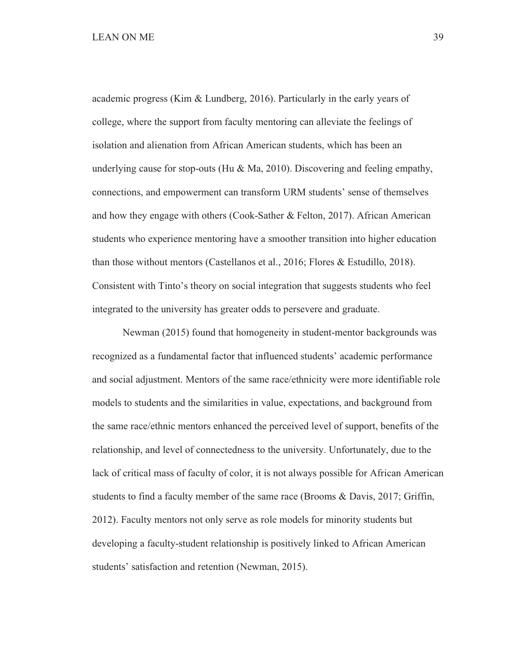academic progress (Kim & Lundberg, 2016). Particularly in the early years of college, where the support from faculty mentoring can alleviate the feelings of isolation and alienation from African American students, which has been an underlying cause for stop-outs (Hu & Ma, 2010). Discovering and feeling empathy, connections, and empowerment can transform URM students' sense of themselves and how they engage with others (Cook-Sather & Felton, 2017). African American students who experience mentoring have a smoother transition into higher education than those without mentors (Castellanos et al., 2016; Flores & Estudillo, 2018). Consistent with Tinto's theory on social integration that suggests students who feel integrated to the university has greater odds to persevere and graduate.

 Newman (2015) found that homogeneity in student-mentor backgrounds was recognized as a fundamental factor that influenced students' academic performance and social adjustment. Mentors of the same race/ethnicity were more identifiable role models to students and the similarities in value, expectations, and background from the same race/ethnic mentors enhanced the perceived level of support, benefits of the relationship, and level of connectedness to the university. Unfortunately, due to the lack of critical mass of faculty of color, it is not always possible for African American students to find a faculty member of the same race (Brooms & Davis, 2017; Griffin, 2012). Faculty mentors not only serve as role models for minority students but developing a faculty-student relationship is positively linked to African American students' satisfaction and retention (Newman, 2015).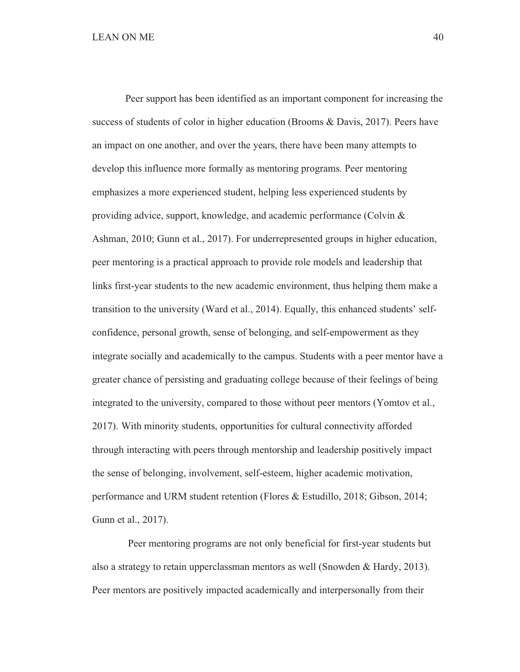Peer support has been identified as an important component for increasing the success of students of color in higher education (Brooms & Davis, 2017). Peers have an impact on one another, and over the years, there have been many attempts to develop this influence more formally as mentoring programs. Peer mentoring emphasizes a more experienced student, helping less experienced students by providing advice, support, knowledge, and academic performance (Colvin & Ashman, 2010; Gunn et al., 2017). For underrepresented groups in higher education, peer mentoring is a practical approach to provide role models and leadership that links first-year students to the new academic environment, thus helping them make a transition to the university (Ward et al., 2014). Equally, this enhanced students' selfconfidence, personal growth, sense of belonging, and self-empowerment as they integrate socially and academically to the campus. Students with a peer mentor have a greater chance of persisting and graduating college because of their feelings of being integrated to the university, compared to those without peer mentors (Yomtov et al., 2017). With minority students, opportunities for cultural connectivity afforded through interacting with peers through mentorship and leadership positively impact the sense of belonging, involvement, self-esteem, higher academic motivation, performance and URM student retention (Flores & Estudillo, 2018; Gibson, 2014; Gunn et al., 2017).

 Peer mentoring programs are not only beneficial for first-year students but also a strategy to retain upperclassman mentors as well (Snowden & Hardy, 2013). Peer mentors are positively impacted academically and interpersonally from their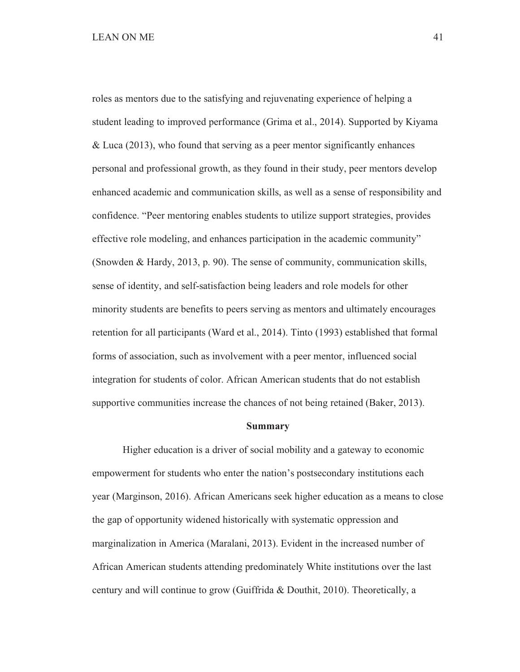roles as mentors due to the satisfying and rejuvenating experience of helping a student leading to improved performance (Grima et al., 2014). Supported by Kiyama & Luca (2013), who found that serving as a peer mentor significantly enhances personal and professional growth, as they found in their study, peer mentors develop enhanced academic and communication skills, as well as a sense of responsibility and confidence. "Peer mentoring enables students to utilize support strategies, provides effective role modeling, and enhances participation in the academic community" (Snowden & Hardy, 2013, p. 90). The sense of community, communication skills, sense of identity, and self-satisfaction being leaders and role models for other minority students are benefits to peers serving as mentors and ultimately encourages retention for all participants (Ward et al., 2014). Tinto (1993) established that formal forms of association, such as involvement with a peer mentor, influenced social integration for students of color. African American students that do not establish supportive communities increase the chances of not being retained (Baker, 2013).

#### **Summary**

 Higher education is a driver of social mobility and a gateway to economic empowerment for students who enter the nation's postsecondary institutions each year (Marginson, 2016). African Americans seek higher education as a means to close the gap of opportunity widened historically with systematic oppression and marginalization in America (Maralani, 2013). Evident in the increased number of African American students attending predominately White institutions over the last century and will continue to grow (Guiffrida & Douthit, 2010). Theoretically, a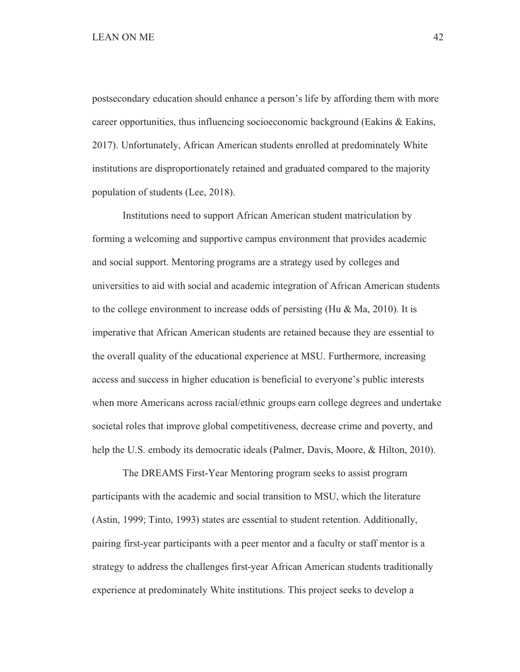postsecondary education should enhance a person's life by affording them with more career opportunities, thus influencing socioeconomic background (Eakins & Eakins, 2017). Unfortunately, African American students enrolled at predominately White institutions are disproportionately retained and graduated compared to the majority population of students (Lee, 2018).

 Institutions need to support African American student matriculation by forming a welcoming and supportive campus environment that provides academic and social support. Mentoring programs are a strategy used by colleges and universities to aid with social and academic integration of African American students to the college environment to increase odds of persisting (Hu & Ma, 2010). It is imperative that African American students are retained because they are essential to the overall quality of the educational experience at MSU. Furthermore, increasing access and success in higher education is beneficial to everyone's public interests when more Americans across racial/ethnic groups earn college degrees and undertake societal roles that improve global competitiveness, decrease crime and poverty, and help the U.S. embody its democratic ideals (Palmer, Davis, Moore, & Hilton, 2010).

The DREAMS First-Year Mentoring program seeks to assist program participants with the academic and social transition to MSU, which the literature (Astin, 1999; Tinto, 1993) states are essential to student retention. Additionally, pairing first-year participants with a peer mentor and a faculty or staff mentor is a strategy to address the challenges first-year African American students traditionally experience at predominately White institutions. This project seeks to develop a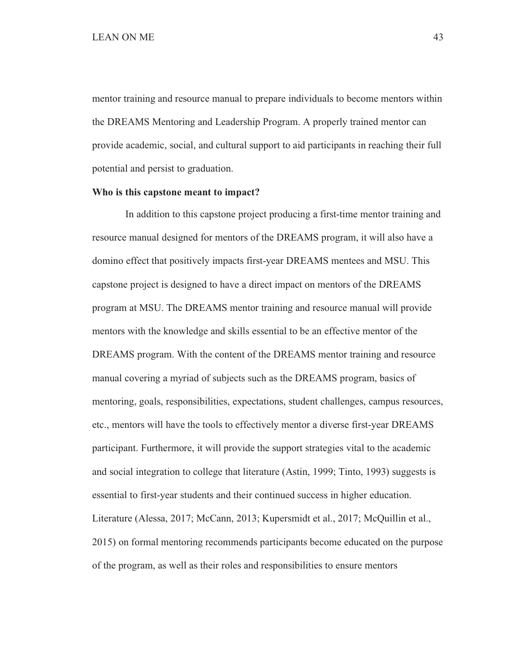mentor training and resource manual to prepare individuals to become mentors within the DREAMS Mentoring and Leadership Program. A properly trained mentor can provide academic, social, and cultural support to aid participants in reaching their full potential and persist to graduation.

#### **Who is this capstone meant to impact?**

 In addition to this capstone project producing a first-time mentor training and resource manual designed for mentors of the DREAMS program, it will also have a domino effect that positively impacts first-year DREAMS mentees and MSU. This capstone project is designed to have a direct impact on mentors of the DREAMS program at MSU. The DREAMS mentor training and resource manual will provide mentors with the knowledge and skills essential to be an effective mentor of the DREAMS program. With the content of the DREAMS mentor training and resource manual covering a myriad of subjects such as the DREAMS program, basics of mentoring, goals, responsibilities, expectations, student challenges, campus resources, etc., mentors will have the tools to effectively mentor a diverse first-year DREAMS participant. Furthermore, it will provide the support strategies vital to the academic and social integration to college that literature (Astin, 1999; Tinto, 1993) suggests is essential to first-year students and their continued success in higher education. Literature (Alessa, 2017; McCann, 2013; Kupersmidt et al., 2017; McQuillin et al., 2015) on formal mentoring recommends participants become educated on the purpose of the program, as well as their roles and responsibilities to ensure mentors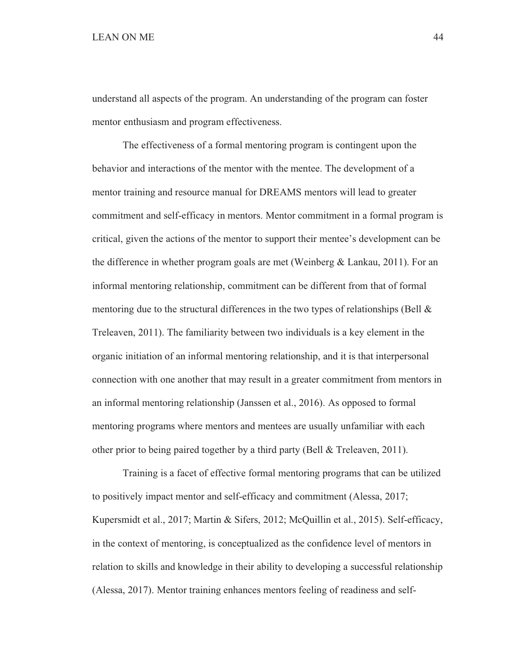understand all aspects of the program. An understanding of the program can foster mentor enthusiasm and program effectiveness.

 The effectiveness of a formal mentoring program is contingent upon the behavior and interactions of the mentor with the mentee. The development of a mentor training and resource manual for DREAMS mentors will lead to greater commitment and self-efficacy in mentors. Mentor commitment in a formal program is critical, given the actions of the mentor to support their mentee's development can be the difference in whether program goals are met (Weinberg & Lankau, 2011). For an informal mentoring relationship, commitment can be different from that of formal mentoring due to the structural differences in the two types of relationships (Bell  $\&$ Treleaven, 2011). The familiarity between two individuals is a key element in the organic initiation of an informal mentoring relationship, and it is that interpersonal connection with one another that may result in a greater commitment from mentors in an informal mentoring relationship (Janssen et al., 2016). As opposed to formal mentoring programs where mentors and mentees are usually unfamiliar with each other prior to being paired together by a third party (Bell & Treleaven, 2011).

 Training is a facet of effective formal mentoring programs that can be utilized to positively impact mentor and self-efficacy and commitment (Alessa, 2017; Kupersmidt et al., 2017; Martin & Sifers, 2012; McQuillin et al., 2015). Self-efficacy, in the context of mentoring, is conceptualized as the confidence level of mentors in relation to skills and knowledge in their ability to developing a successful relationship (Alessa, 2017). Mentor training enhances mentors feeling of readiness and self-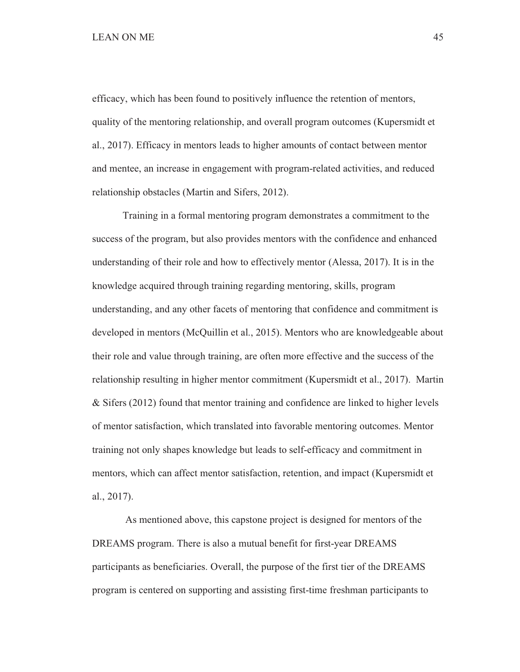# LEAN ON ME 45

efficacy, which has been found to positively influence the retention of mentors, quality of the mentoring relationship, and overall program outcomes (Kupersmidt et al., 2017). Efficacy in mentors leads to higher amounts of contact between mentor and mentee, an increase in engagement with program-related activities, and reduced relationship obstacles (Martin and Sifers, 2012).

 Training in a formal mentoring program demonstrates a commitment to the success of the program, but also provides mentors with the confidence and enhanced understanding of their role and how to effectively mentor (Alessa, 2017). It is in the knowledge acquired through training regarding mentoring, skills, program understanding, and any other facets of mentoring that confidence and commitment is developed in mentors (McQuillin et al., 2015). Mentors who are knowledgeable about their role and value through training, are often more effective and the success of the relationship resulting in higher mentor commitment (Kupersmidt et al., 2017). Martin & Sifers (2012) found that mentor training and confidence are linked to higher levels of mentor satisfaction, which translated into favorable mentoring outcomes. Mentor training not only shapes knowledge but leads to self-efficacy and commitment in mentors, which can affect mentor satisfaction, retention, and impact (Kupersmidt et al., 2017).

 As mentioned above, this capstone project is designed for mentors of the DREAMS program. There is also a mutual benefit for first-year DREAMS participants as beneficiaries. Overall, the purpose of the first tier of the DREAMS program is centered on supporting and assisting first-time freshman participants to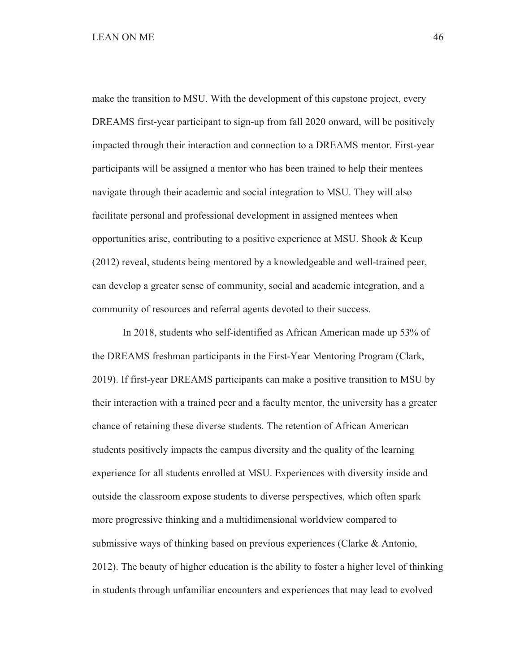make the transition to MSU. With the development of this capstone project, every DREAMS first-year participant to sign-up from fall 2020 onward, will be positively impacted through their interaction and connection to a DREAMS mentor. First-year participants will be assigned a mentor who has been trained to help their mentees navigate through their academic and social integration to MSU. They will also facilitate personal and professional development in assigned mentees when opportunities arise, contributing to a positive experience at MSU. Shook & Keup (2012) reveal, students being mentored by a knowledgeable and well-trained peer, can develop a greater sense of community, social and academic integration, and a community of resources and referral agents devoted to their success.

 In 2018, students who self-identified as African American made up 53% of the DREAMS freshman participants in the First-Year Mentoring Program (Clark, 2019). If first-year DREAMS participants can make a positive transition to MSU by their interaction with a trained peer and a faculty mentor, the university has a greater chance of retaining these diverse students. The retention of African American students positively impacts the campus diversity and the quality of the learning experience for all students enrolled at MSU. Experiences with diversity inside and outside the classroom expose students to diverse perspectives, which often spark more progressive thinking and a multidimensional worldview compared to submissive ways of thinking based on previous experiences (Clarke & Antonio, 2012). The beauty of higher education is the ability to foster a higher level of thinking in students through unfamiliar encounters and experiences that may lead to evolved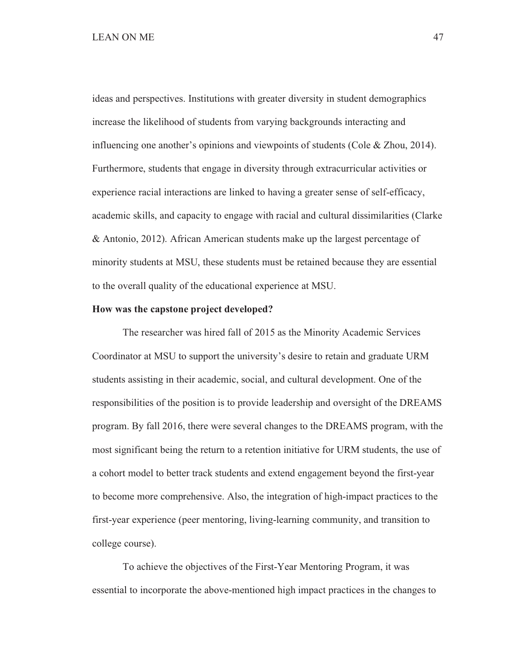ideas and perspectives. Institutions with greater diversity in student demographics increase the likelihood of students from varying backgrounds interacting and influencing one another's opinions and viewpoints of students (Cole & Zhou, 2014). Furthermore, students that engage in diversity through extracurricular activities or experience racial interactions are linked to having a greater sense of self-efficacy, academic skills, and capacity to engage with racial and cultural dissimilarities (Clarke & Antonio, 2012). African American students make up the largest percentage of minority students at MSU, these students must be retained because they are essential to the overall quality of the educational experience at MSU.

#### **How was the capstone project developed?**

The researcher was hired fall of 2015 as the Minority Academic Services Coordinator at MSU to support the university's desire to retain and graduate URM students assisting in their academic, social, and cultural development. One of the responsibilities of the position is to provide leadership and oversight of the DREAMS program. By fall 2016, there were several changes to the DREAMS program, with the most significant being the return to a retention initiative for URM students, the use of a cohort model to better track students and extend engagement beyond the first-year to become more comprehensive. Also, the integration of high-impact practices to the first-year experience (peer mentoring, living-learning community, and transition to college course).

 To achieve the objectives of the First-Year Mentoring Program, it was essential to incorporate the above-mentioned high impact practices in the changes to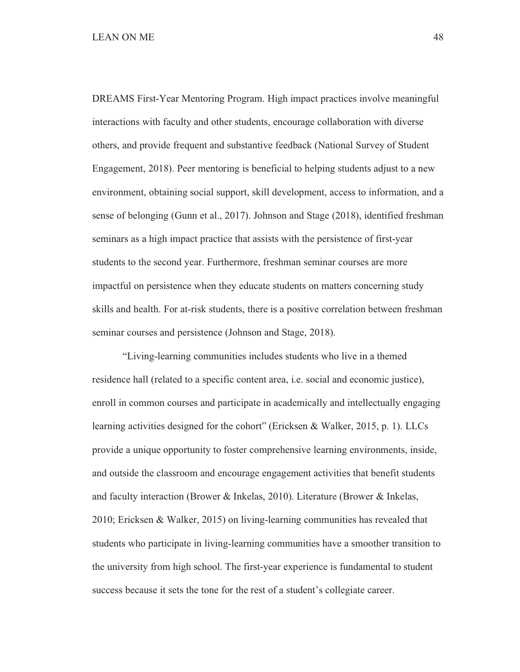DREAMS First-Year Mentoring Program. High impact practices involve meaningful interactions with faculty and other students, encourage collaboration with diverse others, and provide frequent and substantive feedback (National Survey of Student Engagement, 2018). Peer mentoring is beneficial to helping students adjust to a new environment, obtaining social support, skill development, access to information, and a sense of belonging (Gunn et al., 2017). Johnson and Stage (2018), identified freshman seminars as a high impact practice that assists with the persistence of first-year students to the second year. Furthermore, freshman seminar courses are more impactful on persistence when they educate students on matters concerning study skills and health. For at-risk students, there is a positive correlation between freshman seminar courses and persistence (Johnson and Stage, 2018).

 "Living-learning communities includes students who live in a themed residence hall (related to a specific content area, i.e. social and economic justice), enroll in common courses and participate in academically and intellectually engaging learning activities designed for the cohort" (Ericksen & Walker, 2015, p. 1). LLCs provide a unique opportunity to foster comprehensive learning environments, inside, and outside the classroom and encourage engagement activities that benefit students and faculty interaction (Brower & Inkelas, 2010). Literature (Brower & Inkelas, 2010; Ericksen & Walker, 2015) on living-learning communities has revealed that students who participate in living-learning communities have a smoother transition to the university from high school. The first-year experience is fundamental to student success because it sets the tone for the rest of a student's collegiate career.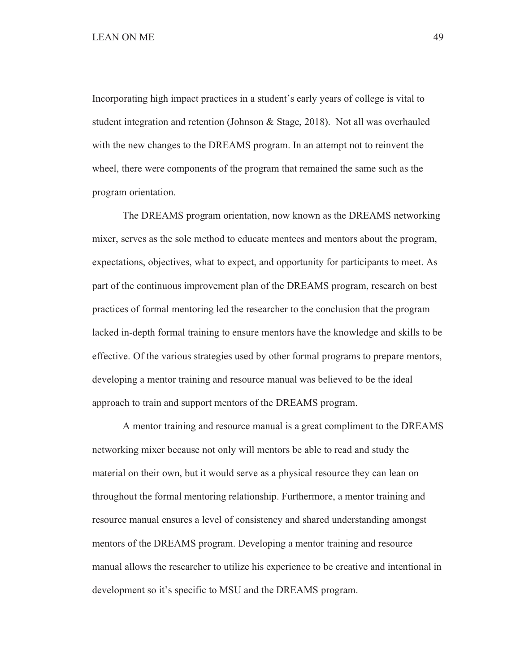Incorporating high impact practices in a student's early years of college is vital to student integration and retention (Johnson & Stage, 2018). Not all was overhauled with the new changes to the DREAMS program. In an attempt not to reinvent the wheel, there were components of the program that remained the same such as the program orientation.

 The DREAMS program orientation, now known as the DREAMS networking mixer, serves as the sole method to educate mentees and mentors about the program, expectations, objectives, what to expect, and opportunity for participants to meet. As part of the continuous improvement plan of the DREAMS program, research on best practices of formal mentoring led the researcher to the conclusion that the program lacked in-depth formal training to ensure mentors have the knowledge and skills to be effective. Of the various strategies used by other formal programs to prepare mentors, developing a mentor training and resource manual was believed to be the ideal approach to train and support mentors of the DREAMS program.

 A mentor training and resource manual is a great compliment to the DREAMS networking mixer because not only will mentors be able to read and study the material on their own, but it would serve as a physical resource they can lean on throughout the formal mentoring relationship. Furthermore, a mentor training and resource manual ensures a level of consistency and shared understanding amongst mentors of the DREAMS program. Developing a mentor training and resource manual allows the researcher to utilize his experience to be creative and intentional in development so it's specific to MSU and the DREAMS program.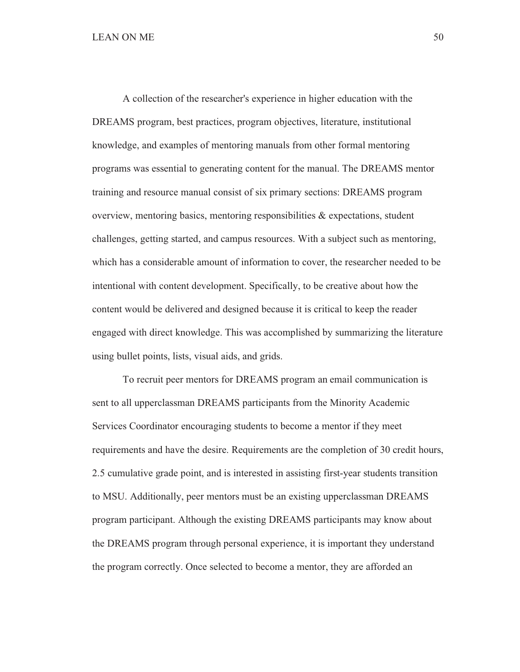A collection of the researcher's experience in higher education with the DREAMS program, best practices, program objectives, literature, institutional knowledge, and examples of mentoring manuals from other formal mentoring programs was essential to generating content for the manual. The DREAMS mentor training and resource manual consist of six primary sections: DREAMS program overview, mentoring basics, mentoring responsibilities  $\&$  expectations, student challenges, getting started, and campus resources. With a subject such as mentoring, which has a considerable amount of information to cover, the researcher needed to be intentional with content development. Specifically, to be creative about how the content would be delivered and designed because it is critical to keep the reader engaged with direct knowledge. This was accomplished by summarizing the literature using bullet points, lists, visual aids, and grids.

 To recruit peer mentors for DREAMS program an email communication is sent to all upperclassman DREAMS participants from the Minority Academic Services Coordinator encouraging students to become a mentor if they meet requirements and have the desire. Requirements are the completion of 30 credit hours, 2.5 cumulative grade point, and is interested in assisting first-year students transition to MSU. Additionally, peer mentors must be an existing upperclassman DREAMS program participant. Although the existing DREAMS participants may know about the DREAMS program through personal experience, it is important they understand the program correctly. Once selected to become a mentor, they are afforded an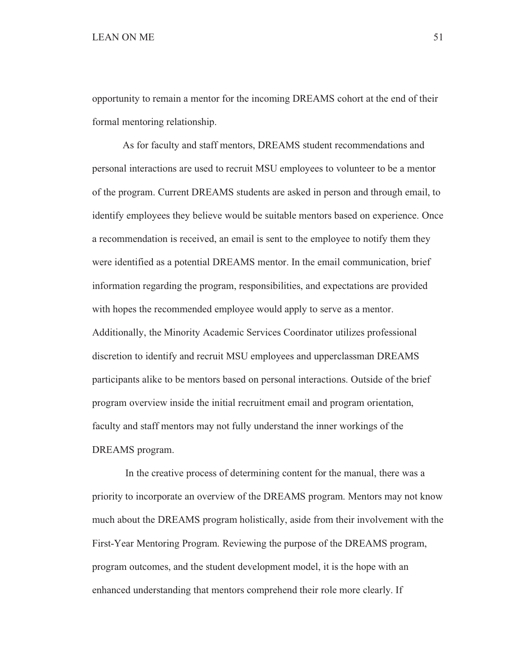opportunity to remain a mentor for the incoming DREAMS cohort at the end of their formal mentoring relationship.

 As for faculty and staff mentors, DREAMS student recommendations and personal interactions are used to recruit MSU employees to volunteer to be a mentor of the program. Current DREAMS students are asked in person and through email, to identify employees they believe would be suitable mentors based on experience. Once a recommendation is received, an email is sent to the employee to notify them they were identified as a potential DREAMS mentor. In the email communication, brief information regarding the program, responsibilities, and expectations are provided with hopes the recommended employee would apply to serve as a mentor. Additionally, the Minority Academic Services Coordinator utilizes professional discretion to identify and recruit MSU employees and upperclassman DREAMS participants alike to be mentors based on personal interactions. Outside of the brief program overview inside the initial recruitment email and program orientation, faculty and staff mentors may not fully understand the inner workings of the DREAMS program.

 In the creative process of determining content for the manual, there was a priority to incorporate an overview of the DREAMS program. Mentors may not know much about the DREAMS program holistically, aside from their involvement with the First-Year Mentoring Program. Reviewing the purpose of the DREAMS program, program outcomes, and the student development model, it is the hope with an enhanced understanding that mentors comprehend their role more clearly. If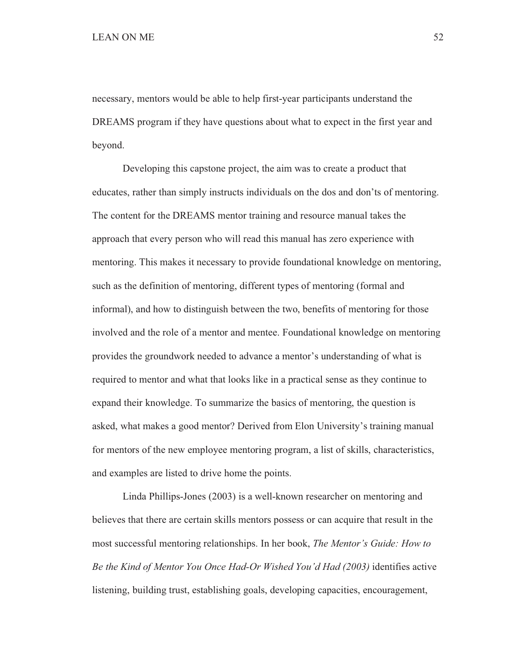necessary, mentors would be able to help first-year participants understand the DREAMS program if they have questions about what to expect in the first year and beyond.

 Developing this capstone project, the aim was to create a product that educates, rather than simply instructs individuals on the dos and don'ts of mentoring. The content for the DREAMS mentor training and resource manual takes the approach that every person who will read this manual has zero experience with mentoring. This makes it necessary to provide foundational knowledge on mentoring, such as the definition of mentoring, different types of mentoring (formal and informal), and how to distinguish between the two, benefits of mentoring for those involved and the role of a mentor and mentee. Foundational knowledge on mentoring provides the groundwork needed to advance a mentor's understanding of what is required to mentor and what that looks like in a practical sense as they continue to expand their knowledge. To summarize the basics of mentoring, the question is asked, what makes a good mentor? Derived from Elon University's training manual for mentors of the new employee mentoring program, a list of skills, characteristics, and examples are listed to drive home the points.

 Linda Phillips-Jones (2003) is a well-known researcher on mentoring and believes that there are certain skills mentors possess or can acquire that result in the most successful mentoring relationships. In her book, *The Mentor's Guide: How to Be the Kind of Mentor You Once Had-Or Wished You'd Had (2003)* identifies active listening, building trust, establishing goals, developing capacities, encouragement,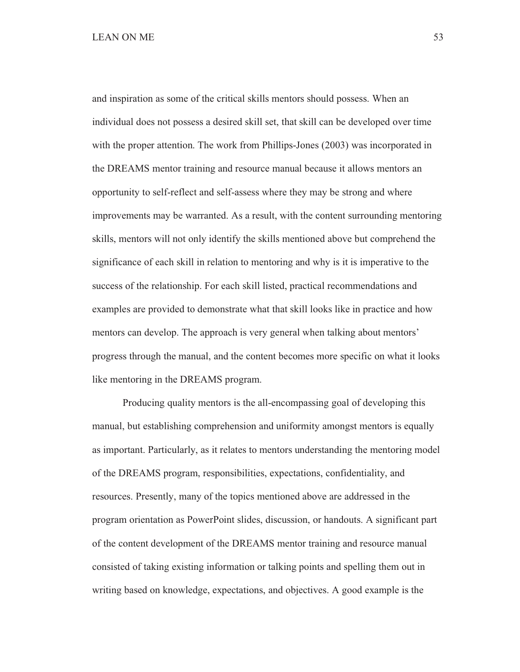# LEAN ON ME 53

and inspiration as some of the critical skills mentors should possess. When an individual does not possess a desired skill set, that skill can be developed over time with the proper attention. The work from Phillips-Jones (2003) was incorporated in the DREAMS mentor training and resource manual because it allows mentors an opportunity to self-reflect and self-assess where they may be strong and where improvements may be warranted. As a result, with the content surrounding mentoring skills, mentors will not only identify the skills mentioned above but comprehend the significance of each skill in relation to mentoring and why is it is imperative to the success of the relationship. For each skill listed, practical recommendations and examples are provided to demonstrate what that skill looks like in practice and how mentors can develop. The approach is very general when talking about mentors' progress through the manual, and the content becomes more specific on what it looks like mentoring in the DREAMS program.

 Producing quality mentors is the all-encompassing goal of developing this manual, but establishing comprehension and uniformity amongst mentors is equally as important. Particularly, as it relates to mentors understanding the mentoring model of the DREAMS program, responsibilities, expectations, confidentiality, and resources. Presently, many of the topics mentioned above are addressed in the program orientation as PowerPoint slides, discussion, or handouts. A significant part of the content development of the DREAMS mentor training and resource manual consisted of taking existing information or talking points and spelling them out in writing based on knowledge, expectations, and objectives. A good example is the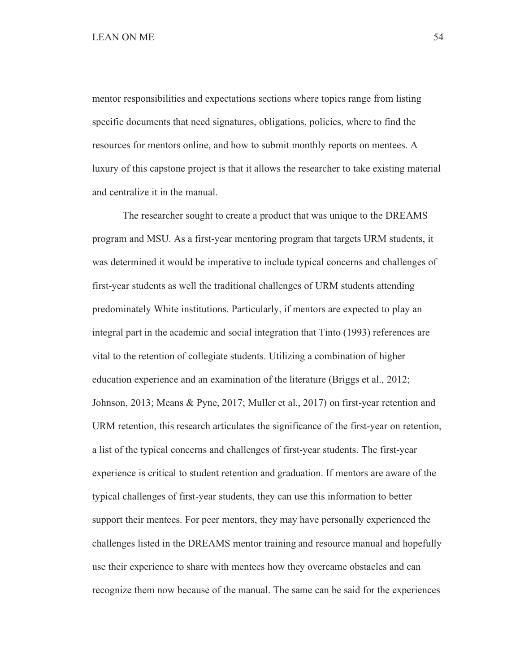mentor responsibilities and expectations sections where topics range from listing specific documents that need signatures, obligations, policies, where to find the resources for mentors online, and how to submit monthly reports on mentees. A luxury of this capstone project is that it allows the researcher to take existing material and centralize it in the manual.

 The researcher sought to create a product that was unique to the DREAMS program and MSU. As a first-year mentoring program that targets URM students, it was determined it would be imperative to include typical concerns and challenges of first-year students as well the traditional challenges of URM students attending predominately White institutions. Particularly, if mentors are expected to play an integral part in the academic and social integration that Tinto (1993) references are vital to the retention of collegiate students. Utilizing a combination of higher education experience and an examination of the literature (Briggs et al., 2012; Johnson, 2013; Means & Pyne, 2017; Muller et al., 2017) on first-year retention and URM retention, this research articulates the significance of the first-year on retention, a list of the typical concerns and challenges of first-year students. The first-year experience is critical to student retention and graduation. If mentors are aware of the typical challenges of first-year students, they can use this information to better support their mentees. For peer mentors, they may have personally experienced the challenges listed in the DREAMS mentor training and resource manual and hopefully use their experience to share with mentees how they overcame obstacles and can recognize them now because of the manual. The same can be said for the experiences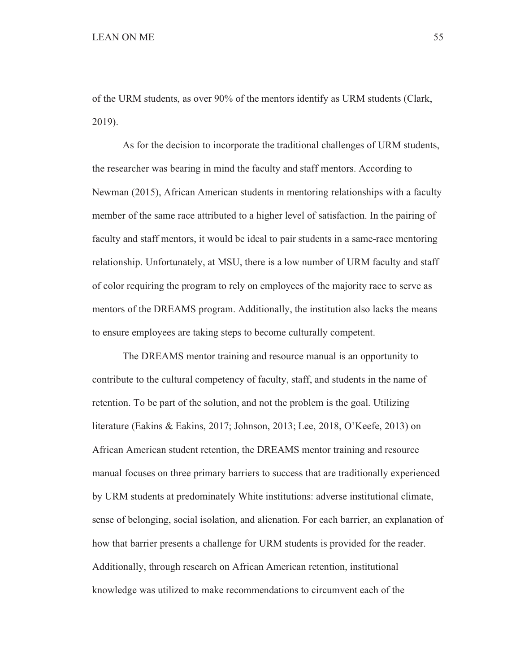of the URM students, as over 90% of the mentors identify as URM students (Clark, 2019).

 As for the decision to incorporate the traditional challenges of URM students, the researcher was bearing in mind the faculty and staff mentors. According to Newman (2015), African American students in mentoring relationships with a faculty member of the same race attributed to a higher level of satisfaction. In the pairing of faculty and staff mentors, it would be ideal to pair students in a same-race mentoring relationship. Unfortunately, at MSU, there is a low number of URM faculty and staff of color requiring the program to rely on employees of the majority race to serve as mentors of the DREAMS program. Additionally, the institution also lacks the means to ensure employees are taking steps to become culturally competent.

 The DREAMS mentor training and resource manual is an opportunity to contribute to the cultural competency of faculty, staff, and students in the name of retention. To be part of the solution, and not the problem is the goal. Utilizing literature (Eakins & Eakins, 2017; Johnson, 2013; Lee, 2018, O'Keefe, 2013) on African American student retention, the DREAMS mentor training and resource manual focuses on three primary barriers to success that are traditionally experienced by URM students at predominately White institutions: adverse institutional climate, sense of belonging, social isolation, and alienation. For each barrier, an explanation of how that barrier presents a challenge for URM students is provided for the reader. Additionally, through research on African American retention, institutional knowledge was utilized to make recommendations to circumvent each of the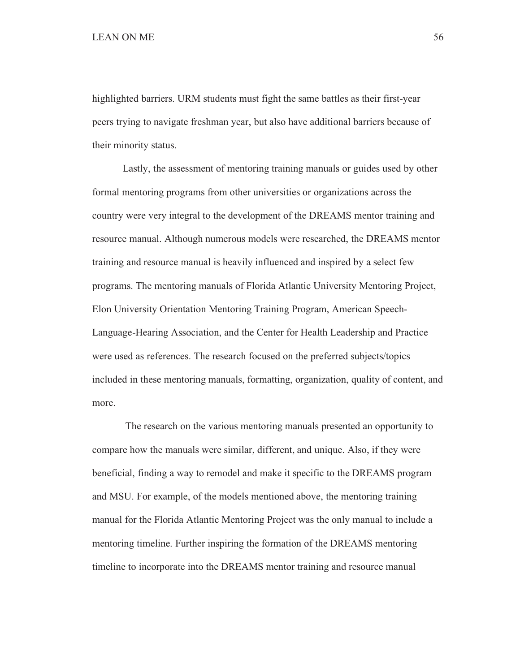highlighted barriers. URM students must fight the same battles as their first-year peers trying to navigate freshman year, but also have additional barriers because of their minority status.

 Lastly, the assessment of mentoring training manuals or guides used by other formal mentoring programs from other universities or organizations across the country were very integral to the development of the DREAMS mentor training and resource manual. Although numerous models were researched, the DREAMS mentor training and resource manual is heavily influenced and inspired by a select few programs. The mentoring manuals of Florida Atlantic University Mentoring Project, Elon University Orientation Mentoring Training Program, American Speech-Language-Hearing Association, and the Center for Health Leadership and Practice were used as references. The research focused on the preferred subjects/topics included in these mentoring manuals, formatting, organization, quality of content, and more.

 The research on the various mentoring manuals presented an opportunity to compare how the manuals were similar, different, and unique. Also, if they were beneficial, finding a way to remodel and make it specific to the DREAMS program and MSU. For example, of the models mentioned above, the mentoring training manual for the Florida Atlantic Mentoring Project was the only manual to include a mentoring timeline. Further inspiring the formation of the DREAMS mentoring timeline to incorporate into the DREAMS mentor training and resource manual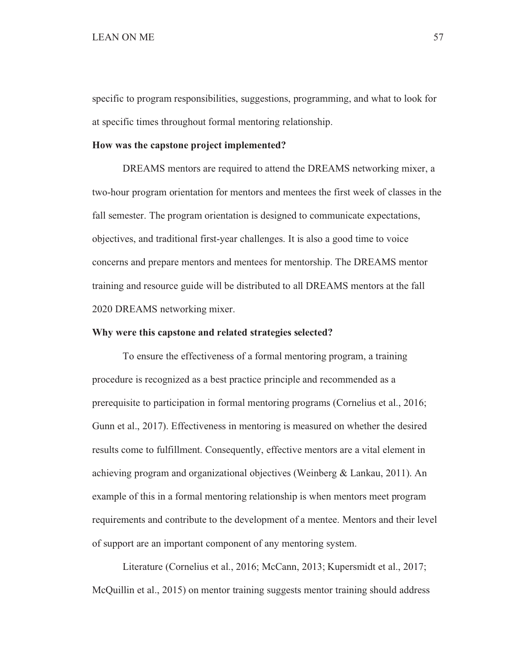specific to program responsibilities, suggestions, programming, and what to look for at specific times throughout formal mentoring relationship.

#### **How was the capstone project implemented?**

 DREAMS mentors are required to attend the DREAMS networking mixer, a two-hour program orientation for mentors and mentees the first week of classes in the fall semester. The program orientation is designed to communicate expectations, objectives, and traditional first-year challenges. It is also a good time to voice concerns and prepare mentors and mentees for mentorship. The DREAMS mentor training and resource guide will be distributed to all DREAMS mentors at the fall 2020 DREAMS networking mixer.

# **Why were this capstone and related strategies selected?**

 To ensure the effectiveness of a formal mentoring program, a training procedure is recognized as a best practice principle and recommended as a prerequisite to participation in formal mentoring programs (Cornelius et al., 2016; Gunn et al., 2017). Effectiveness in mentoring is measured on whether the desired results come to fulfillment. Consequently, effective mentors are a vital element in achieving program and organizational objectives (Weinberg & Lankau, 2011). An example of this in a formal mentoring relationship is when mentors meet program requirements and contribute to the development of a mentee. Mentors and their level of support are an important component of any mentoring system.

 Literature (Cornelius et al., 2016; McCann, 2013; Kupersmidt et al., 2017; McQuillin et al., 2015) on mentor training suggests mentor training should address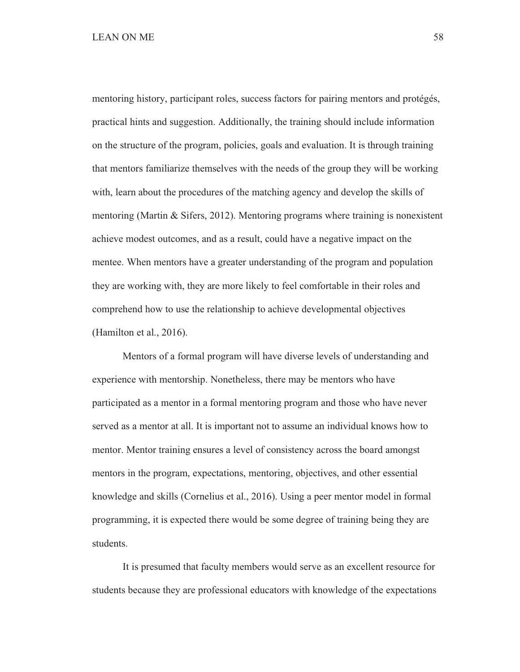# LEAN ON ME 58

mentoring history, participant roles, success factors for pairing mentors and protégés, practical hints and suggestion. Additionally, the training should include information on the structure of the program, policies, goals and evaluation. It is through training that mentors familiarize themselves with the needs of the group they will be working with, learn about the procedures of the matching agency and develop the skills of mentoring (Martin & Sifers, 2012). Mentoring programs where training is nonexistent achieve modest outcomes, and as a result, could have a negative impact on the mentee. When mentors have a greater understanding of the program and population they are working with, they are more likely to feel comfortable in their roles and comprehend how to use the relationship to achieve developmental objectives (Hamilton et al., 2016).

 Mentors of a formal program will have diverse levels of understanding and experience with mentorship. Nonetheless, there may be mentors who have participated as a mentor in a formal mentoring program and those who have never served as a mentor at all. It is important not to assume an individual knows how to mentor. Mentor training ensures a level of consistency across the board amongst mentors in the program, expectations, mentoring, objectives, and other essential knowledge and skills (Cornelius et al., 2016). Using a peer mentor model in formal programming, it is expected there would be some degree of training being they are students.

 It is presumed that faculty members would serve as an excellent resource for students because they are professional educators with knowledge of the expectations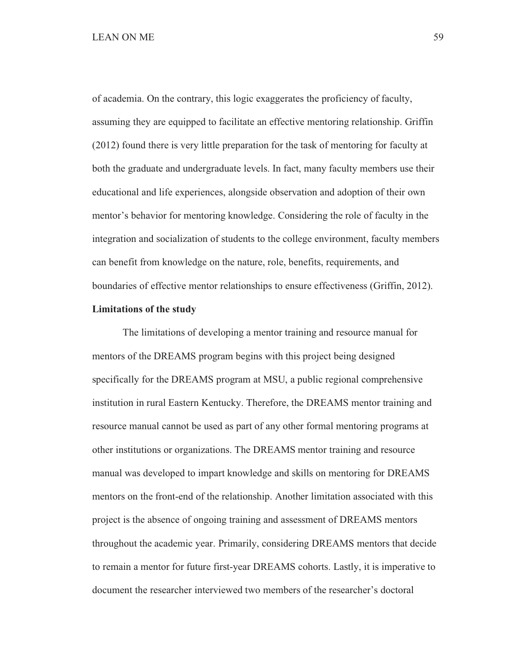# LEAN ON ME 59

of academia. On the contrary, this logic exaggerates the proficiency of faculty, assuming they are equipped to facilitate an effective mentoring relationship. Griffin (2012) found there is very little preparation for the task of mentoring for faculty at both the graduate and undergraduate levels. In fact, many faculty members use their educational and life experiences, alongside observation and adoption of their own mentor's behavior for mentoring knowledge. Considering the role of faculty in the integration and socialization of students to the college environment, faculty members can benefit from knowledge on the nature, role, benefits, requirements, and boundaries of effective mentor relationships to ensure effectiveness (Griffin, 2012).

#### **Limitations of the study**

 The limitations of developing a mentor training and resource manual for mentors of the DREAMS program begins with this project being designed specifically for the DREAMS program at MSU, a public regional comprehensive institution in rural Eastern Kentucky. Therefore, the DREAMS mentor training and resource manual cannot be used as part of any other formal mentoring programs at other institutions or organizations. The DREAMS mentor training and resource manual was developed to impart knowledge and skills on mentoring for DREAMS mentors on the front-end of the relationship. Another limitation associated with this project is the absence of ongoing training and assessment of DREAMS mentors throughout the academic year. Primarily, considering DREAMS mentors that decide to remain a mentor for future first-year DREAMS cohorts. Lastly, it is imperative to document the researcher interviewed two members of the researcher's doctoral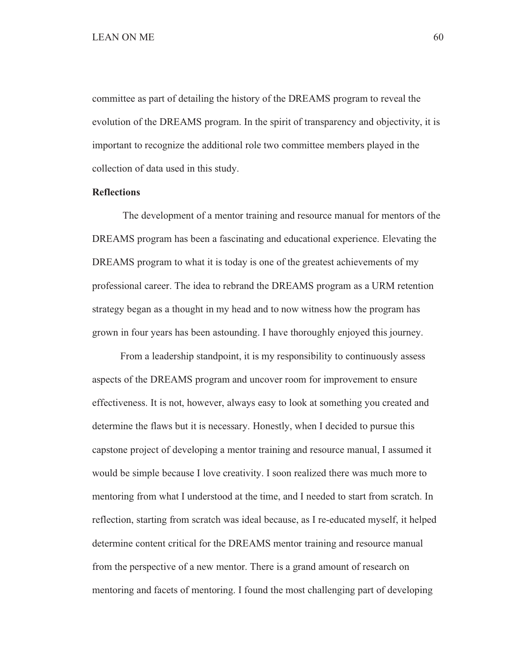committee as part of detailing the history of the DREAMS program to reveal the evolution of the DREAMS program. In the spirit of transparency and objectivity, it is important to recognize the additional role two committee members played in the collection of data used in this study.

### **Reflections**

The development of a mentor training and resource manual for mentors of the DREAMS program has been a fascinating and educational experience. Elevating the DREAMS program to what it is today is one of the greatest achievements of my professional career. The idea to rebrand the DREAMS program as a URM retention strategy began as a thought in my head and to now witness how the program has grown in four years has been astounding. I have thoroughly enjoyed this journey.

 From a leadership standpoint, it is my responsibility to continuously assess aspects of the DREAMS program and uncover room for improvement to ensure effectiveness. It is not, however, always easy to look at something you created and determine the flaws but it is necessary. Honestly, when I decided to pursue this capstone project of developing a mentor training and resource manual, I assumed it would be simple because I love creativity. I soon realized there was much more to mentoring from what I understood at the time, and I needed to start from scratch. In reflection, starting from scratch was ideal because, as I re-educated myself, it helped determine content critical for the DREAMS mentor training and resource manual from the perspective of a new mentor. There is a grand amount of research on mentoring and facets of mentoring. I found the most challenging part of developing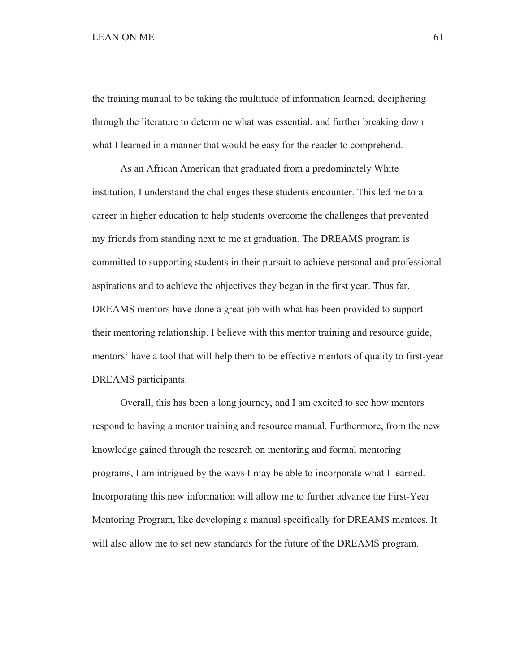# $LEAN ON ME$  61

the training manual to be taking the multitude of information learned, deciphering through the literature to determine what was essential, and further breaking down what I learned in a manner that would be easy for the reader to comprehend.

 As an African American that graduated from a predominately White institution, I understand the challenges these students encounter. This led me to a career in higher education to help students overcome the challenges that prevented my friends from standing next to me at graduation. The DREAMS program is committed to supporting students in their pursuit to achieve personal and professional aspirations and to achieve the objectives they began in the first year. Thus far, DREAMS mentors have done a great job with what has been provided to support their mentoring relationship. I believe with this mentor training and resource guide, mentors' have a tool that will help them to be effective mentors of quality to first-year DREAMS participants.

 Overall, this has been a long journey, and I am excited to see how mentors respond to having a mentor training and resource manual. Furthermore, from the new knowledge gained through the research on mentoring and formal mentoring programs, I am intrigued by the ways I may be able to incorporate what I learned. Incorporating this new information will allow me to further advance the First-Year Mentoring Program, like developing a manual specifically for DREAMS mentees. It will also allow me to set new standards for the future of the DREAMS program.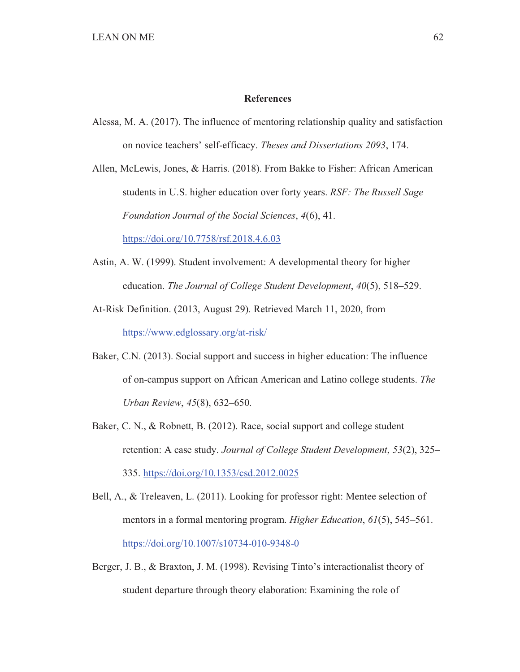#### **References**

 Alessa, M. A. (2017). The influence of mentoring relationship quality and satisfaction on novice teachers' self-efficacy. *Theses and Dissertations 2093*, 174.

 Allen, McLewis, Jones, & Harris. (2018). From Bakke to Fisher: African American students in U.S. higher education over forty years. *RSF: The Russell Sage Foundation Journal of the Social Sciences*, *4*(6), 41.

https://doi.org/10.7758/rsf.2018.4.6.03

- Astin, A. W. (1999). Student involvement: A developmental theory for higher education. *The Journal of College Student Development*, *40*(5), 518–529.
- At-Risk Definition. (2013, August 29). Retrieved March 11, 2020, from https://www.edglossary.org/at-risk/
- Baker, C.N. (2013). Social support and success in higher education: The influence of on-campus support on African American and Latino college students. *The Urban Review*, *45*(8), 632–650.
- Baker, C. N., & Robnett, B. (2012). Race, social support and college student retention: A case study. *Journal of College Student Development*, *53*(2), 325– 335. https://doi.org/10.1353/csd.2012.0025
- Bell, A., & Treleaven, L. (2011). Looking for professor right: Mentee selection of mentors in a formal mentoring program. *Higher Education*, *61*(5), 545–561. https://doi.org/10.1007/s10734-010-9348-0
- Berger, J. B., & Braxton, J. M. (1998). Revising Tinto's interactionalist theory of student departure through theory elaboration: Examining the role of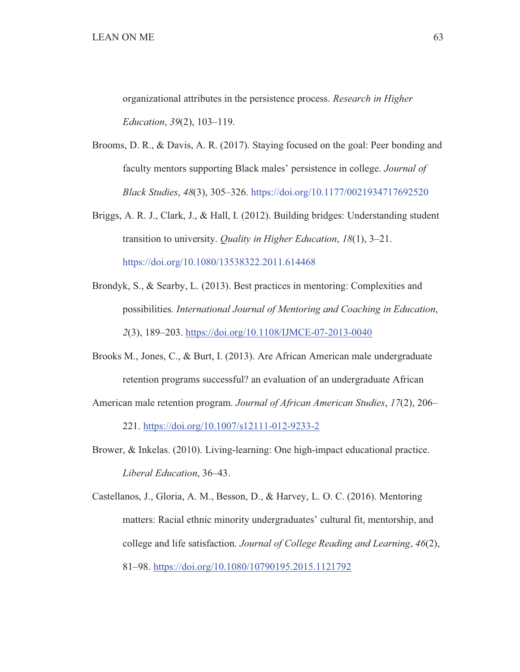organizational attributes in the persistence process. *Research in Higher Education*, *39*(2), 103–119.

- Brooms, D. R., & Davis, A. R. (2017). Staying focused on the goal: Peer bonding and faculty mentors supporting Black males' persistence in college. *Journal of Black Studies*, *48*(3), 305–326. https://doi.org/10.1177/0021934717692520
- Briggs, A. R. J., Clark, J., & Hall, I. (2012). Building bridges: Understanding student transition to university. *Quality in Higher Education*, *18*(1), 3–21. https://doi.org/10.1080/13538322.2011.614468
- Brondyk, S., & Searby, L. (2013). Best practices in mentoring: Complexities and possibilities. *International Journal of Mentoring and Coaching in Education*, *2*(3), 189–203. https://doi.org/10.1108/IJMCE-07-2013-0040
- Brooks M., Jones, C., & Burt, I. (2013). Are African American male undergraduate retention programs successful? an evaluation of an undergraduate African
- American male retention program. *Journal of African American Studies*, *17*(2), 206–

221. https://doi.org/10.1007/s12111-012-9233-2

- Brower, & Inkelas. (2010). Living-learning: One high-impact educational practice. *Liberal Education*, 36–43.
- Castellanos, J., Gloria, A. M., Besson, D., & Harvey, L. O. C. (2016). Mentoring matters: Racial ethnic minority undergraduates' cultural fit, mentorship, and college and life satisfaction. *Journal of College Reading and Learning*, *46*(2), 81–98. https://doi.org/10.1080/10790195.2015.1121792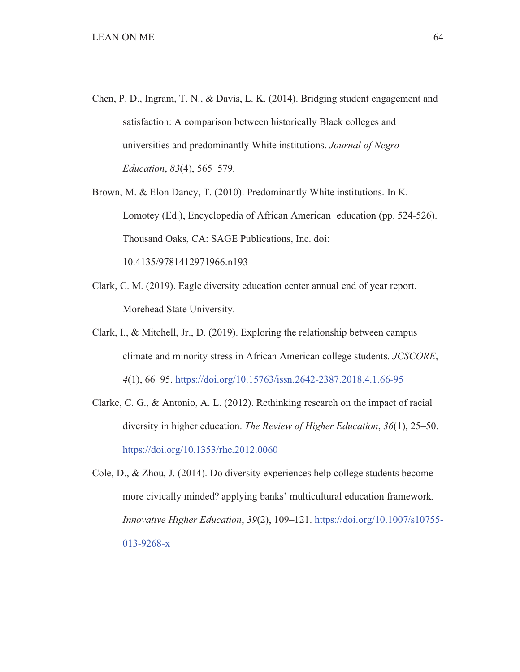- Chen, P. D., Ingram, T. N., & Davis, L. K. (2014). Bridging student engagement and satisfaction: A comparison between historically Black colleges and universities and predominantly White institutions. *Journal of Negro Education*, *83*(4), 565–579.
- Brown, M. & Elon Dancy, T. (2010). Predominantly White institutions. In K. Lomotey (Ed.), Encyclopedia of African American education (pp. 524-526). Thousand Oaks, CA: SAGE Publications, Inc. doi: 10.4135/9781412971966.n193
- Clark, C. M. (2019). Eagle diversity education center annual end of year report. Morehead State University.
- Clark, I., & Mitchell, Jr., D. (2019). Exploring the relationship between campus climate and minority stress in African American college students. *JCSCORE*, *4*(1), 66–95. https://doi.org/10.15763/issn.2642-2387.2018.4.1.66-95
- Clarke, C. G., & Antonio, A. L. (2012). Rethinking research on the impact of racial diversity in higher education. *The Review of Higher Education*, *36*(1), 25–50. https://doi.org/10.1353/rhe.2012.0060

 Cole, D., & Zhou, J. (2014). Do diversity experiences help college students become more civically minded? applying banks' multicultural education framework. *Innovative Higher Education*, *39*(2), 109–121. https://doi.org/10.1007/s10755- 013-9268-x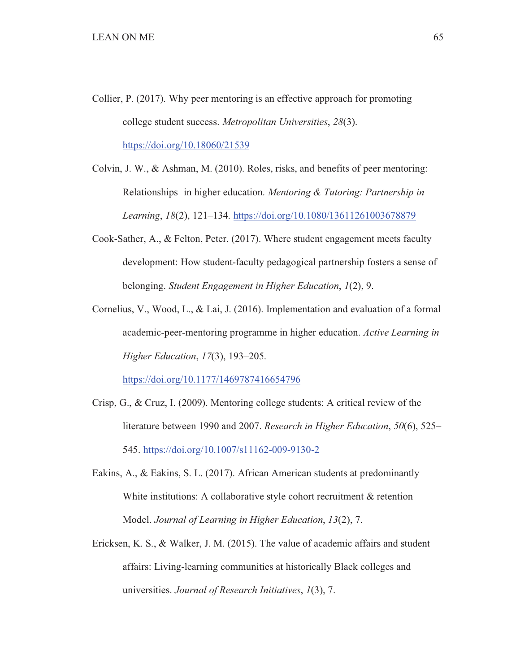- Collier, P. (2017). Why peer mentoring is an effective approach for promoting college student success. *Metropolitan Universities*, *28*(3). https://doi.org/10.18060/21539
- Colvin, J. W., & Ashman, M. (2010). Roles, risks, and benefits of peer mentoring: Relationships in higher education. *Mentoring & Tutoring: Partnership in Learning*, *18*(2), 121–134. https://doi.org/10.1080/13611261003678879
- Cook-Sather, A., & Felton, Peter. (2017). Where student engagement meets faculty development: How student-faculty pedagogical partnership fosters a sense of belonging. *Student Engagement in Higher Education*, *1*(2), 9.
- Cornelius, V., Wood, L., & Lai, J. (2016). Implementation and evaluation of a formal academic-peer-mentoring programme in higher education. *Active Learning in Higher Education*, *17*(3), 193–205.

https://doi.org/10.1177/1469787416654796

- Crisp, G., & Cruz, I. (2009). Mentoring college students: A critical review of the literature between 1990 and 2007. *Research in Higher Education*, *50*(6), 525– 545. https://doi.org/10.1007/s11162-009-9130-2
- Eakins, A., & Eakins, S. L. (2017). African American students at predominantly White institutions: A collaborative style cohort recruitment & retention Model. *Journal of Learning in Higher Education*, *13*(2), 7.
- Ericksen, K. S., & Walker, J. M. (2015). The value of academic affairs and student affairs: Living-learning communities at historically Black colleges and universities. *Journal of Research Initiatives*, *1*(3), 7.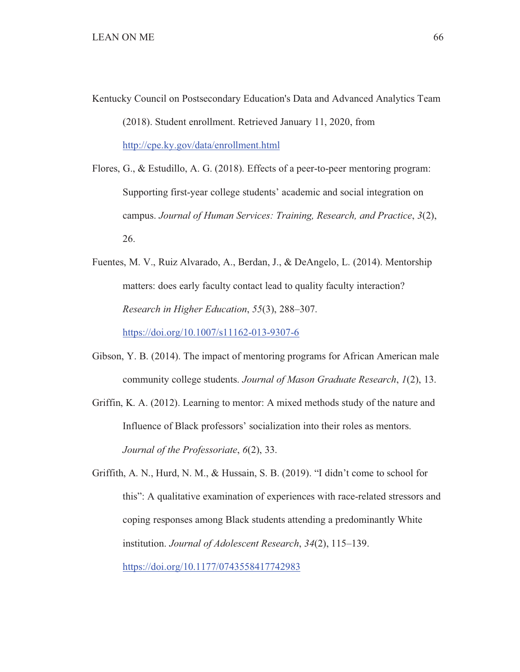- Kentucky Council on Postsecondary Education's Data and Advanced Analytics Team (2018). Student enrollment. Retrieved January 11, 2020, from http://cpe.ky.gov/data/enrollment.html
- Flores, G., & Estudillo, A. G. (2018). Effects of a peer-to-peer mentoring program: Supporting first-year college students' academic and social integration on campus. *Journal of Human Services: Training, Research, and Practice*, *3*(2), 26.
- Fuentes, M. V., Ruiz Alvarado, A., Berdan, J., & DeAngelo, L. (2014). Mentorship matters: does early faculty contact lead to quality faculty interaction? *Research in Higher Education*, *55*(3), 288–307. https://doi.org/10.1007/s11162-013-9307-6
- Gibson, Y. B. (2014). The impact of mentoring programs for African American male community college students. *Journal of Mason Graduate Research*, *1*(2), 13.
- Griffin, K. A. (2012). Learning to mentor: A mixed methods study of the nature and Influence of Black professors' socialization into their roles as mentors. *Journal of the Professoriate*, *6*(2), 33.

 Griffith, A. N., Hurd, N. M., & Hussain, S. B. (2019). "I didn't come to school for this": A qualitative examination of experiences with race-related stressors and coping responses among Black students attending a predominantly White institution. *Journal of Adolescent Research*, *34*(2), 115–139. https://doi.org/10.1177/0743558417742983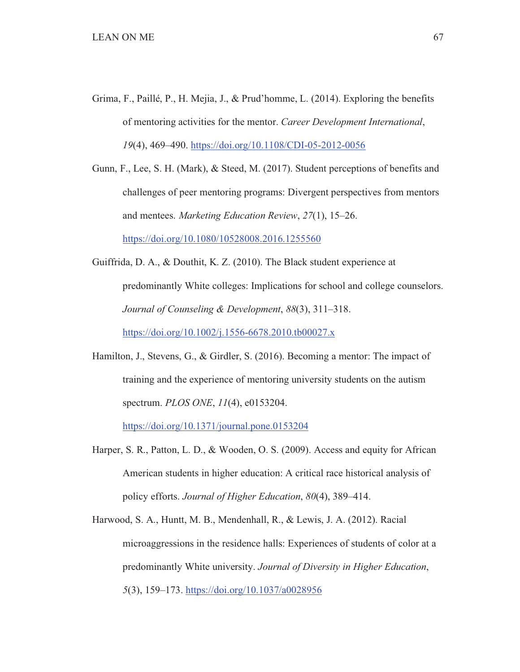- Grima, F., Paillé, P., H. Mejia, J., & Prud'homme, L. (2014). Exploring the benefits of mentoring activities for the mentor. *Career Development International*, *19*(4), 469–490. https://doi.org/10.1108/CDI-05-2012-0056
- Gunn, F., Lee, S. H. (Mark), & Steed, M. (2017). Student perceptions of benefits and challenges of peer mentoring programs: Divergent perspectives from mentors and mentees. *Marketing Education Review*, *27*(1), 15–26. https://doi.org/10.1080/10528008.2016.1255560
- Guiffrida, D. A., & Douthit, K. Z. (2010). The Black student experience at predominantly White colleges: Implications for school and college counselors. *Journal of Counseling & Development*, *88*(3), 311–318. https://doi.org/10.1002/j.1556-6678.2010.tb00027.x
- Hamilton, J., Stevens, G., & Girdler, S. (2016). Becoming a mentor: The impact of training and the experience of mentoring university students on the autism spectrum. *PLOS ONE*, *11*(4), e0153204.

https://doi.org/10.1371/journal.pone.0153204

 Harper, S. R., Patton, L. D., & Wooden, O. S. (2009). Access and equity for African American students in higher education: A critical race historical analysis of policy efforts. *Journal of Higher Education*, *80*(4), 389–414.

 Harwood, S. A., Huntt, M. B., Mendenhall, R., & Lewis, J. A. (2012). Racial microaggressions in the residence halls: Experiences of students of color at a predominantly White university. *Journal of Diversity in Higher Education*, *5*(3), 159–173. https://doi.org/10.1037/a0028956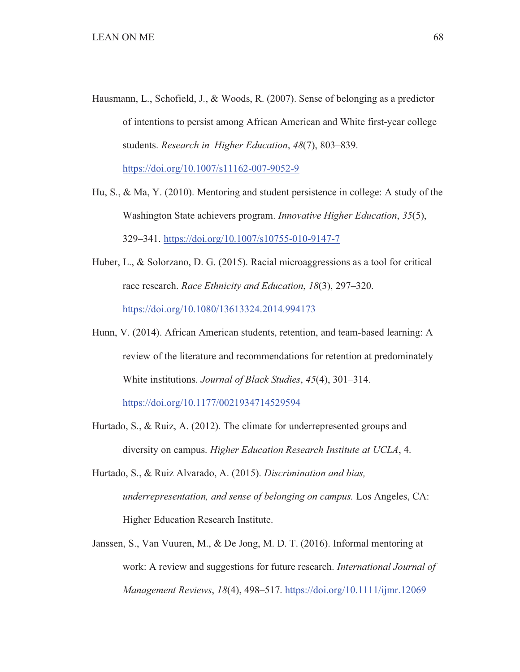- Hausmann, L., Schofield, J., & Woods, R. (2007). Sense of belonging as a predictor of intentions to persist among African American and White first-year college students. *Research in Higher Education*, *48*(7), 803–839. https://doi.org/10.1007/s11162-007-9052-9
- Hu, S., & Ma, Y. (2010). Mentoring and student persistence in college: A study of the Washington State achievers program. *Innovative Higher Education*, *35*(5), 329–341. https://doi.org/10.1007/s10755-010-9147-7
- Huber, L., & Solorzano, D. G. (2015). Racial microaggressions as a tool for critical race research. *Race Ethnicity and Education*, *18*(3), 297–320. https://doi.org/10.1080/13613324.2014.994173
- Hunn, V. (2014). African American students, retention, and team-based learning: A review of the literature and recommendations for retention at predominately White institutions. *Journal of Black Studies*, *45*(4), 301–314.

https://doi.org/10.1177/0021934714529594

- Hurtado, S., & Ruiz, A. (2012). The climate for underrepresented groups and diversity on campus. *Higher Education Research Institute at UCLA*, 4.
- Hurtado, S., & Ruiz Alvarado, A. (2015). *Discrimination and bias, underrepresentation, and sense of belonging on campus.* Los Angeles, CA: Higher Education Research Institute.
- Janssen, S., Van Vuuren, M., & De Jong, M. D. T. (2016). Informal mentoring at work: A review and suggestions for future research. *International Journal of Management Reviews*, *18*(4), 498–517. https://doi.org/10.1111/ijmr.12069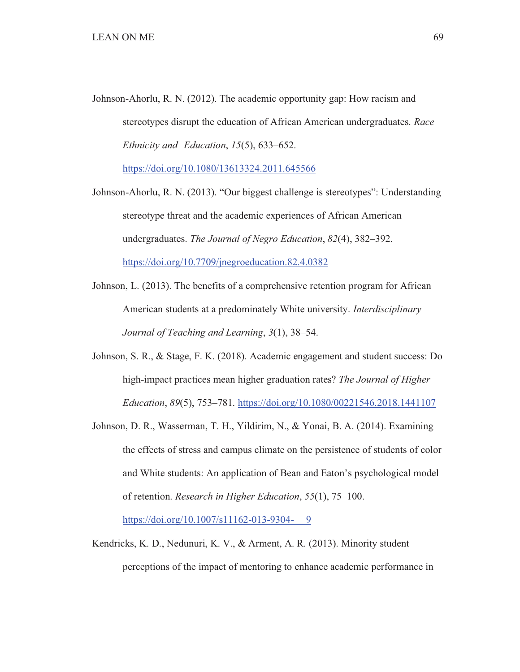Johnson-Ahorlu, R. N. (2012). The academic opportunity gap: How racism and stereotypes disrupt the education of African American undergraduates. *Race Ethnicity and Education*, *15*(5), 633–652.

https://doi.org/10.1080/13613324.2011.645566

- Johnson-Ahorlu, R. N. (2013). "Our biggest challenge is stereotypes": Understanding stereotype threat and the academic experiences of African American undergraduates. *The Journal of Negro Education*, *82*(4), 382–392. https://doi.org/10.7709/jnegroeducation.82.4.0382
- Johnson, L. (2013). The benefits of a comprehensive retention program for African American students at a predominately White university. *Interdisciplinary Journal of Teaching and Learning*, *3*(1), 38–54.
- Johnson, S. R., & Stage, F. K. (2018). Academic engagement and student success: Do high-impact practices mean higher graduation rates? *The Journal of Higher Education*, *89*(5), 753–781. https://doi.org/10.1080/00221546.2018.1441107
- Johnson, D. R., Wasserman, T. H., Yildirim, N., & Yonai, B. A. (2014). Examining the effects of stress and campus climate on the persistence of students of color and White students: An application of Bean and Eaton's psychological model of retention. *Research in Higher Education*, *55*(1), 75–100.

https://doi.org/10.1007/s11162-013-9304- 9

 Kendricks, K. D., Nedunuri, K. V., & Arment, A. R. (2013). Minority student perceptions of the impact of mentoring to enhance academic performance in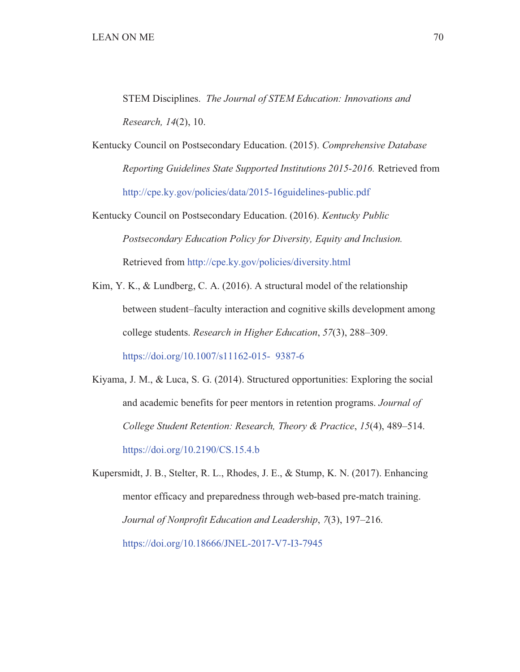STEM Disciplines. *The Journal of STEM Education: Innovations and Research, 14*(2), 10.

Kentucky Council on Postsecondary Education. (2015). *Comprehensive Database Reporting Guidelines State Supported Institutions 2015-2016.* Retrieved from http://cpe.ky.gov/policies/data/2015-16guidelines-public.pdf

Kentucky Council on Postsecondary Education. (2016). *Kentucky Public Postsecondary Education Policy for Diversity, Equity and Inclusion.* Retrieved from http://cpe.ky.gov/policies/diversity.html

 Kim, Y. K., & Lundberg, C. A. (2016). A structural model of the relationship between student–faculty interaction and cognitive skills development among college students. *Research in Higher Education*, *57*(3), 288–309. https://doi.org/10.1007/s11162-015- 9387-6

 Kiyama, J. M., & Luca, S. G. (2014). Structured opportunities: Exploring the social and academic benefits for peer mentors in retention programs. *Journal of College Student Retention: Research, Theory & Practice*, *15*(4), 489–514. https://doi.org/10.2190/CS.15.4.b

 Kupersmidt, J. B., Stelter, R. L., Rhodes, J. E., & Stump, K. N. (2017). Enhancing mentor efficacy and preparedness through web-based pre-match training. *Journal of Nonprofit Education and Leadership*, *7*(3), 197–216. https://doi.org/10.18666/JNEL-2017-V7-I3-7945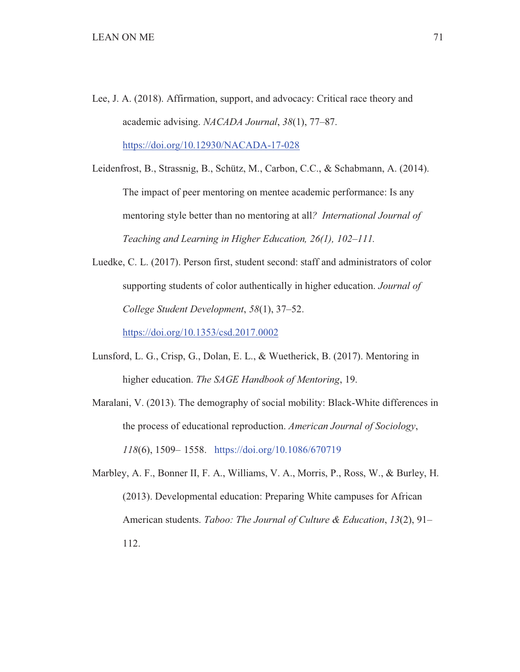Lee, J. A. (2018). Affirmation, support, and advocacy: Critical race theory and academic advising. *NACADA Journal*, *38*(1), 77–87. https://doi.org/10.12930/NACADA-17-028

 Leidenfrost, B., Strassnig, B., Schütz, M., Carbon, C.C., & Schabmann, A. (2014). The impact of peer mentoring on mentee academic performance: Is any mentoring style better than no mentoring at all*? International Journal of Teaching and Learning in Higher Education, 26(1), 102–111.* 

 Luedke, C. L. (2017). Person first, student second: staff and administrators of color supporting students of color authentically in higher education. *Journal of College Student Development*, *58*(1), 37–52.

https://doi.org/10.1353/csd.2017.0002

 Lunsford, L. G., Crisp, G., Dolan, E. L., & Wuetherick, B. (2017). Mentoring in higher education. *The SAGE Handbook of Mentoring*, 19.

 Maralani, V. (2013). The demography of social mobility: Black-White differences in the process of educational reproduction. *American Journal of Sociology*, *118*(6), 1509– 1558. https://doi.org/10.1086/670719

 Marbley, A. F., Bonner II, F. A., Williams, V. A., Morris, P., Ross, W., & Burley, H. (2013). Developmental education: Preparing White campuses for African American students. *Taboo: The Journal of Culture & Education*, *13*(2), 91– 112.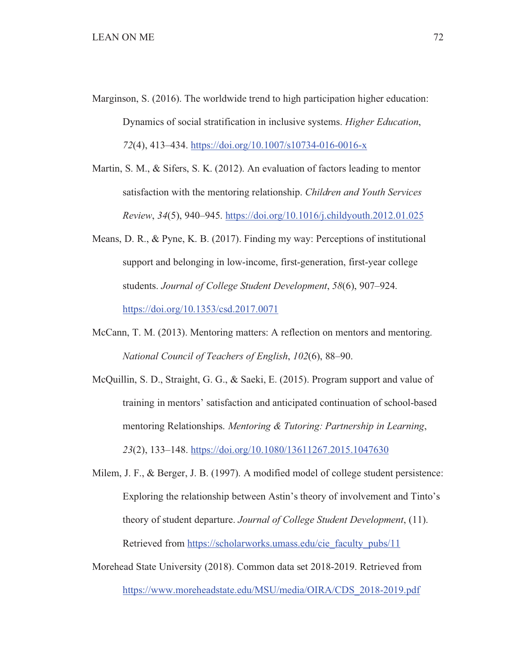- Marginson, S. (2016). The worldwide trend to high participation higher education: Dynamics of social stratification in inclusive systems. *Higher Education*, *72*(4), 413–434. https://doi.org/10.1007/s10734-016-0016-x
- Martin, S. M., & Sifers, S. K. (2012). An evaluation of factors leading to mentor satisfaction with the mentoring relationship. *Children and Youth Services Review*, *34*(5), 940–945. https://doi.org/10.1016/j.childyouth.2012.01.025
- Means, D. R., & Pyne, K. B. (2017). Finding my way: Perceptions of institutional support and belonging in low-income, first-generation, first-year college students. *Journal of College Student Development*, *58*(6), 907–924. https://doi.org/10.1353/csd.2017.0071
- McCann, T. M. (2013). Mentoring matters: A reflection on mentors and mentoring. *National Council of Teachers of English*, *102*(6), 88–90.

 McQuillin, S. D., Straight, G. G., & Saeki, E. (2015). Program support and value of training in mentors' satisfaction and anticipated continuation of school-based mentoring Relationships. *Mentoring & Tutoring: Partnership in Learning*, *23*(2), 133–148. https://doi.org/10.1080/13611267.2015.1047630

- Milem, J. F., & Berger, J. B. (1997). A modified model of college student persistence: Exploring the relationship between Astin's theory of involvement and Tinto's theory of student departure. *Journal of College Student Development*, (11). Retrieved from https://scholarworks.umass.edu/cie\_faculty\_pubs/11
- Morehead State University (2018). Common data set 2018-2019. Retrieved from https://www.moreheadstate.edu/MSU/media/OIRA/CDS\_2018-2019.pdf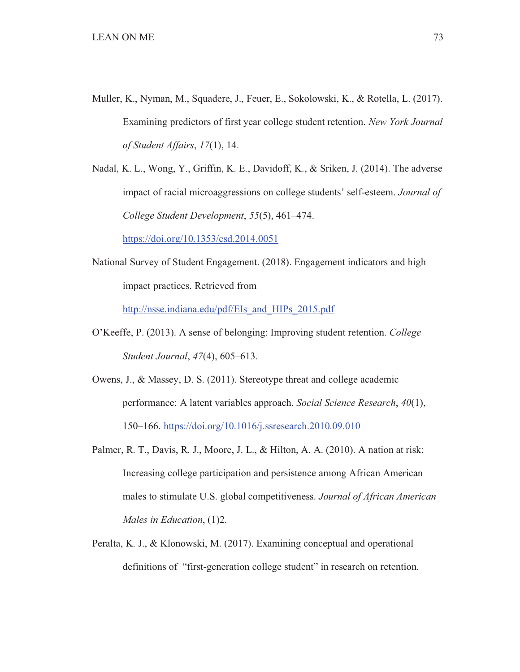Muller, K., Nyman, M., Squadere, J., Feuer, E., Sokolowski, K., & Rotella, L. (2017). Examining predictors of first year college student retention. *New York Journal of Student Affairs*, *17*(1), 14.

 Nadal, K. L., Wong, Y., Griffin, K. E., Davidoff, K., & Sriken, J. (2014). The adverse impact of racial microaggressions on college students' self-esteem. *Journal of College Student Development*, *55*(5), 461–474.

https://doi.org/10.1353/csd.2014.0051

National Survey of Student Engagement. (2018). Engagement indicators and high impact practices. Retrieved from

http://nsse.indiana.edu/pdf/EIs\_and\_HIPs\_2015.pdf

- O'Keeffe, P. (2013). A sense of belonging: Improving student retention. *College Student Journal*, *47*(4), 605–613.
- Owens, J., & Massey, D. S. (2011). Stereotype threat and college academic performance: A latent variables approach. *Social Science Research*, *40*(1), 150–166. https://doi.org/10.1016/j.ssresearch.2010.09.010
- Palmer, R. T., Davis, R. J., Moore, J. L., & Hilton, A. A. (2010). A nation at risk: Increasing college participation and persistence among African American males to stimulate U.S. global competitiveness. *Journal of African American Males in Education*, (1)2.
- Peralta, K. J., & Klonowski, M. (2017). Examining conceptual and operational definitions of "first-generation college student" in research on retention.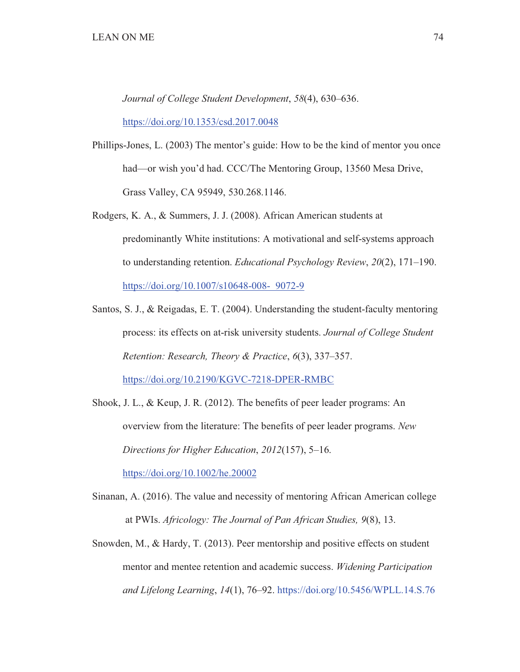*Journal of College Student Development*, *58*(4), 630–636.

https://doi.org/10.1353/csd.2017.0048

- Phillips-Jones, L. (2003) The mentor's guide: How to be the kind of mentor you once had—or wish you'd had. CCC/The Mentoring Group, 13560 Mesa Drive, Grass Valley, CA 95949, 530.268.1146.
- Rodgers, K. A., & Summers, J. J. (2008). African American students at predominantly White institutions: A motivational and self-systems approach to understanding retention. *Educational Psychology Review*, *20*(2), 171–190. https://doi.org/10.1007/s10648-008- 9072-9
- Santos, S. J., & Reigadas, E. T. (2004). Understanding the student-faculty mentoring process: its effects on at-risk university students. *Journal of College Student Retention: Research, Theory & Practice*, *6*(3), 337–357. https://doi.org/10.2190/KGVC-7218-DPER-RMBC
- Shook, J. L., & Keup, J. R. (2012). The benefits of peer leader programs: An overview from the literature: The benefits of peer leader programs. *New Directions for Higher Education*, *2012*(157), 5–16.

https://doi.org/10.1002/he.20002

- Sinanan, A. (2016). The value and necessity of mentoring African American college at PWIs. *Africology: The Journal of Pan African Studies, 9*(8), 13.
- Snowden, M., & Hardy, T. (2013). Peer mentorship and positive effects on student mentor and mentee retention and academic success. *Widening Participation and Lifelong Learning*, *14*(1), 76–92. https://doi.org/10.5456/WPLL.14.S.76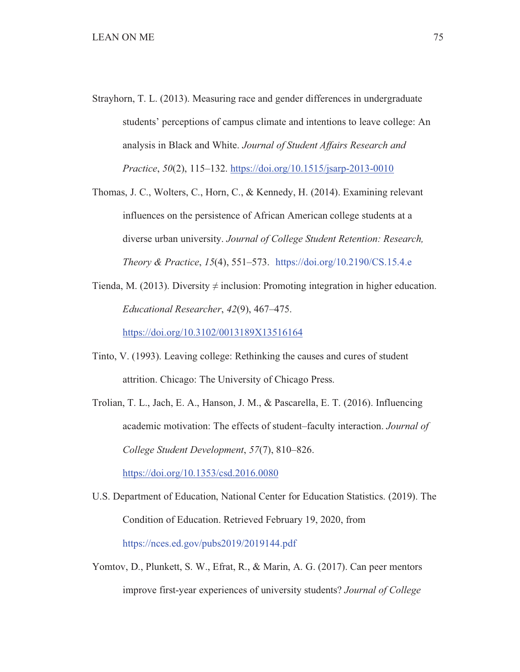- Strayhorn, T. L. (2013). Measuring race and gender differences in undergraduate students' perceptions of campus climate and intentions to leave college: An analysis in Black and White. *Journal of Student Affairs Research and Practice*, *50*(2), 115–132. https://doi.org/10.1515/jsarp-2013-0010
- Thomas, J. C., Wolters, C., Horn, C., & Kennedy, H. (2014). Examining relevant influences on the persistence of African American college students at a diverse urban university. *Journal of College Student Retention: Research, Theory & Practice*, *15*(4), 551–573. https://doi.org/10.2190/CS.15.4.e
- Tienda, M. (2013). Diversity  $\neq$  inclusion: Promoting integration in higher education. *Educational Researcher*, *42*(9), 467–475.

https://doi.org/10.3102/0013189X13516164

- Tinto, V. (1993). Leaving college: Rethinking the causes and cures of student attrition. Chicago: The University of Chicago Press.
- Trolian, T. L., Jach, E. A., Hanson, J. M., & Pascarella, E. T. (2016). Influencing academic motivation: The effects of student–faculty interaction. *Journal of College Student Development*, *57*(7), 810–826.

https://doi.org/10.1353/csd.2016.0080

- U.S. Department of Education, National Center for Education Statistics. (2019). The Condition of Education. Retrieved February 19, 2020, from https://nces.ed.gov/pubs2019/2019144.pdf
- Yomtov, D., Plunkett, S. W., Efrat, R., & Marin, A. G. (2017). Can peer mentors improve first-year experiences of university students? *Journal of College*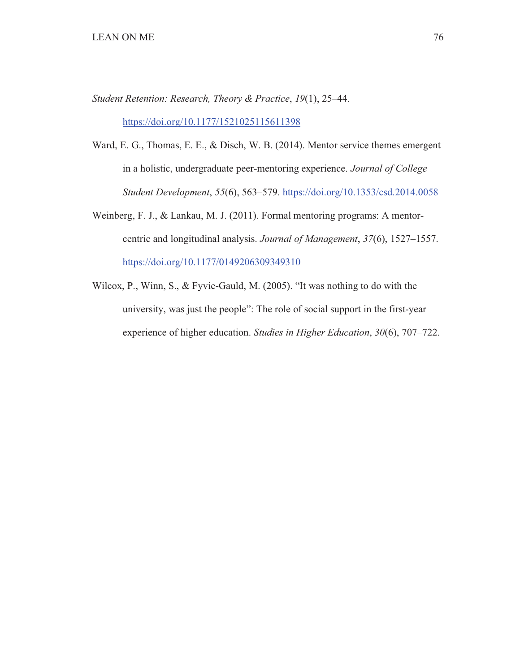*Student Retention: Research, Theory & Practice*, *19*(1), 25–44.

https://doi.org/10.1177/1521025115611398

- Ward, E. G., Thomas, E. E., & Disch, W. B. (2014). Mentor service themes emergent in a holistic, undergraduate peer-mentoring experience. *Journal of College Student Development*, *55*(6), 563–579. https://doi.org/10.1353/csd.2014.0058
- Weinberg, F. J., & Lankau, M. J. (2011). Formal mentoring programs: A mentor centric and longitudinal analysis. *Journal of Management*, *37*(6), 1527–1557. https://doi.org/10.1177/0149206309349310
- Wilcox, P., Winn, S., & Fyvie-Gauld, M. (2005). "It was nothing to do with the university, was just the people": The role of social support in the first-year experience of higher education. *Studies in Higher Education*, *30*(6), 707–722.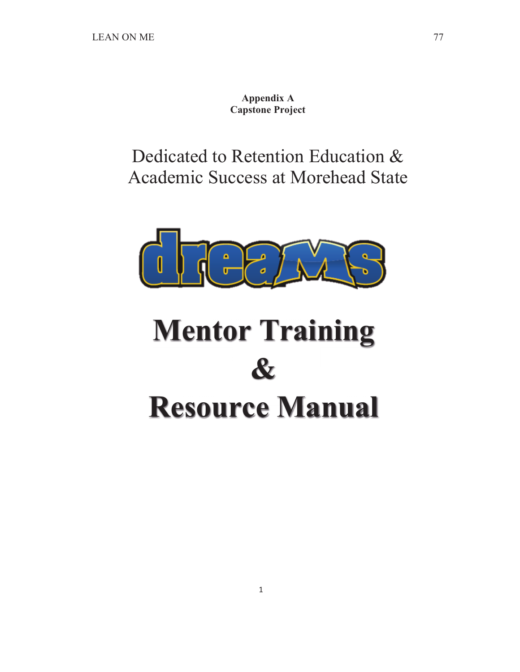**Appendix A Capstone Project** 

Dedicated to Retention Education & Academic Success at Morehead State



# **Mentor Training & Resource Manual**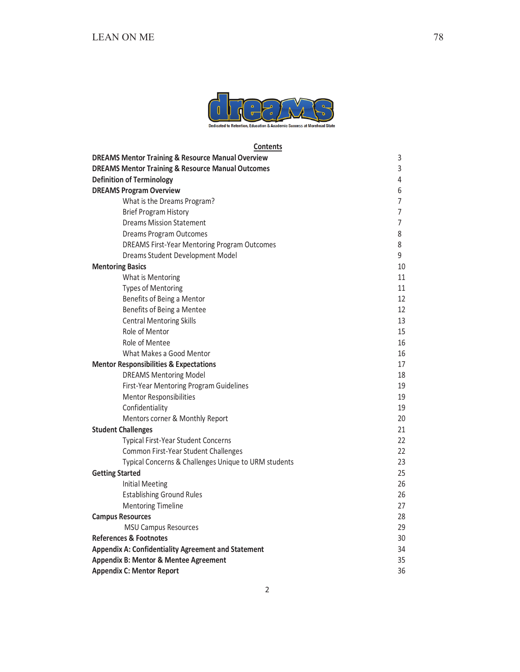

Contents

| <b>DREAMS Mentor Training &amp; Resource Manual Overview</b> | 3              |
|--------------------------------------------------------------|----------------|
| <b>DREAMS Mentor Training &amp; Resource Manual Outcomes</b> | 3              |
| <b>Definition of Terminology</b>                             | $\overline{4}$ |
| <b>DREAMS Program Overview</b>                               | 6              |
| What is the Dreams Program?                                  | 7              |
| <b>Brief Program History</b>                                 | $\overline{7}$ |
| <b>Dreams Mission Statement</b>                              | 7              |
| Dreams Program Outcomes                                      | 8              |
| <b>DREAMS First-Year Mentoring Program Outcomes</b>          | 8              |
| Dreams Student Development Model                             | 9              |
| <b>Mentoring Basics</b>                                      | 10             |
| What is Mentoring                                            | 11             |
| <b>Types of Mentoring</b>                                    | 11             |
| Benefits of Being a Mentor                                   | 12             |
| Benefits of Being a Mentee                                   | 12             |
| <b>Central Mentoring Skills</b>                              | 13             |
| Role of Mentor                                               | 15             |
| Role of Mentee                                               | 16             |
| What Makes a Good Mentor                                     | 16             |
| <b>Mentor Responsibilities &amp; Expectations</b>            | 17             |
| <b>DREAMS Mentoring Model</b>                                | 18             |
| First-Year Mentoring Program Guidelines                      | 19             |
| <b>Mentor Responsibilities</b>                               | 19             |
| Confidentiality                                              | 19             |
| Mentors corner & Monthly Report                              | 20             |
| <b>Student Challenges</b>                                    | 21             |
| <b>Typical First-Year Student Concerns</b>                   | 22             |
| Common First-Year Student Challenges                         | 22             |
| Typical Concerns & Challenges Unique to URM students         | 23             |
| <b>Getting Started</b>                                       | 25             |
| <b>Initial Meeting</b>                                       | 26             |
| <b>Establishing Ground Rules</b>                             | 26             |
| <b>Mentoring Timeline</b>                                    | 27             |
| <b>Campus Resources</b>                                      | 28             |
| <b>MSU Campus Resources</b>                                  | 29             |
| <b>References &amp; Footnotes</b>                            | 30             |
| <b>Appendix A: Confidentiality Agreement and Statement</b>   | 34             |
| Appendix B: Mentor & Mentee Agreement                        |                |
| <b>Appendix C: Mentor Report</b>                             | 36             |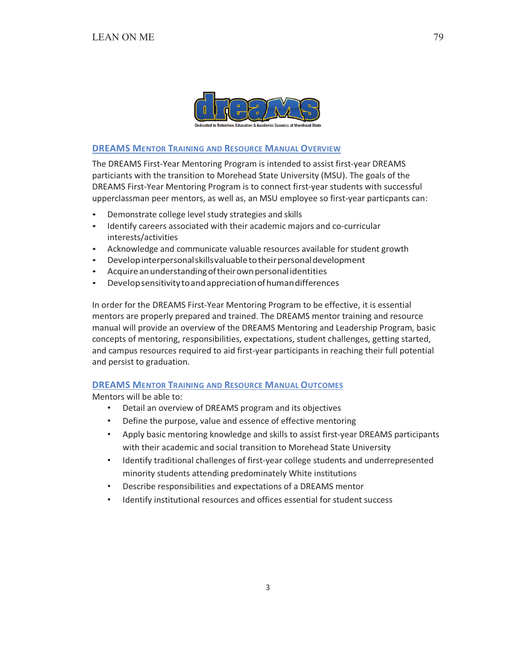

## **DREAMS MENTOR TRAINING AND RESOURCE MANUAL OVERVIEW**

The DREAMS First-Year Mentoring Program is intended to assist first-year DREAMS particiants with the transition to Morehead State University (MSU). The goals of the DREAMS First-Year Mentoring Program is to connect first-year students with successful upperclassman peer mentors, as well as, an MSU employee so first-year particpants can:

- Demonstrate college level study strategies and skills
- Identify careers associated with their academic majors and co-curricular interests/activities
- Acknowledge and communicate valuable resources available for student growth
- Develop interpersonal skills valuable to their personal development
- Acquire an understanding of their own personal identities
- Develop sensitivity to and appreciation of human differences

In order for the DREAMS First-Year Mentoring Program to be effective, it is essential mentors are properly prepared and trained. The DREAMS mentor training and resource manual will provide an overview of the DREAMS Mentoring and Leadership Program, basic concepts of mentoring, responsibilities, expectations, student challenges, getting started, and campus resources required to aid first-year participants in reaching their full potential and persist to graduation.

### **DREAMS MENTOR TRAINING AND RESOURCE MANUAL OUTCOMES**

Mentors will be able to:

- Detail an overview of DREAMS program and its objectives  $\bullet$
- Define the purpose, value and essence of effective mentoring  $\bullet$
- Apply basic mentoring knowledge and skills to assist first-year DREAMS participants  $\bullet$  . with their academic and social transition to Morehead State University
- Identify traditional challenges of first-year college students and underrepresented  $\bullet$ minority students attending predominately White institutions
- Describe responsibilities and expectations of a DREAMS mentor
- Identify institutional resources and offices essential for student success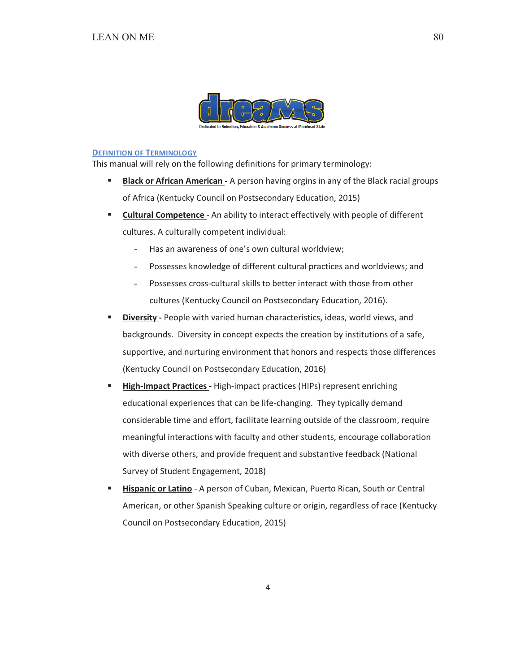

#### **DEFINITION OF TERMINOLOGY**

This manual will rely on the following definitions for primary terminology:

- $\mathbf{u}$  . Black or African American - A person having orgins in any of the Black racial groups of Africa (Kentucky Council on Postsecondary Education, 2015)
- **Cultural Competence** An ability to interact effectively with people of different  $\mathbf{u}$ cultures. A culturally competent individual:
	- Has an awareness of one's own cultural worldview;
	- Possesses knowledge of different cultural practices and worldviews; and
	- Possesses cross-cultural skills to better interact with those from other  $\Delta \sim 10^{-11}$ cultures (Kentucky Council on Postsecondary Education, 2016).
- × Diversity - People with varied human characteristics, ideas, world views, and backgrounds. Diversity in concept expects the creation by institutions of a safe, supportive, and nurturing environment that honors and respects those differences (Kentucky Council on Postsecondary Education, 2016)
- $\mathbf{u}$  . High-Impact Practices - High-impact practices (HIPs) represent enriching educational experiences that can be life-changing. They typically demand considerable time and effort, facilitate learning outside of the classroom, require meaningful interactions with faculty and other students, encourage collaboration with diverse others, and provide frequent and substantive feedback (National Survey of Student Engagement, 2018)
- $\blacksquare$ Hispanic or Latino - A person of Cuban, Mexican, Puerto Rican, South or Central American, or other Spanish Speaking culture or origin, regardless of race (Kentucky Council on Postsecondary Education, 2015)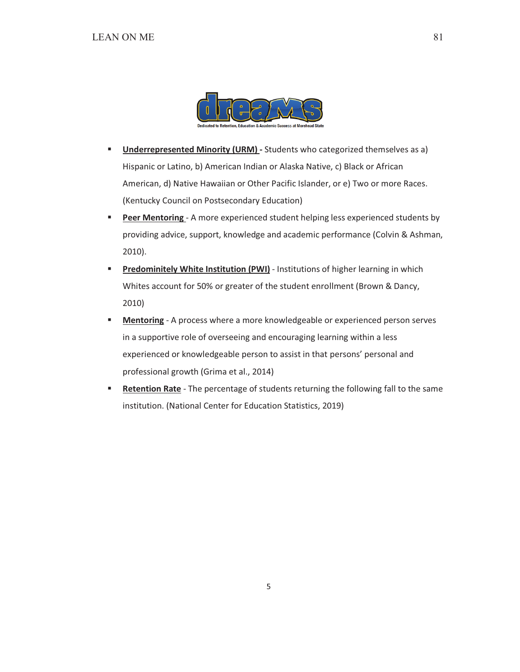

- $\mathbf{r}$ **Underrepresented Minority (URM)** - Students who categorized themselves as a) Hispanic or Latino, b) American Indian or Alaska Native, c) Black or African American, d) Native Hawaiian or Other Pacific Islander, or e) Two or more Races. (Kentucky Council on Postsecondary Education)
- Peer Mentoring A more experienced student helping less experienced students by  $\mathbf{u}$ providing advice, support, knowledge and academic performance (Colvin & Ashman,  $2010$ ).
- Predominitely White Institution (PWI) Institutions of higher learning in which  $\blacksquare$ Whites account for 50% or greater of the student enrollment (Brown & Dancy,  $2010)$
- Mentoring A process where a more knowledgeable or experienced person serves  $\blacksquare$ in a supportive role of overseeing and encouraging learning within a less experienced or knowledgeable person to assist in that persons' personal and professional growth (Grima et al., 2014)
- Retention Rate The percentage of students returning the following fall to the same ٠ institution. (National Center for Education Statistics, 2019)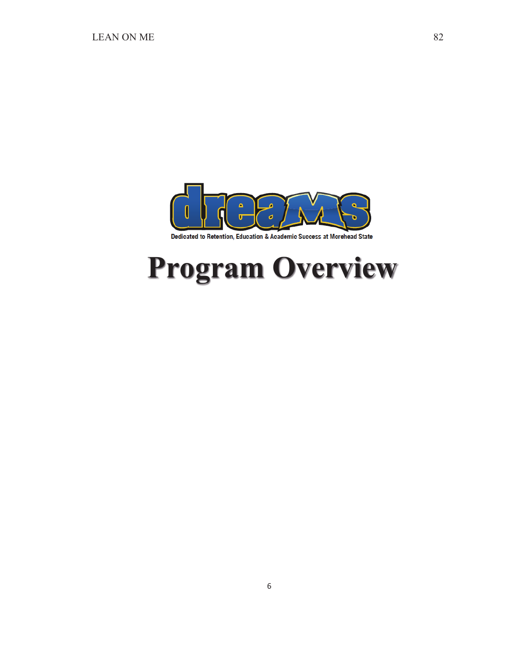

## **Program Overview**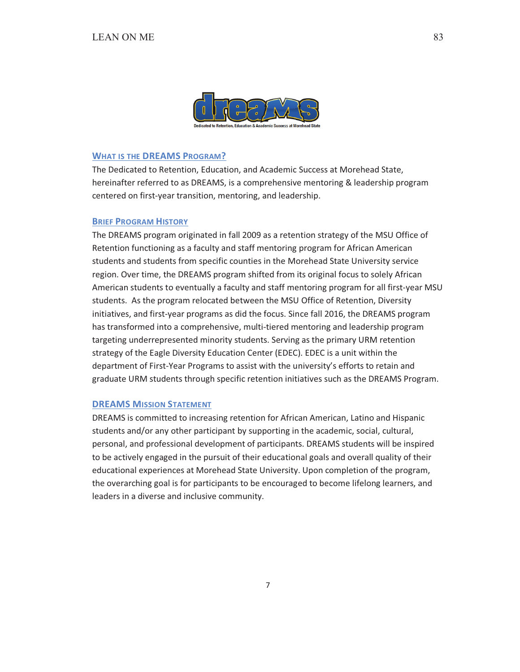

## **WHAT IS THE DREAMS PROGRAM?**

The Dedicated to Retention, Education, and Academic Success at Morehead State, hereinafter referred to as DREAMS, is a comprehensive mentoring & leadership program centered on first-year transition, mentoring, and leadership.

#### **BRIEF PROGRAM HISTORY**

The DREAMS program originated in fall 2009 as a retention strategy of the MSU Office of Retention functioning as a faculty and staff mentoring program for African American students and students from specific counties in the Morehead State University service region. Over time, the DREAMS program shifted from its original focus to solely African American students to eventually a faculty and staff mentoring program for all first-year MSU students. As the program relocated between the MSU Office of Retention, Diversity initiatives, and first-year programs as did the focus. Since fall 2016, the DREAMS program has transformed into a comprehensive, multi-tiered mentoring and leadership program targeting underrepresented minority students. Serving as the primary URM retention strategy of the Eagle Diversity Education Center (EDEC). EDEC is a unit within the department of First-Year Programs to assist with the university's efforts to retain and graduate URM students through specific retention initiatives such as the DREAMS Program.

### **DREAMS MISSION STATEMENT**

DREAMS is committed to increasing retention for African American, Latino and Hispanic students and/or any other participant by supporting in the academic, social, cultural, personal, and professional development of participants. DREAMS students will be inspired to be actively engaged in the pursuit of their educational goals and overall quality of their educational experiences at Morehead State University. Upon completion of the program, the overarching goal is for participants to be encouraged to become lifelong learners, and leaders in a diverse and inclusive community.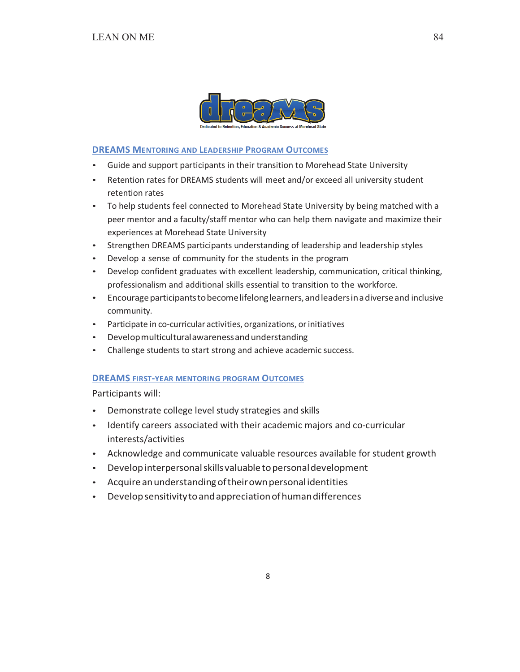

**DREAMS MENTORING AND LEADERSHIP PROGRAM OUTCOMES** 

- Guide and support participants in their transition to Morehead State University
- Retention rates for DREAMS students will meet and/or exceed all university student retention rates
- To help students feel connected to Morehead State University by being matched with a peer mentor and a faculty/staff mentor who can help them navigate and maximize their experiences at Morehead State University
- Strengthen DREAMS participants understanding of leadership and leadership styles
- Develop a sense of community for the students in the program
- Develop confident graduates with excellent leadership, communication, critical thinking, professionalism and additional skills essential to transition to the workforce.
- Encourage participants to become lifelong learners, and leaders in a diverse and inclusive community.
- Participate in co-curricular activities, organizations, or initiatives
- Develop multicultural awareness and understanding  $\bullet$  .
- Challenge students to start strong and achieve academic success.

## **DREAMS FIRST-YEAR MENTORING PROGRAM OUTCOMES**

Participants will:

- Demonstrate college level study strategies and skills
- Identify careers associated with their academic majors and co-curricular interests/activities
- Acknowledge and communicate valuable resources available for student growth
- Develop interpersonal skills valuable to personal development  $\bullet$
- Acquire an understanding of their own personal identities
- Develop sensitivity to and appreciation of human differences  $\bullet$  .

84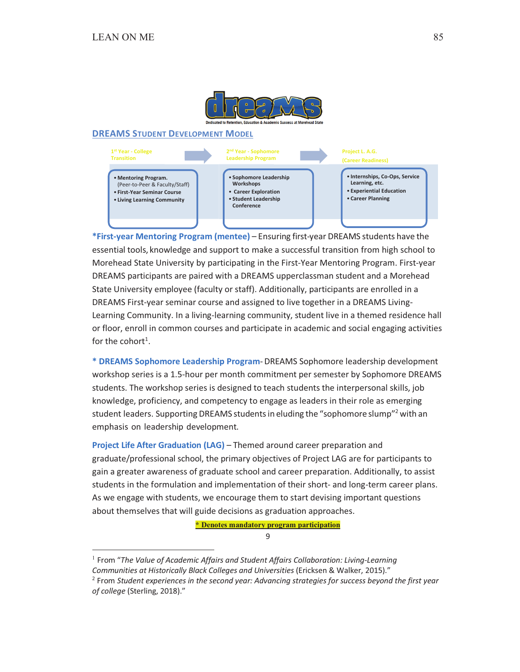

#### **DREAMS STUDENT DEVELOPMENT MODEL**



\*First-year Mentoring Program (mentee) - Ensuring first-year DREAMS students have the essential tools, knowledge and support to make a successful transition from high school to Morehead State University by participating in the First-Year Mentoring Program. First-year DREAMS participants are paired with a DREAMS upperclassman student and a Morehead State University employee (faculty or staff). Additionally, participants are enrolled in a DREAMS First-year seminar course and assigned to live together in a DREAMS Living-Learning Community. In a living-learning community, student live in a themed residence hall or floor, enroll in common courses and participate in academic and social engaging activities for the cohort<sup>1</sup>

\* DREAMS Sophomore Leadership Program-DREAMS Sophomore leadership development workshop series is a 1.5-hour per month commitment per semester by Sophomore DREAMS students. The workshop series is designed to teach students the interpersonal skills, job knowledge, proficiency, and competency to engage as leaders in their role as emerging student leaders. Supporting DREAMS students in eluding the "sophomore slump"<sup>2</sup> with an emphasis on leadership development.

Project Life After Graduation (LAG) - Themed around career preparation and graduate/professional school, the primary objectives of Project LAG are for participants to gain a greater awareness of graduate school and career preparation. Additionally, to assist students in the formulation and implementation of their short- and long-term career plans. As we engage with students, we encourage them to start devising important questions about themselves that will guide decisions as graduation approaches.

\* Denotes mandatory program participation

9

 $1$  From "The Value of Academic Affairs and Student Affairs Collaboration: Living-Learning

Communities at Historically Black Colleges and Universities (Ericksen & Walker, 2015)."

<sup>&</sup>lt;sup>2</sup> From Student experiences in the second year: Advancing strategies for success beyond the first year of college (Sterling, 2018)."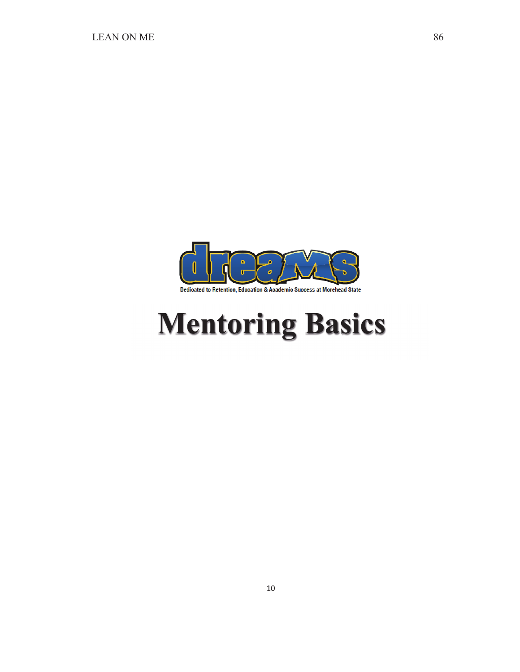

## **Mentoring Basics**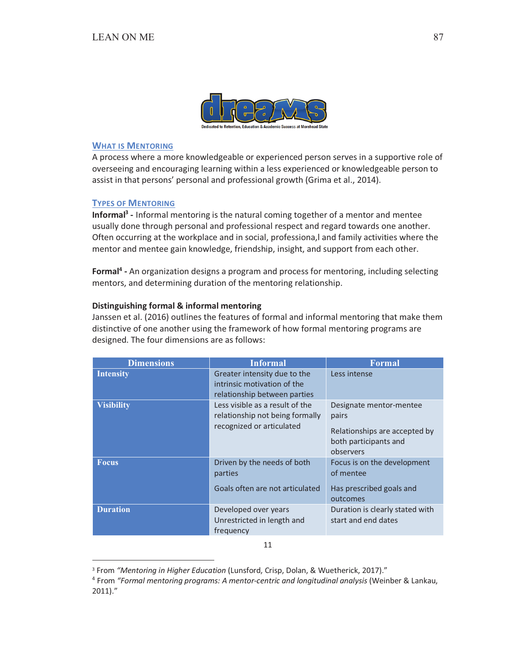

## **WHAT IS MENTORING**

A process where a more knowledgeable or experienced person serves in a supportive role of overseeing and encouraging learning within a less experienced or knowledgeable person to assist in that persons' personal and professional growth (Grima et al., 2014).

## **TYPES OF MENTORING**

Informal<sup>3</sup> - Informal mentoring is the natural coming together of a mentor and mentee usually done through personal and professional respect and regard towards one another. Often occurring at the workplace and in social, professiona,I and family activities where the mentor and mentee gain knowledge, friendship, insight, and support from each other.

Formal<sup>4</sup> - An organization designs a program and process for mentoring, including selecting mentors, and determining duration of the mentoring relationship.

#### Distinguishing formal & informal mentoring

Janssen et al. (2016) outlines the features of formal and informal mentoring that make them distinctive of one another using the framework of how formal mentoring programs are designed. The four dimensions are as follows:

| <b>Dimensions</b> | <b>Informal</b>                                                                                 | <b>Formal</b>                                                                                           |
|-------------------|-------------------------------------------------------------------------------------------------|---------------------------------------------------------------------------------------------------------|
| <b>Intensity</b>  | Greater intensity due to the<br>intrinsic motivation of the<br>relationship between parties     | Less intense                                                                                            |
| <b>Visibility</b> | Less visible as a result of the<br>relationship not being formally<br>recognized or articulated | Designate mentor-mentee<br>pairs<br>Relationships are accepted by<br>both participants and<br>observers |
| <b>Focus</b>      | Driven by the needs of both<br>parties<br>Goals often are not articulated                       | Focus is on the development<br>of mentee<br>Has prescribed goals and<br>outcomes                        |
| <b>Duration</b>   | Developed over years<br>Unrestricted in length and<br>frequency                                 | Duration is clearly stated with<br>start and end dates                                                  |

11

<sup>&</sup>lt;sup>3</sup> From "Mentoring in Higher Education (Lunsford, Crisp, Dolan, & Wuetherick, 2017)."

<sup>&</sup>lt;sup>4</sup> From "Formal mentoring programs: A mentor-centric and longitudinal analysis (Weinber & Lankau,  $2011$ ."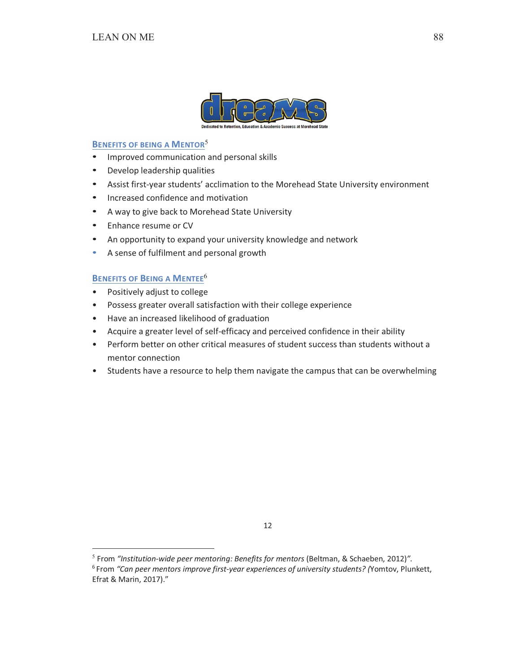

## **BENEFITS OF BEING A MENTOR<sup>5</sup>**

- Improved communication and personal skills
- Develop leadership qualities
- Assist first-year students' acclimation to the Morehead State University environment
- Increased confidence and motivation
- A way to give back to Morehead State University
- Enhance resume or CV
- An opportunity to expand your university knowledge and network
- A sense of fulfilment and personal growth  $\bullet$

## **BENEFITS OF BEING A MENTEE<sup>6</sup>**

- $\bullet$ Positively adjust to college
- Possess greater overall satisfaction with their college experience
- Have an increased likelihood of graduation
- Acquire a greater level of self-efficacy and perceived confidence in their ability
- Perform better on other critical measures of student success than students without a mentor connection
- Students have a resource to help them navigate the campus that can be overwhelming

 $5$  From "Institution-wide peer mentoring: Benefits for mentors (Beltman, & Schaeben, 2012)".

<sup>&</sup>lt;sup>6</sup> From "Can peer mentors improve first-year experiences of university students? (Yomtov, Plunkett, Efrat & Marin, 2017)."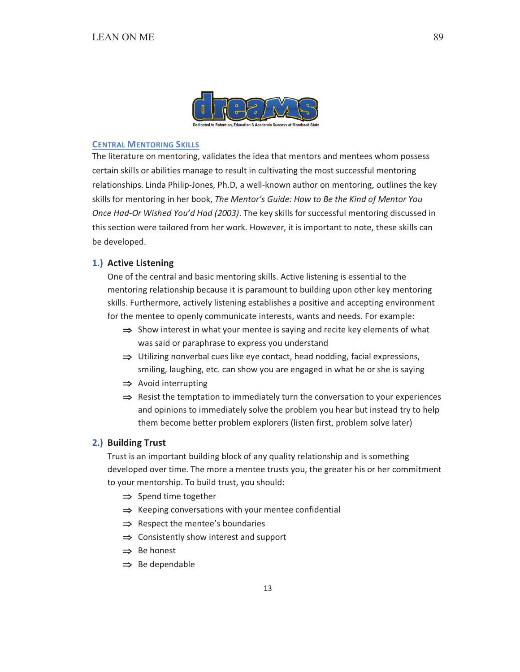

#### **CENTRAL MENTORING SKILLS**

The literature on mentoring, validates the idea that mentors and mentees whom possess certain skills or abilities manage to result in cultivating the most successful mentoring relationships. Linda Philip-Jones, Ph.D, a well-known author on mentoring, outlines the key skills for mentoring in her book, The Mentor's Guide: How to Be the Kind of Mentor You Once Had-Or Wished You'd Had (2003). The key skills for successful mentoring discussed in this section were tailored from her work. However, it is important to note, these skills can be developed.

#### 1.) Active Listening

One of the central and basic mentoring skills. Active listening is essential to the mentoring relationship because it is paramount to building upon other key mentoring skills. Furthermore, actively listening establishes a positive and accepting environment for the mentee to openly communicate interests, wants and needs. For example:

- $\Rightarrow$  Show interest in what your mentee is saying and recite key elements of what was said or paraphrase to express you understand
- $\Rightarrow$  Utilizing nonverbal cues like eye contact, head nodding, facial expressions, smiling, laughing, etc. can show you are engaged in what he or she is saying
- $\Rightarrow$  Avoid interrupting
- $\Rightarrow$  Resist the temptation to immediately turn the conversation to your experiences and opinions to immediately solve the problem you hear but instead try to help them become better problem explorers (listen first, problem solve later)

#### 2.) Building Trust

Trust is an important building block of any quality relationship and is something developed over time. The more a mentee trusts you, the greater his or her commitment to your mentorship. To build trust, you should:

- $\Rightarrow$  Spend time together
- $\Rightarrow$  Keeping conversations with your mentee confidential
- $\Rightarrow$  Respect the mentee's boundaries
- $\Rightarrow$  Consistently show interest and support
- $\Rightarrow$  Be honest
- $\Rightarrow$  Be dependable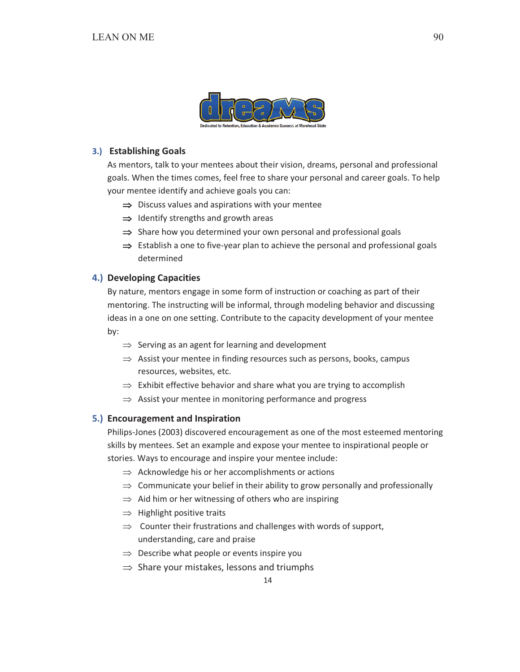

## 3.) Establishing Goals

As mentors, talk to your mentees about their vision, dreams, personal and professional goals. When the times comes, feel free to share your personal and career goals. To help your mentee identify and achieve goals you can:

- $\Rightarrow$  Discuss values and aspirations with your mentee
- $\Rightarrow$  Identify strengths and growth areas
- $\Rightarrow$  Share how you determined your own personal and professional goals
- $\Rightarrow$  Establish a one to five-year plan to achieve the personal and professional goals determined

## 4.) Developing Capacities

By nature, mentors engage in some form of instruction or coaching as part of their mentoring. The instructing will be informal, through modeling behavior and discussing ideas in a one on one setting. Contribute to the capacity development of your mentee by:

- $\Rightarrow$  Serving as an agent for learning and development
- $\Rightarrow$  Assist your mentee in finding resources such as persons, books, campus resources, websites, etc.
- $\Rightarrow$  Exhibit effective behavior and share what you are trying to accomplish
- $\Rightarrow$  Assist your mentee in monitoring performance and progress

## 5.) Encouragement and Inspiration

Philips-Jones (2003) discovered encouragement as one of the most esteemed mentoring skills by mentees. Set an example and expose your mentee to inspirational people or stories. Ways to encourage and inspire your mentee include:

- $\Rightarrow$  Acknowledge his or her accomplishments or actions
- $\Rightarrow$  Communicate your belief in their ability to grow personally and professionally
- $\Rightarrow$  Aid him or her witnessing of others who are inspiring
- $\Rightarrow$  Highlight positive traits
- $\Rightarrow$  Counter their frustrations and challenges with words of support, understanding, care and praise
- $\Rightarrow$  Describe what people or events inspire you
- $\Rightarrow$  Share your mistakes, lessons and triumphs

14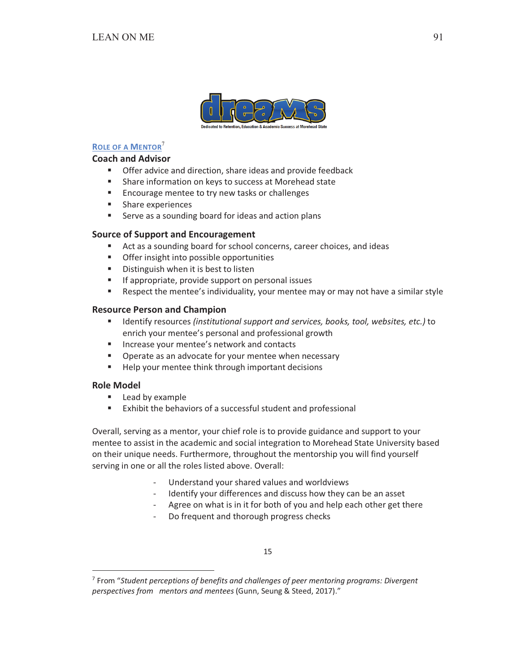

## **ROLE OF A MENTOR<sup>7</sup>**

## **Coach and Advisor**

- Offer advice and direction, share ideas and provide feedback
- $\mathbf{u}$  . Share information on keys to success at Morehead state
- $\mathbf{u}$ Encourage mentee to try new tasks or challenges
- Share experiences
- m. Serve as a sounding board for ideas and action plans

## **Source of Support and Encouragement**

- Act as a sounding board for school concerns, career choices, and ideas
- $\mathbf{u}$ Offer insight into possible opportunities
- $\mathbf{u}$  . Distinguish when it is best to listen
- $\mathbf{r}$ If appropriate, provide support on personal issues
- $\mathbf{u}$  . Respect the mentee's individuality, your mentee may or may not have a similar style

## **Resource Person and Champion**

- $\mathbf{u}$  . Identify resources (institutional support and services, books, tool, websites, etc.) to enrich your mentee's personal and professional growth
- Increase your mentee's network and contacts
- $\mathbf{u}$  . Operate as an advocate for your mentee when necessary
- $\mathbf{u}$  . Help your mentee think through important decisions

## **Role Model**

- $\mathbf{u}$  . Lead by example
- $\mathbf{u}$  . Exhibit the behaviors of a successful student and professional

Overall, serving as a mentor, your chief role is to provide guidance and support to your mentee to assist in the academic and social integration to Morehead State University based on their unique needs. Furthermore, throughout the mentorship you will find yourself serving in one or all the roles listed above. Overall:

- Understand your shared values and worldviews
- Identify your differences and discuss how they can be an asset
- Agree on what is in it for both of you and help each other get there
- Do frequent and thorough progress checks

 $7$  From "Student perceptions of benefits and challenges of peer mentoring programs: Divergent perspectives from mentors and mentees (Gunn, Seung & Steed, 2017)."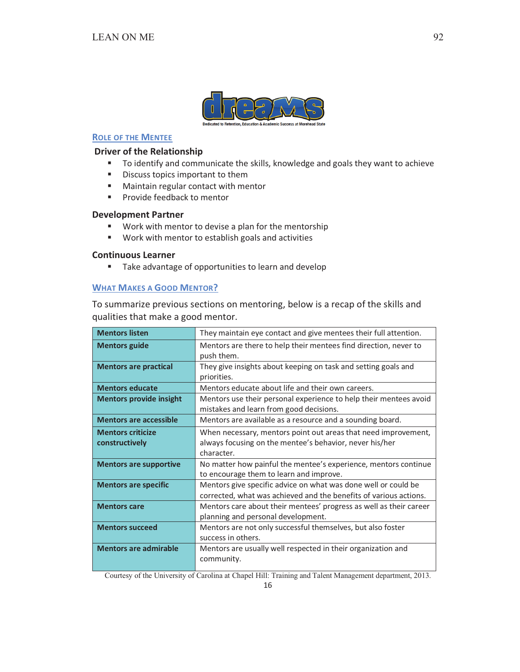

## **ROLE OF THE MENTEE**

## **Driver of the Relationship**

- " To identify and communicate the skills, knowledge and goals they want to achieve
- $\mathbf{u}$  . Discuss topics important to them
- " Maintain regular contact with mentor
- " Provide feedback to mentor

## **Development Partner**

- Work with mentor to devise a plan for the mentorship  $\mathbf{u}$
- " Work with mentor to establish goals and activities

## **Continuous Learner**

Take advantage of opportunities to learn and develop  $\blacksquare$ 

## **WHAT MAKES A GOOD MENTOR?**

To summarize previous sections on mentoring, below is a recap of the skills and qualities that make a good mentor.

| <b>Mentors listen</b>                      | They maintain eye contact and give mentees their full attention.                                                                        |
|--------------------------------------------|-----------------------------------------------------------------------------------------------------------------------------------------|
| <b>Mentors guide</b>                       | Mentors are there to help their mentees find direction, never to<br>push them.                                                          |
| <b>Mentors are practical</b>               | They give insights about keeping on task and setting goals and<br>priorities.                                                           |
| <b>Mentors educate</b>                     | Mentors educate about life and their own careers.                                                                                       |
| <b>Mentors provide insight</b>             | Mentors use their personal experience to help their mentees avoid<br>mistakes and learn from good decisions.                            |
| <b>Mentors are accessible</b>              | Mentors are available as a resource and a sounding board.                                                                               |
| <b>Mentors criticize</b><br>constructively | When necessary, mentors point out areas that need improvement,<br>always focusing on the mentee's behavior, never his/her<br>character. |
| <b>Mentors are supportive</b>              | No matter how painful the mentee's experience, mentors continue<br>to encourage them to learn and improve.                              |
| <b>Mentors are specific</b>                | Mentors give specific advice on what was done well or could be<br>corrected, what was achieved and the benefits of various actions.     |
| <b>Mentors care</b>                        | Mentors care about their mentees' progress as well as their career<br>planning and personal development.                                |
| <b>Mentors succeed</b>                     | Mentors are not only successful themselves, but also foster<br>success in others.                                                       |
| <b>Mentors are admirable</b>               | Mentors are usually well respected in their organization and<br>community.                                                              |

Courtesy of the University of Carolina at Chapel Hill: Training and Talent Management department, 2013.

92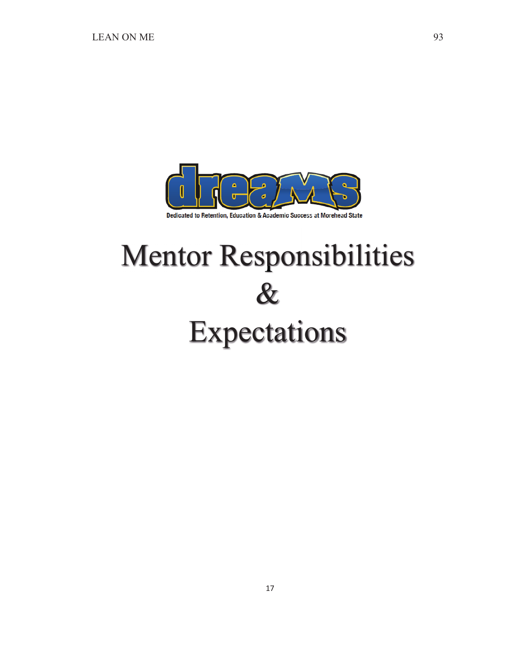

#### Dedicated to Retention, Education & Academic Success at Morehead State

# Mentor Responsibilities  $\boldsymbol{\mathcal{X}}$ Expectations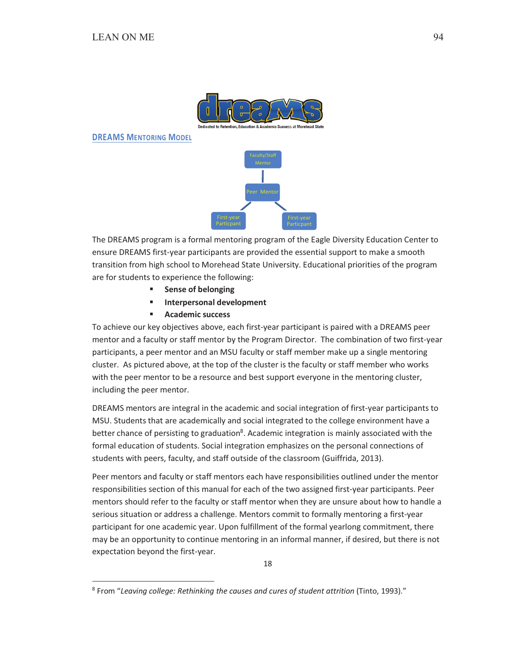

**DREAMS MENTORING MODEL** 



The DREAMS program is a formal mentoring program of the Eagle Diversity Education Center to ensure DREAMS first-year participants are provided the essential support to make a smooth transition from high school to Morehead State University. Educational priorities of the program are for students to experience the following:

- **Sense of belonging**  $\mathbf{m}$
- $\mathbf{u}$  . **Interpersonal development**
- $\mathbf{r}$ **Academic success**

To achieve our key objectives above, each first-year participant is paired with a DREAMS peer mentor and a faculty or staff mentor by the Program Director. The combination of two first-year participants, a peer mentor and an MSU faculty or staff member make up a single mentoring cluster. As pictured above, at the top of the cluster is the faculty or staff member who works with the peer mentor to be a resource and best support everyone in the mentoring cluster, including the peer mentor.

DREAMS mentors are integral in the academic and social integration of first-year participants to MSU. Students that are academically and social integrated to the college environment have a better chance of persisting to graduation<sup>8</sup>. Academic integration is mainly associated with the formal education of students. Social integration emphasizes on the personal connections of students with peers, faculty, and staff outside of the classroom (Guiffrida, 2013).

Peer mentors and faculty or staff mentors each have responsibilities outlined under the mentor responsibilities section of this manual for each of the two assigned first-year participants. Peer mentors should refer to the faculty or staff mentor when they are unsure about how to handle a serious situation or address a challenge. Mentors commit to formally mentoring a first-year participant for one academic year. Upon fulfillment of the formal yearlong commitment, there may be an opportunity to continue mentoring in an informal manner, if desired, but there is not expectation beyond the first-year.

<sup>&</sup>lt;sup>8</sup> From "Leaving college: Rethinking the causes and cures of student attrition (Tinto, 1993)."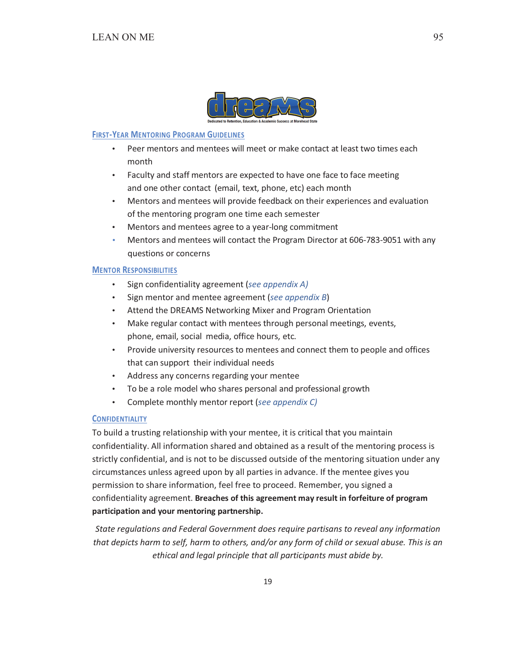

#### **FIRST-YEAR MENTORING PROGRAM GUIDELINES**

- $\bullet$ Peer mentors and mentees will meet or make contact at least two times each month
- Faculty and staff mentors are expected to have one face to face meeting and one other contact (email, text, phone, etc) each month
- Mentors and mentees will provide feedback on their experiences and evaluation of the mentoring program one time each semester
- Mentors and mentees agree to a year-long commitment
- Mentors and mentees will contact the Program Director at 606-783-9051 with any questions or concerns

### **MENTOR RESPONSIBILITIES**

- Sign confidentiality agreement (see appendix A)  $\bullet$
- Sign mentor and mentee agreement (see appendix B)
- Attend the DREAMS Networking Mixer and Program Orientation  $\bullet$  .
- Make regular contact with mentees through personal meetings, events, phone, email, social media, office hours, etc.
- Provide university resources to mentees and connect them to people and offices that can support their individual needs
- Address any concerns regarding your mentee
- To be a role model who shares personal and professional growth  $\bullet$
- Complete monthly mentor report (see appendix C)  $\bullet$  .

## **CONFIDENTIALITY**

To build a trusting relationship with your mentee, it is critical that you maintain confidentiality. All information shared and obtained as a result of the mentoring process is strictly confidential, and is not to be discussed outside of the mentoring situation under any circumstances unless agreed upon by all parties in advance. If the mentee gives you permission to share information, feel free to proceed. Remember, you signed a confidentiality agreement. Breaches of this agreement may result in forfeiture of program participation and your mentoring partnership.

State regulations and Federal Government does require partisans to reveal any information that depicts harm to self, harm to others, and/or any form of child or sexual abuse. This is an ethical and legal principle that all participants must abide by.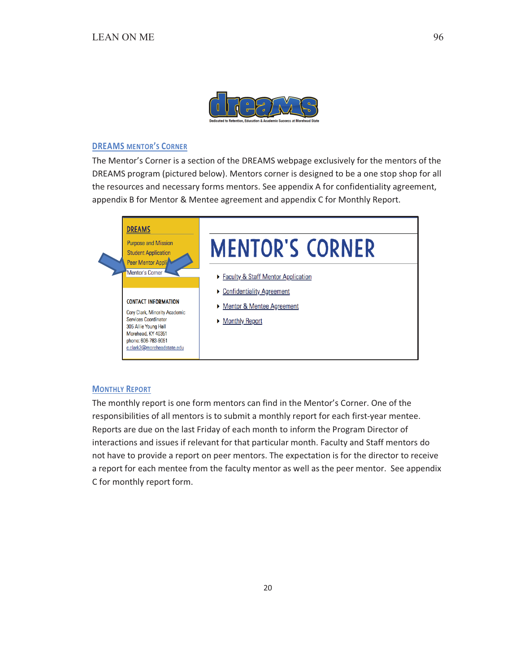

## **DREAMS MENTOR'S CORNER**

The Mentor's Corner is a section of the DREAMS webpage exclusively for the mentors of the DREAMS program (pictured below). Mentors corner is designed to be a one stop shop for all the resources and necessary forms mentors. See appendix A for confidentiality agreement, appendix B for Mentor & Mentee agreement and appendix C for Monthly Report.



## **MONTHLY REPORT**

The monthly report is one form mentors can find in the Mentor's Corner. One of the responsibilities of all mentors is to submit a monthly report for each first-year mentee. Reports are due on the last Friday of each month to inform the Program Director of interactions and issues if relevant for that particular month. Faculty and Staff mentors do not have to provide a report on peer mentors. The expectation is for the director to receive a report for each mentee from the faculty mentor as well as the peer mentor. See appendix C for monthly report form.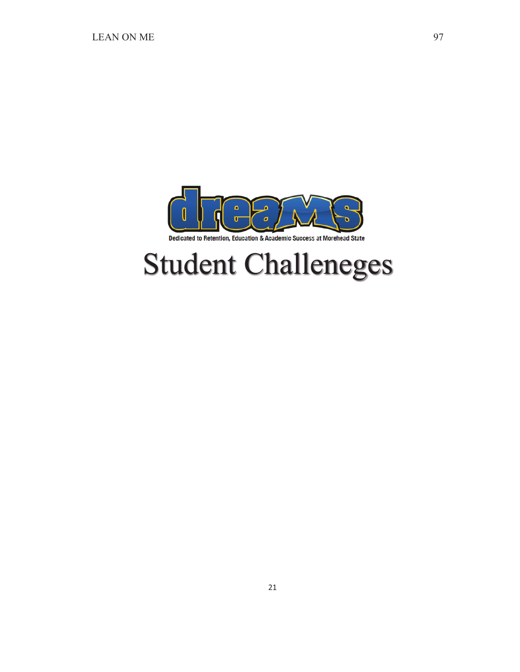

## Student Challeneges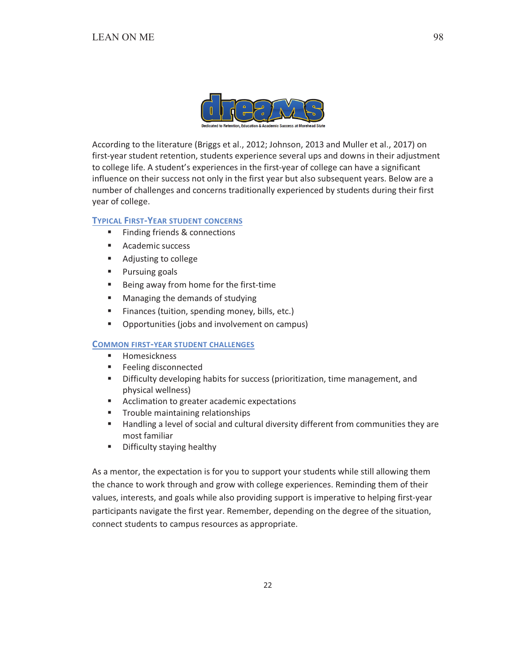

According to the literature (Briggs et al., 2012; Johnson, 2013 and Muller et al., 2017) on first-year student retention, students experience several ups and downs in their adjustment to college life. A student's experiences in the first-year of college can have a significant influence on their success not only in the first year but also subsequent years. Below are a number of challenges and concerns traditionally experienced by students during their first year of college.

### **TYPICAL FIRST-YEAR STUDENT CONCERNS**

- $\mathbf{u}$  . Finding friends & connections
- Academic success
- Adjusting to college
- Pursuing goals
- $\mathbf{m}$  . Being away from home for the first-time
- $\mathbf{r}$ Managing the demands of studying
- $\mathbf{u}$ Finances (tuition, spending money, bills, etc.)
- $\mathbf{u}$  . Opportunities (jobs and involvement on campus)

#### **COMMON FIRST-YEAR STUDENT CHALLENGES**

- Homesickness
- $\mathbf{E}^{\text{max}}$ Feeling disconnected
- "Difficulty developing habits for success (prioritization, time management, and physical wellness)
- Acclimation to greater academic expectations
- " Trouble maintaining relationships
- $\mathbf{r}$ Handling a level of social and cultural diversity different from communities they are most familiar
- $\mathbf{r}$ Difficulty staying healthy

As a mentor, the expectation is for you to support your students while still allowing them the chance to work through and grow with college experiences. Reminding them of their values, interests, and goals while also providing support is imperative to helping first-year participants navigate the first year. Remember, depending on the degree of the situation, connect students to campus resources as appropriate.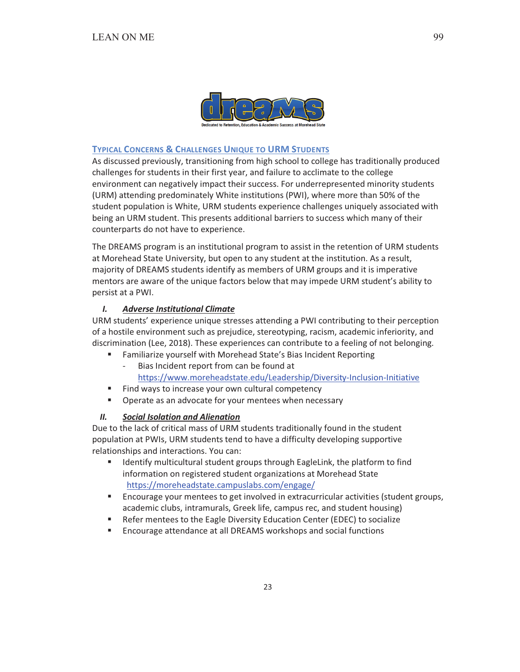

#### **TYPICAL CONCERNS & CHALLENGES UNIQUE TO URM STUDENTS**

As discussed previously, transitioning from high school to college has traditionally produced challenges for students in their first year, and failure to acclimate to the college environment can negatively impact their success. For underrepresented minority students (URM) attending predominately White institutions (PWI), where more than 50% of the student population is White, URM students experience challenges uniquely associated with being an URM student. This presents additional barriers to success which many of their counterparts do not have to experience.

The DREAMS program is an institutional program to assist in the retention of URM students at Morehead State University, but open to any student at the institution. As a result, majority of DREAMS students identify as members of URM groups and it is imperative mentors are aware of the unique factors below that may impede URM student's ability to persist at a PWI.

#### $\mathbf{L}$ **Adverse Institutional Climate**

URM students' experience unique stresses attending a PWI contributing to their perception of a hostile environment such as prejudice, stereotyping, racism, academic inferiority, and discrimination (Lee, 2018). These experiences can contribute to a feeling of not belonging.

- Familiarize yourself with Morehead State's Bias Incident Reporting  $\mathbf{u}$  .
	- Bias Incident report from can be found at https://www.moreheadstate.edu/Leadership/Diversity-Inclusion-Initiative
- $\mathbf{r}$ Find ways to increase your own cultural competency
- $\mathbf{u}$  . Operate as an advocate for your mentees when necessary

#### $II.$ **Social Isolation and Alienation**

Due to the lack of critical mass of URM students traditionally found in the student population at PWIs, URM students tend to have a difficulty developing supportive relationships and interactions. You can:

- Identify multicultural student groups through EagleLink, the platform to find  $\blacksquare$ information on registered student organizations at Morehead State https://moreheadstate.campuslabs.com/engage/
- $\mathbf{u}$  . Encourage your mentees to get involved in extracurricular activities (student groups, academic clubs, intramurals, Greek life, campus rec, and student housing)
- Refer mentees to the Eagle Diversity Education Center (EDEC) to socialize
- $\mathbf{u}$  . Encourage attendance at all DREAMS workshops and social functions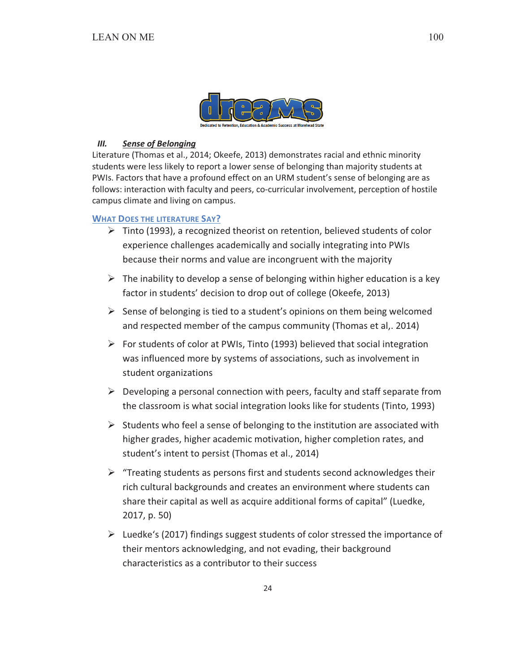

#### $III.$ **Sense of Belonging**

Literature (Thomas et al., 2014; Okeefe, 2013) demonstrates racial and ethnic minority students were less likely to report a lower sense of belonging than majority students at PWIs. Factors that have a profound effect on an URM student's sense of belonging are as follows: interaction with faculty and peers, co-curricular involvement, perception of hostile campus climate and living on campus.

## **WHAT DOES THE LITERATURE SAY?**

- $\triangleright$  Tinto (1993), a recognized theorist on retention, believed students of color experience challenges academically and socially integrating into PWIs because their norms and value are incongruent with the majority
- $\triangleright$  The inability to develop a sense of belonging within higher education is a key factor in students' decision to drop out of college (Okeefe, 2013)
- $\triangleright$  Sense of belonging is tied to a student's opinions on them being welcomed and respected member of the campus community (Thomas et al,. 2014)
- $\triangleright$  For students of color at PWIs, Tinto (1993) believed that social integration was influenced more by systems of associations, such as involvement in student organizations
- $\triangleright$  Developing a personal connection with peers, faculty and staff separate from the classroom is what social integration looks like for students (Tinto, 1993)
- $\triangleright$  Students who feel a sense of belonging to the institution are associated with higher grades, higher academic motivation, higher completion rates, and student's intent to persist (Thomas et al., 2014)
- $\triangleright$  "Treating students as persons first and students second acknowledges their rich cultural backgrounds and creates an environment where students can share their capital as well as acquire additional forms of capital" (Luedke, 2017, p. 50)
- $\triangleright$  Luedke's (2017) findings suggest students of color stressed the importance of their mentors acknowledging, and not evading, their background characteristics as a contributor to their success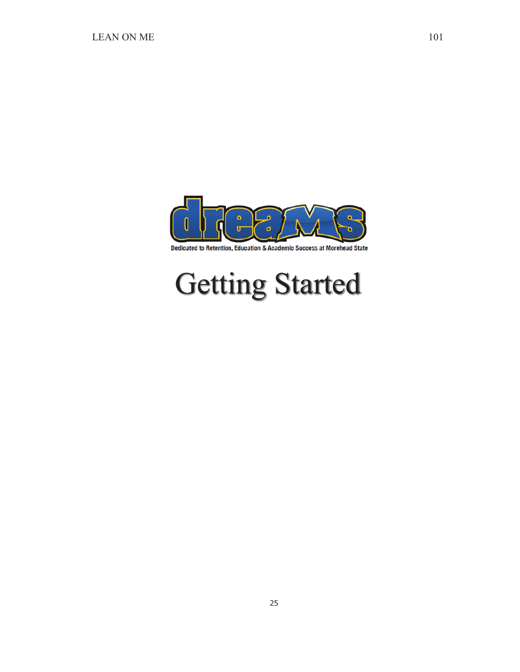

Dedicated to Retention, Education & Academic Success at Morehead State

# Getting Started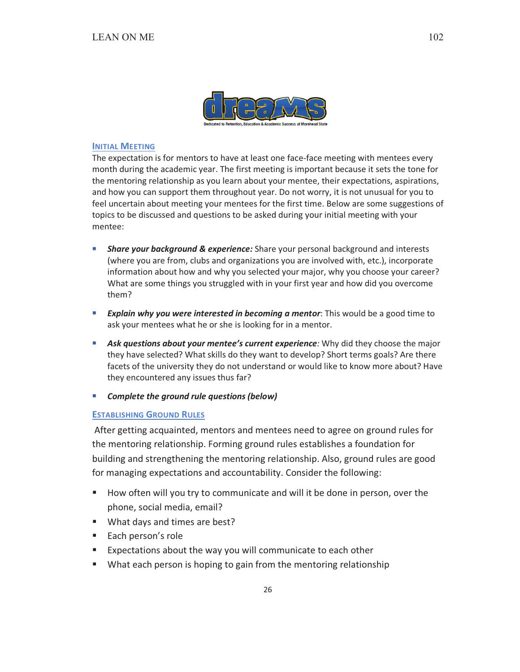

### **INITIAL MEETING**

The expectation is for mentors to have at least one face-face meeting with mentees every month during the academic year. The first meeting is important because it sets the tone for the mentoring relationship as you learn about your mentee, their expectations, aspirations, and how you can support them throughout year. Do not worry, it is not unusual for you to feel uncertain about meeting your mentees for the first time. Below are some suggestions of topics to be discussed and questions to be asked during your initial meeting with your mentee:

- Share your background & experience: Share your personal background and interests (where you are from, clubs and organizations you are involved with, etc.), incorporate information about how and why you selected your major, why you choose your career? What are some things you struggled with in your first year and how did you overcome them?
- **Explain why you were interested in becoming a mentor:** This would be a good time to ask your mentees what he or she is looking for in a mentor.
- **Ask questions about your mentee's current experience:** Why did they choose the major they have selected? What skills do they want to develop? Short terms goals? Are there facets of the university they do not understand or would like to know more about? Have they encountered any issues thus far?
- Complete the ground rule questions (below)  $\mathcal{L}_{\mathcal{A}}$

#### **ESTABLISHING GROUND RULES**

After getting acquainted, mentors and mentees need to agree on ground rules for the mentoring relationship. Forming ground rules establishes a foundation for building and strengthening the mentoring relationship. Also, ground rules are good for managing expectations and accountability. Consider the following:

- How often will you try to communicate and will it be done in person, over the phone, social media, email?
- What days and times are best?
- Each person's role
- " Expectations about the way you will communicate to each other
- What each person is hoping to gain from the mentoring relationship

102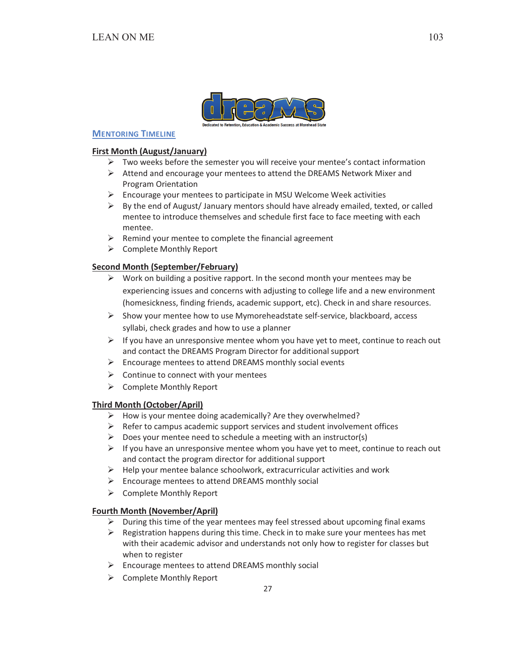

## **MENTORING TIMELINE**

## **First Month (August/January)**

- $\triangleright$  Two weeks before the semester you will receive your mentee's contact information
- $\triangleright$  Attend and encourage your mentees to attend the DREAMS Network Mixer and **Program Orientation**
- > Encourage your mentees to participate in MSU Welcome Week activities
- $\triangleright$  By the end of August/January mentors should have already emailed, texted, or called mentee to introduce themselves and schedule first face to face meeting with each mentee.
- $\triangleright$  Remind your mentee to complete the financial agreement
- $\triangleright$  Complete Monthly Report

## **Second Month (September/February)**

- $\triangleright$  Work on building a positive rapport. In the second month your mentees may be experiencing issues and concerns with adjusting to college life and a new environment (homesickness, finding friends, academic support, etc). Check in and share resources.
- $\triangleright$  Show your mentee how to use Mymoreheadstate self-service, blackboard, access syllabi, check grades and how to use a planner
- $\triangleright$  If you have an unresponsive mentee whom you have yet to meet, continue to reach out and contact the DREAMS Program Director for additional support
- $\triangleright$  Encourage mentees to attend DREAMS monthly social events
- $\triangleright$  Continue to connect with your mentees
- > Complete Monthly Report

## **Third Month (October/April)**

- $\triangleright$  How is your mentee doing academically? Are they overwhelmed?
- $\triangleright$  Refer to campus academic support services and student involvement offices
- $\triangleright$  Does your mentee need to schedule a meeting with an instructor(s)
- $\triangleright$  If you have an unresponsive mentee whom you have yet to meet, continue to reach out and contact the program director for additional support
- $\triangleright$  Help your mentee balance schoolwork, extracurricular activities and work
- $\triangleright$  Encourage mentees to attend DREAMS monthly social
- $\triangleright$  Complete Monthly Report

## **Fourth Month (November/April)**

- $\triangleright$  During this time of the year mentees may feel stressed about upcoming final exams
- $\triangleright$  Registration happens during this time. Check in to make sure your mentees has met with their academic advisor and understands not only how to register for classes but when to register
- $\triangleright$  Encourage mentees to attend DREAMS monthly social
- $\triangleright$  Complete Monthly Report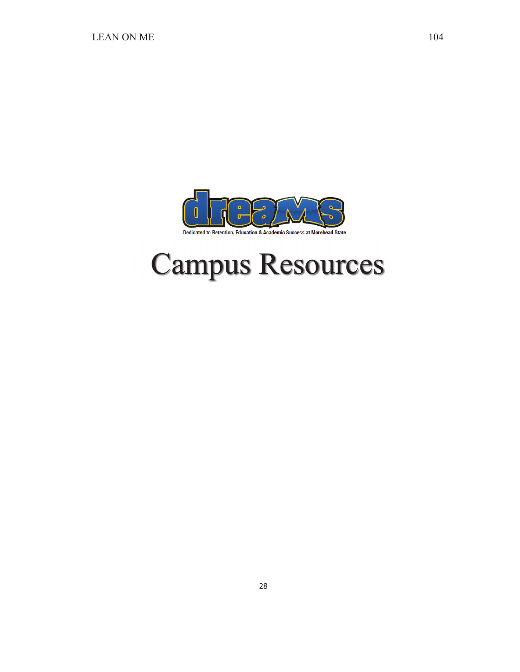

## Campus Resources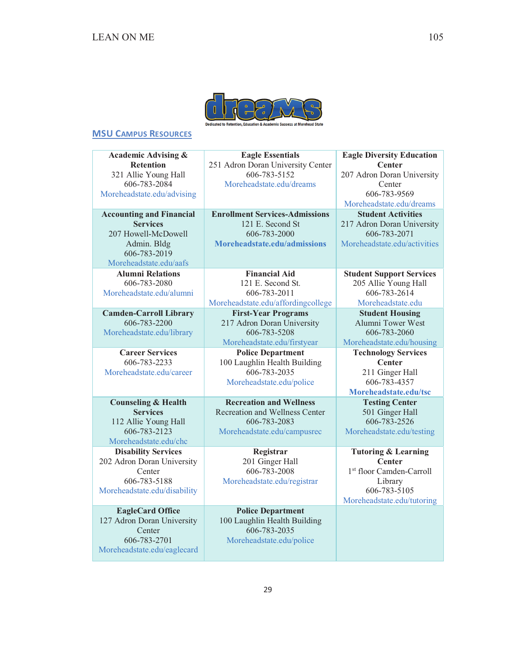

## **MSU CAMPUS RESOURCES**

**Academic Advising & Retention**  321 Allie Young Hall 606-783-2084 Moreheadstate.edu/advising

**Accounting and Financial Services**  207 Howell-McDowell Admin. Bldg 606-783-2019 Moreheadstate.edu/aafs

**Alumni Relations**  606-783-2080 Moreheadstate.edu/alumni

**Camden-Carroll Library**  606-783-2200 Moreheadstate.edu/library

**Career Services**  606-783-2233 Moreheadstate.edu/career

**Counseling & Health Services**  112 Allie Young Hall 606-783-2123

Moreheadstate.edu/chc **Disability Services**  202 Adron Doran University Center 606-783-5188 Moreheadstate.edu/disability

**EagleCard Office**  127 Adron Doran University Center 606-783-2701 Moreheadstate.edu/eaglecard

**Eagle Essentials**  251 Adron Doran University Center 606-783-5152 Moreheadstate.edu/dreams

**Enrollment Services-Admissions**  121 E. Second St 606-783-2000 **Moreheadstate.edu/admissions**

**Financial Aid**  121 E. Second St. 606-783-2011 Moreheadstate.edu/affordingcollege

> **First-Year Programs**  217 Adron Doran University 606-783-5208 Moreheadstate.edu/firstyear

**Police Department**  100 Laughlin Health Building 606-783-2035 Moreheadstate.edu/police

**Recreation and Wellness**  Recreation and Wellness Center 606-783-2083 Moreheadstate.edu/campusrec

**Registrar**  201 Ginger Hall 606-783-2008 Moreheadstate.edu/registrar

**Police Department**  100 Laughlin Health Building 606-783-2035 Moreheadstate.edu/police

**Eagle Diversity Education Center**  207 Adron Doran University Center 606-783-9569 Moreheadstate.edu/dreams **Student Activities**  217 Adron Doran University

606-783-2071 Moreheadstate.edu/activities

**Student Support Services**  205 Allie Young Hall 606-783-2614 Moreheadstate.edu

**Student Housing**  Alumni Tower West 606-783-2060

Moreheadstate.edu/housing **Technology Services Center** 

211 Ginger Hall 606-783-4357 **Moreheadstate.edu/tsc**

**Testing Center**  501 Ginger Hall 606-783-2526 Moreheadstate.edu/testing

**Tutoring & Learning Center**  1<sup>st</sup> floor Camden-Carroll Library 606-783-5105 Moreheadstate.edu/tutoring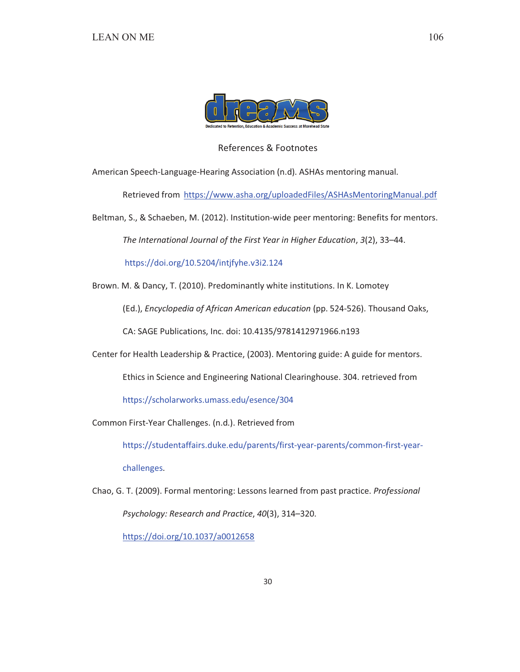

## References & Footnotes

American Speech-Language-Hearing Association (n.d). ASHAs mentoring manual.

Retrieved from https://www.asha.org/uploadedFiles/ASHAsMentoringManual.pdf

Beltman, S., & Schaeben, M. (2012). Institution-wide peer mentoring: Benefits for mentors.

The International Journal of the First Year in Higher Education, 3(2), 33-44.

https://doi.org/10.5204/intjfyhe.v3i2.124

Brown. M. & Dancy, T. (2010). Predominantly white institutions. In K. Lomotey

(Ed.), Encyclopedia of African American education (pp. 524-526). Thousand Oaks,

CA: SAGE Publications, Inc. doi: 10.4135/9781412971966.n193

Center for Health Leadership & Practice, (2003). Mentoring guide: A guide for mentors.

Ethics in Science and Engineering National Clearinghouse. 304. retrieved from

https://scholarworks.umass.edu/esence/304

Common First-Year Challenges. (n.d.). Retrieved from

https://studentaffairs.duke.edu/parents/first-year-parents/common-first-yearchallenges.

Chao, G. T. (2009). Formal mentoring: Lessons learned from past practice. Professional Psychology: Research and Practice, 40(3), 314-320.

https://doi.org/10.1037/a0012658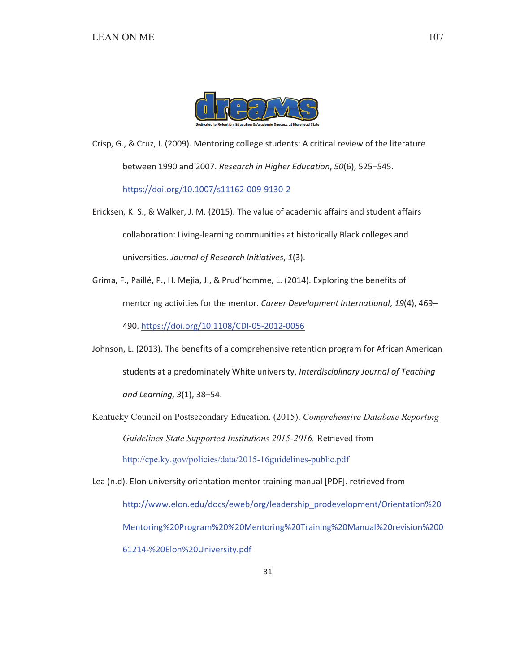

Crisp, G., & Cruz, I. (2009). Mentoring college students: A critical review of the literature between 1990 and 2007. Research in Higher Education, 50(6), 525-545. https://doi.org/10.1007/s11162-009-9130-2

Ericksen, K. S., & Walker, J. M. (2015). The value of academic affairs and student affairs collaboration: Living-learning communities at historically Black colleges and universities. Journal of Research Initiatives, 1(3).

Grima, F., Paillé, P., H. Mejia, J., & Prud'homme, L. (2014). Exploring the benefits of mentoring activities for the mentor. Career Development International, 19(4), 469-490. https://doi.org/10.1108/CDI-05-2012-0056

Johnson, L. (2013). The benefits of a comprehensive retention program for African American students at a predominately White university. Interdisciplinary Journal of Teaching and Learning, 3(1), 38-54.

Kentucky Council on Postsecondary Education. (2015). Comprehensive Database Reporting Guidelines State Supported Institutions 2015-2016. Retrieved from http://cpe.ky.gov/policies/data/2015-16guidelines-public.pdf

Lea (n.d). Elon university orientation mentor training manual [PDF]. retrieved from http://www.elon.edu/docs/eweb/org/leadership prodevelopment/Orientation%20 Mentoring%20Program%20%20Mentoring%20Training%20Manual%20revision%200 61214-%20Elon%20University.pdf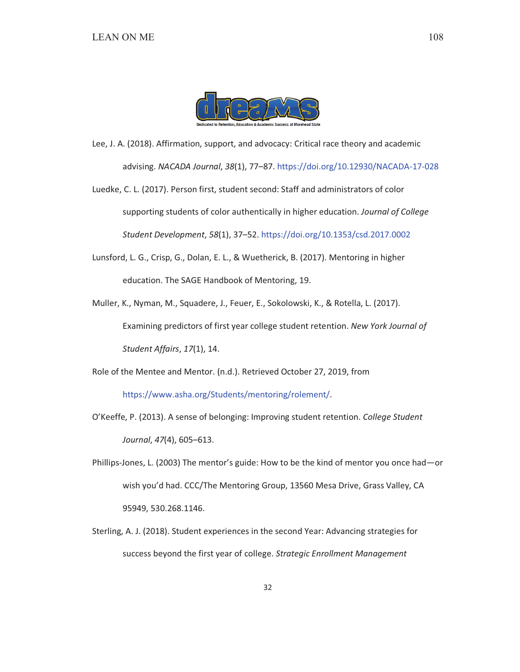

Lee, J. A. (2018). Affirmation, support, and advocacy: Critical race theory and academic advising. NACADA Journal, 38(1), 77-87. https://doi.org/10.12930/NACADA-17-028

Luedke, C. L. (2017). Person first, student second: Staff and administrators of color supporting students of color authentically in higher education. Journal of College Student Development, 58(1), 37-52. https://doi.org/10.1353/csd.2017.0002

Lunsford, L. G., Crisp, G., Dolan, E. L., & Wuetherick, B. (2017). Mentoring in higher education. The SAGE Handbook of Mentoring, 19.

Muller, K., Nyman, M., Squadere, J., Feuer, E., Sokolowski, K., & Rotella, L. (2017). Examining predictors of first year college student retention. New York Journal of Student Affairs, 17(1), 14.

Role of the Mentee and Mentor. (n.d.). Retrieved October 27, 2019, from

https://www.asha.org/Students/mentoring/rolement/.

O'Keeffe, P. (2013). A sense of belonging: Improving student retention. College Student Journal, 47(4), 605-613.

- Phillips-Jones, L. (2003) The mentor's guide: How to be the kind of mentor you once had—or wish you'd had. CCC/The Mentoring Group, 13560 Mesa Drive, Grass Valley, CA 95949, 530.268.1146.
- Sterling, A. J. (2018). Student experiences in the second Year: Advancing strategies for success beyond the first year of college. Strategic Enrollment Management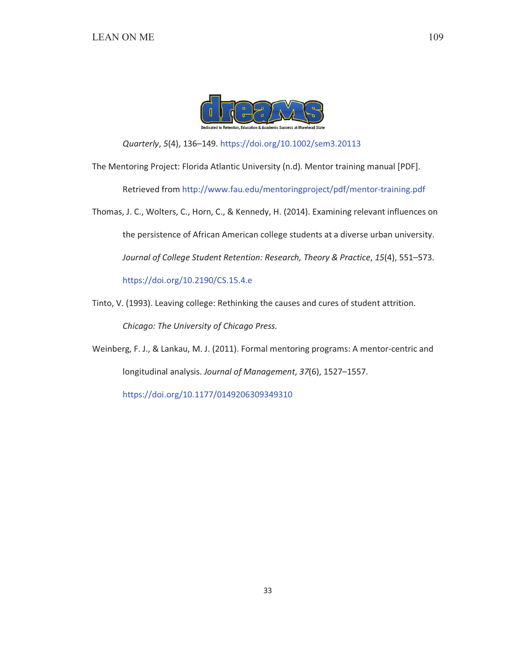

Quarterly, 5(4), 136-149. https://doi.org/10.1002/sem3.20113

The Mentoring Project: Florida Atlantic University (n.d). Mentor training manual [PDF]. Retrieved from http://www.fau.edu/mentoringproject/pdf/mentor-training.pdf

Thomas, J. C., Wolters, C., Horn, C., & Kennedy, H. (2014). Examining relevant influences on the persistence of African American college students at a diverse urban university. Journal of College Student Retention: Research, Theory & Practice, 15(4), 551-573. https://doi.org/10.2190/CS.15.4.e

Tinto, V. (1993). Leaving college: Rethinking the causes and cures of student attrition. Chicago: The University of Chicago Press.

Weinberg, F. J., & Lankau, M. J. (2011). Formal mentoring programs: A mentor-centric and longitudinal analysis. Journal of Management, 37(6), 1527-1557. https://doi.org/10.1177/0149206309349310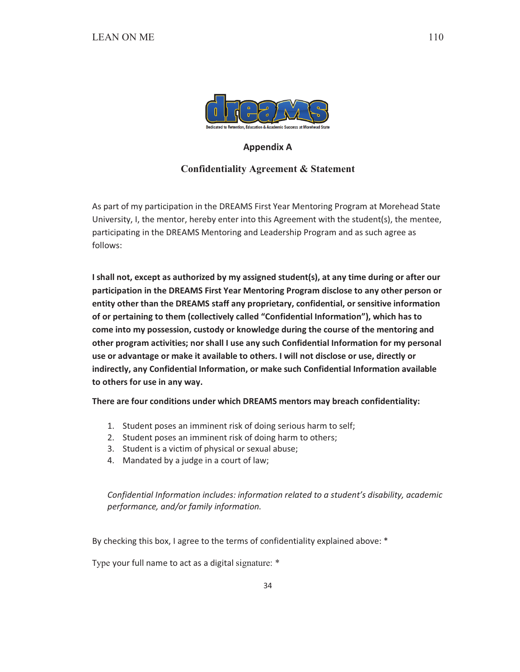

## **Appendix A**

## **Confidentiality Agreement & Statement**

As part of my participation in the DREAMS First Year Mentoring Program at Morehead State University, I, the mentor, hereby enter into this Agreement with the student(s), the mentee, participating in the DREAMS Mentoring and Leadership Program and as such agree as follows:

I shall not, except as authorized by my assigned student(s), at any time during or after our participation in the DREAMS First Year Mentoring Program disclose to any other person or entity other than the DREAMS staff any proprietary, confidential, or sensitive information of or pertaining to them (collectively called "Confidential Information"), which has to come into my possession, custody or knowledge during the course of the mentoring and other program activities; nor shall I use any such Confidential Information for my personal use or advantage or make it available to others. I will not disclose or use, directly or indirectly, any Confidential Information, or make such Confidential Information available to others for use in any way.

There are four conditions under which DREAMS mentors may breach confidentiality:

- 1. Student poses an imminent risk of doing serious harm to self;
- 2. Student poses an imminent risk of doing harm to others;
- 3. Student is a victim of physical or sexual abuse;
- 4. Mandated by a judge in a court of law;

Confidential Information includes: information related to a student's disability, academic performance, and/or family information.

By checking this box, I agree to the terms of confidentiality explained above: \*

Type your full name to act as a digital signature: \*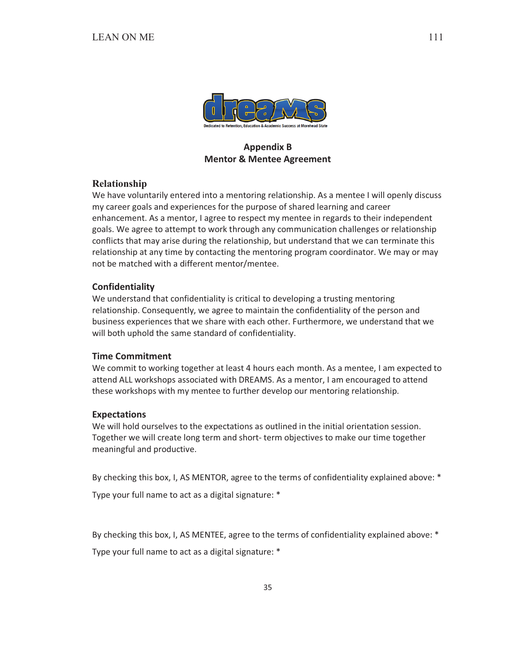

# **Appendix B Mentor & Mentee Agreement**

## Relationship

We have voluntarily entered into a mentoring relationship. As a mentee I will openly discuss my career goals and experiences for the purpose of shared learning and career enhancement. As a mentor, I agree to respect my mentee in regards to their independent goals. We agree to attempt to work through any communication challenges or relationship conflicts that may arise during the relationship, but understand that we can terminate this relationship at any time by contacting the mentoring program coordinator. We may or may not be matched with a different mentor/mentee.

## **Confidentiality**

We understand that confidentiality is critical to developing a trusting mentoring relationship. Consequently, we agree to maintain the confidentiality of the person and business experiences that we share with each other. Furthermore, we understand that we will both uphold the same standard of confidentiality.

## **Time Commitment**

We commit to working together at least 4 hours each month. As a mentee, I am expected to attend ALL workshops associated with DREAMS. As a mentor, I am encouraged to attend these workshops with my mentee to further develop our mentoring relationship.

## **Expectations**

We will hold ourselves to the expectations as outlined in the initial orientation session. Together we will create long term and short- term objectives to make our time together meaningful and productive.

By checking this box, I, AS MENTOR, agree to the terms of confidentiality explained above: \*

Type your full name to act as a digital signature: \*

By checking this box, I, AS MENTEE, agree to the terms of confidentiality explained above: \*

Type your full name to act as a digital signature: \*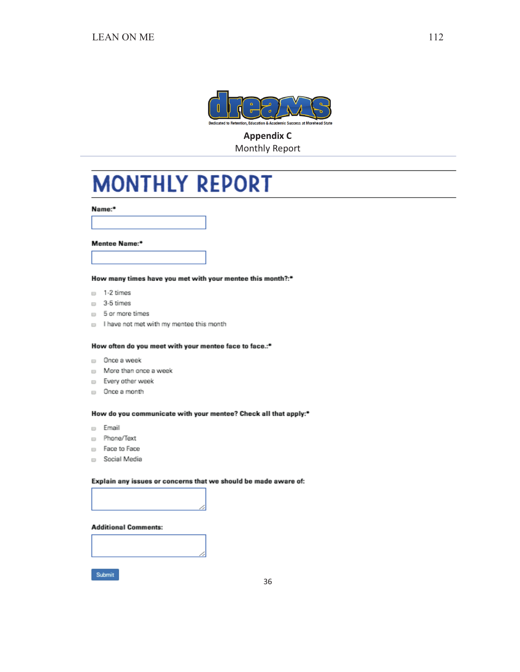

# **Appendix C Monthly Report**

# **MONTHLY REPORT**

Name:\*

#### Mentee Name:\*

How many times have you met with your mentee this month?:\*

- $= 1-2$  times
- $\Box$  3-5 times
- $\Box$  5 or more times
- I have not met with my mentee this month

#### How often do you meet with your mentee face to face.:\*

- $\Box$  Once a week
- $\Box$  More than once a week
- Every other week
- $\Box$  Once a month

#### How do you communicate with your mentee? Check all that apply:\*

- $\Box$  Email
- Phone/Text
- Face to Face
- Social Media

#### Explain any issues or concerns that we should be made aware of:



### **Additional Comments:**

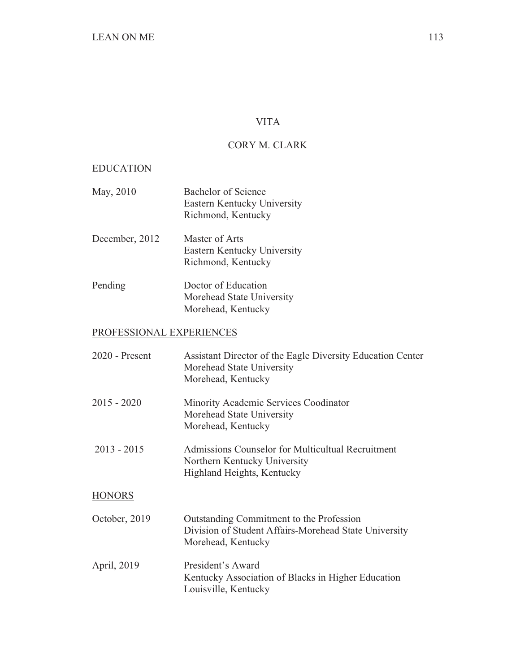# VITA

# CORY M. CLARK

## EDUCATION

- May, 2010 Bachelor of Science Eastern Kentucky University Richmond, Kentucky
- December, 2012 Master of Arts Eastern Kentucky University Richmond, Kentucky
- Pending Doctor of Education Morehead State University Morehead, Kentucky

# PROFESSIONAL EXPERIENCES

| 2020 - Present | Assistant Director of the Eagle Diversity Education Center<br>Morehead State University<br>Morehead, Kentucky           |
|----------------|-------------------------------------------------------------------------------------------------------------------------|
| 2015 - 2020    | Minority Academic Services Coodinator<br>Morehead State University<br>Morehead, Kentucky                                |
| $2013 - 2015$  | Admissions Counselor for Multicultual Recruitment<br>Northern Kentucky University<br>Highland Heights, Kentucky         |
| <b>HONORS</b>  |                                                                                                                         |
| October, 2019  | Outstanding Commitment to the Profession<br>Division of Student Affairs-Morehead State University<br>Morehead, Kentucky |
| April, 2019    | President's Award<br>Kentucky Association of Blacks in Higher Education<br>Louisville, Kentucky                         |